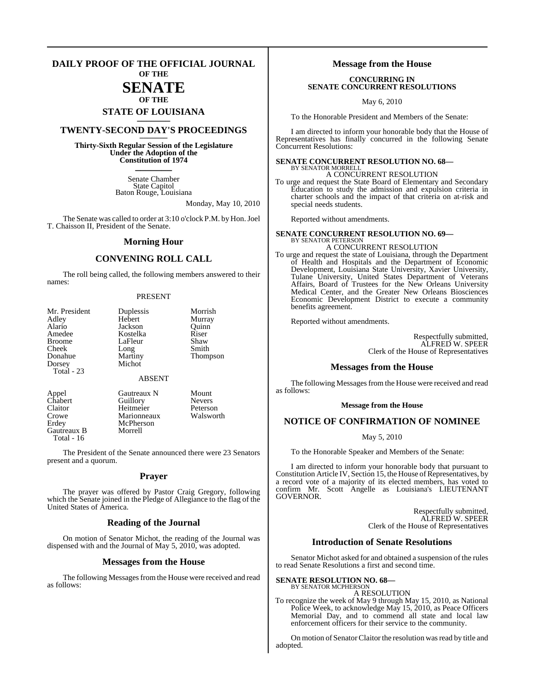### **DAILY PROOF OF THE OFFICIAL JOURNAL OF THE**

### **SENATE OF THE**

# **STATE OF LOUISIANA \_\_\_\_\_\_\_**

### **TWENTY-SECOND DAY'S PROCEEDINGS \_\_\_\_\_\_\_**

**Thirty-Sixth Regular Session of the Legislature Under the Adoption of the Constitution of 1974 \_\_\_\_\_\_\_**

> Senate Chamber State Capitol Baton Rouge, Louisiana

> > Monday, May 10, 2010

The Senate was called to order at 3:10 o'clock P.M. by Hon. Joel T. Chaisson II, President of the Senate.

### **Morning Hour**

### **CONVENING ROLL CALL**

The roll being called, the following members answered to their names:

### PRESENT

| Mr. President | Duplessis     | Morrish         |
|---------------|---------------|-----------------|
| Adley         | Hebert        | Murray          |
| Alario        | Jackson       | Ouinn           |
| Amedee        | Kostelka      | Riser           |
| <b>Broome</b> | LaFleur       | Shaw            |
| Cheek         | Long          | Smith           |
| Donahue       | Martiny       | <b>Thompson</b> |
| Dorsey        | Michot        |                 |
| Total - 23    |               |                 |
|               | <b>ABSENT</b> |                 |
| Appel         | Gautreaux N   | Mount           |

Crowe Marionneaux<br>Erdey McPherson Gautreaux B Total - 16

Chabert Guillory Nevers<br>Claitor Heitmeier Peterson Heitmeier Peterson<br>Marionneaux Walsworth McPherson<br>Morrell

The President of the Senate announced there were 23 Senators present and a quorum.

### **Prayer**

The prayer was offered by Pastor Craig Gregory, following which the Senate joined in the Pledge of Allegiance to the flag of the United States of America.

### **Reading of the Journal**

On motion of Senator Michot, the reading of the Journal was dispensed with and the Journal of May 5, 2010, was adopted.

### **Messages from the House**

The following Messages from the House were received and read as follows:

### **Message from the House**

### **CONCURRING IN SENATE CONCURRENT RESOLUTIONS**

May 6, 2010

To the Honorable President and Members of the Senate:

I am directed to inform your honorable body that the House of Representatives has finally concurred in the following Senate Concurrent Resolutions:

#### **SENATE CONCURRENT RESOLUTION NO. 68—** BY SENATOR MORRELI

A CONCURRENT RESOLUTION

To urge and request the State Board of Elementary and Secondary Education to study the admission and expulsion criteria in charter schools and the impact of that criteria on at-risk and special needs students.

Reported without amendments.

### **SENATE CONCURRENT RESOLUTION NO. 69—** BY SENATOR PETERSON

A CONCURRENT RESOLUTION

To urge and request the state of Louisiana, through the Department of Health and Hospitals and the Department of Economic Development, Louisiana State University, Xavier University, Tulane University, United States Department of Veterans Affairs, Board of Trustees for the New Orleans University Medical Center, and the Greater New Orleans Biosciences Economic Development District to execute a community benefits agreement.

Reported without amendments.

Respectfully submitted, ALFRED W. SPEER Clerk of the House of Representatives

### **Messages from the House**

The following Messages from the House were received and read as follows:

### **Message from the House**

### **NOTICE OF CONFIRMATION OF NOMINEE**

May 5, 2010

To the Honorable Speaker and Members of the Senate:

I am directed to inform your honorable body that pursuant to Constitution Article IV, Section 15, the House of Representatives, by a record vote of a majority of its elected members, has voted to confirm Mr. Scott Angelle as Louisiana's LIEUTENANT GOVERNOR.

> Respectfully submitted, ALFRED W. SPEER Clerk of the House of Representatives

### **Introduction of Senate Resolutions**

Senator Michot asked for and obtained a suspension of the rules to read Senate Resolutions a first and second time.

**SENATE RESOLUTION NO. 68—**

BY SENATOR MCPHERSON A RESOLUTION

To recognize the week of May 9 through May 15, 2010, as National Police Week, to acknowledge May 15, 2010, as Peace Officers Memorial Day, and to commend all state and local law enforcement officers for their service to the community.

On motion of Senator Claitor the resolution was read by title and adopted.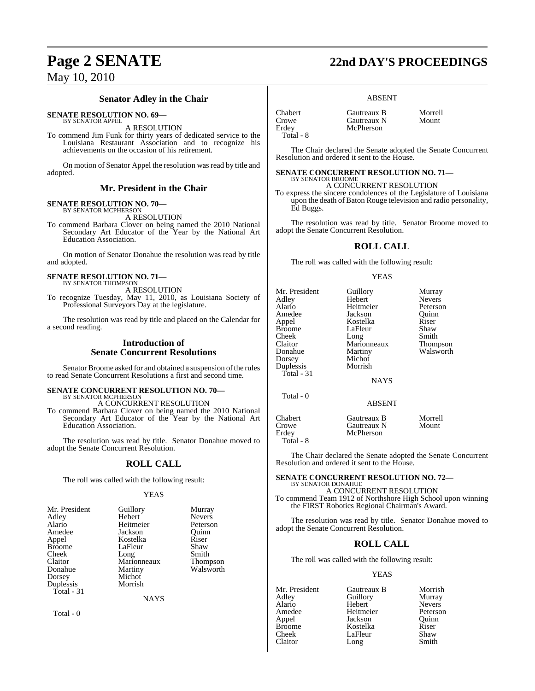### **Senator Adley in the Chair**

**SENATE RESOLUTION NO. 69—**

BY SENATOR APPEL A RESOLUTION

To commend Jim Funk for thirty years of dedicated service to the Louisiana Restaurant Association and to recognize his achievements on the occasion of his retirement.

On motion of Senator Appel the resolution was read by title and adopted.

### **Mr. President in the Chair**

### **SENATE RESOLUTION NO. 70—**

BY SENATOR MCPHERSON A RESOLUTION

To commend Barbara Clover on being named the 2010 National Secondary Art Educator of the Year by the National Art Education Association.

On motion of Senator Donahue the resolution was read by title and adopted.

### **SENATE RESOLUTION NO. 71—** BY SENATOR THOMPSON

A RESOLUTION

To recognize Tuesday, May 11, 2010, as Louisiana Society of Professional Surveyors Day at the legislature.

The resolution was read by title and placed on the Calendar for a second reading.

### **Introduction of Senate Concurrent Resolutions**

Senator Broome asked for and obtained a suspension of the rules to read Senate Concurrent Resolutions a first and second time.

## **SENATE CONCURRENT RESOLUTION NO. 70—** BY SENATOR MCPHERSON

A CONCURRENT RESOLUTION

To commend Barbara Clover on being named the 2010 National Secondary Art Educator of the Year by the National Art Education Association.

The resolution was read by title. Senator Donahue moved to adopt the Senate Concurrent Resolution.

### **ROLL CALL**

The roll was called with the following result:

Kostelka

Michot Morrish

### YEAS

**NAYS** 

Guillory Murray<br>
Hebert Nevers Hebert Nevers<br>
Heitmeier Peterson Heitmeier Peterson<br>Jackson Ouinn Jackson Quinn<br>Kostelka Riser LaFleur Shaw<br>Long Smith Long Smith<br>Marionneaux Thompson Marionneaux<br>Martiny Walsworth

Total - 0

# **Page 2 SENATE 22nd DAY'S PROCEEDINGS**

### ABSENT

| <b>Chabert</b> | Gautreaux B | Morrell |
|----------------|-------------|---------|
| Crowe          | Gautreaux N | Mount   |
| Erdev          | McPherson   |         |
| Total - 8      |             |         |

The Chair declared the Senate adopted the Senate Concurrent Resolution and ordered it sent to the House.

**SENATE CONCURRENT RESOLUTION NO. 71—** BY SENATOR BROOME

A CONCURRENT RESOLUTION

To express the sincere condolences of the Legislature of Louisiana upon the death of Baton Rouge television and radio personality, Ed Buggs.

The resolution was read by title. Senator Broome moved to adopt the Senate Concurrent Resolution.

### **ROLL CALL**

The roll was called with the following result:

### YEAS

| Mr. President | Guillory      | Murray        |
|---------------|---------------|---------------|
| Adlev         | Hebert        | <b>Nevers</b> |
| Alario        | Heitmeier     | Peterson      |
| Amedee        | Jackson       | Ouinn         |
| Appel         | Kostelka      | Riser         |
| Broome        | LaFleur       | Shaw          |
| Cheek         | Long          | Smith         |
| Claitor       | Marionneaux   | Thompson      |
| Donahue       | Martiny       | Walsworth     |
| Dorsey        | Michot        |               |
| Duplessis     | Morrish       |               |
| Total - 31    |               |               |
|               | <b>NAYS</b>   |               |
| Total $-0$    |               |               |
|               | <b>ABSENT</b> |               |
| Chabert       | Gautreaux B   | Morrell       |
| Crowe         | Gautreaux N   | Mount         |
| Erdev         | McPherson     |               |
|               |               |               |

The Chair declared the Senate adopted the Senate Concurrent Resolution and ordered it sent to the House.

### **SENATE CONCURRENT RESOLUTION NO. 72—**

BY SENATOR DONAHUE A CONCURRENT RESOLUTION

To commend Team 1912 of Northshore High School upon winning the FIRST Robotics Regional Chairman's Award.

The resolution was read by title. Senator Donahue moved to adopt the Senate Concurrent Resolution.

### **ROLL CALL**

The roll was called with the following result:

### YEAS

Mr. President Gautreaux B Morrish<br>Adley Guillory Murray Guillory<br>Hebert Alario Hebert Nevers Amedee Heitmeier Peters<br>Appel Jackson Quinn Jackson Quinn<br>Kostelka Riser Broome Kostelka Riser<br>Cheek LaFleur Shaw Cheek LaFleur Shaw<br>Claitor Long Smith Long

Total - 8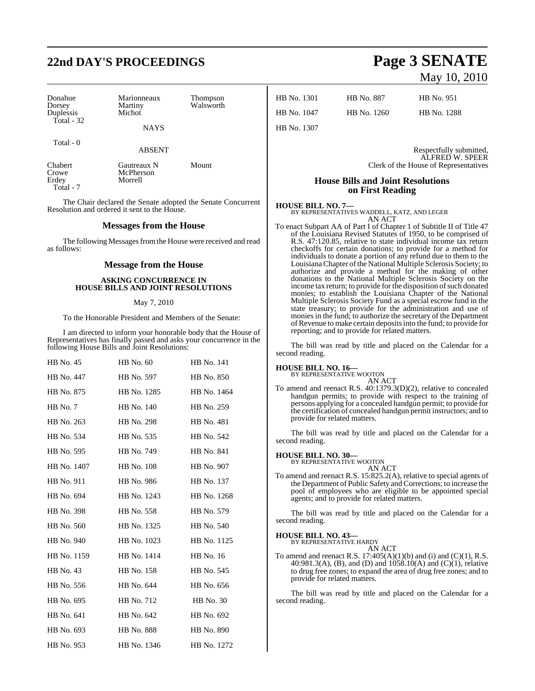# **22nd DAY'S PROCEEDINGS Page 3 SENATE**

| Donahue<br>Dorsey<br>Duplessis<br>Total - 32 | Marionneaux<br>Martiny<br>Michot<br><b>NAYS</b> | <b>Thompson</b><br>Walsworth |  |
|----------------------------------------------|-------------------------------------------------|------------------------------|--|
| Total - 0                                    | <b>ABSENT</b>                                   |                              |  |
| Chabert<br>Crowe<br>Erdey<br>Total - 7       | Gautreaux N<br>McPherson<br>Morrell             | Mount                        |  |

The Chair declared the Senate adopted the Senate Concurrent Resolution and ordered it sent to the House.

### **Messages from the House**

The following Messages from the House were received and read as follows:

### **Message from the House**

### **ASKING CONCURRENCE IN HOUSE BILLS AND JOINT RESOLUTIONS**

### May 7, 2010

To the Honorable President and Members of the Senate:

I am directed to inform your honorable body that the House of Representatives has finally passed and asks your concurrence in the following House Bills and Joint Resolutions:

| HB No. 45   | HB No. 60   | <b>HB</b> No. 141 |
|-------------|-------------|-------------------|
| HB No. 447  | HB No. 597  | HB No. 850        |
| HB No. 875  | HB No. 1285 | HB No. 1464       |
| HB No. 7    | HB No. 140  | HB No. 259        |
| HB No. 263  | HB No. 298  | HB No. 481        |
| HB No. 534  | HB No. 535  | HB No. 542        |
| HB No. 595  | HB No. 749  | HB No. 841        |
| HB No. 1407 | HB No. 108  | HB No. 907        |
| HB No. 911  | HB No. 986  | HB No. 137        |
| HB No. 694  | HB No. 1243 | HB No. 1268       |
| HB No. 398  | HB No. 558  | HB No. 579        |
| HB No. 560  | HB No. 1325 | HB No. 540        |
| HB No. 940  | HB No. 1023 | HB No. 1125       |
| HB No. 1159 | HB No. 1414 | HB No. 16         |
| HB No. 43   | HB No. 158  | HB No. 545        |
| HB No. 556  | HB No. 644  | HB No. 656        |
| HB No. 695  | HB No. 712  | <b>HB</b> No. 30  |
| HB No. 641  | HB No. 642  | HB No. 692        |
| HB No. 693  | HB No. 888  | HB No. 890        |
| HB No. 953  | HB No. 1346 | HB No. 1272       |

# May 10, 2010

| HB No. 1301  | HB No. 887  | HB No. 951  |
|--------------|-------------|-------------|
| HB No. 1047– | HB No. 1260 | HB No. 1288 |

HB No. 1307

Respectfully submitted, ALFRED W. SPEER Clerk of the House of Representatives

### **House Bills and Joint Resolutions on First Reading**

### **HOUSE BILL NO. 7—**

BY REPRESENTATIVES WADDELL, KATZ, AND LEGER AN ACT

To enact Subpart AA of Part I of Chapter 1 of Subtitle II of Title 47 of the Louisiana Revised Statutes of 1950, to be comprised of R.S. 47:120.85, relative to state individual income tax return checkoffs for certain donations; to provide for a method for individuals to donate a portion of any refund due to them to the LouisianaChapter ofthe National Multiple Sclerosis Society; to authorize and provide a method for the making of other donations to the National Multiple Sclerosis Society on the income tax return; to provide for the disposition of such donated monies; to establish the Louisiana Chapter of the National Multiple Sclerosis Society Fund as a special escrow fund in the state treasury; to provide for the administration and use of monies in the fund; to authorize the secretary of the Department ofRevenue to make certain depositsinto the fund; to provide for reporting; and to provide for related matters.

The bill was read by title and placed on the Calendar for a second reading.

### **HOUSE BILL NO. 16—** BY REPRESENTATIVE WOOTON

AN ACT

To amend and reenact R.S. 40:1379.3(D)(2), relative to concealed handgun permits; to provide with respect to the training of persons applying for a concealed handgun permit; to provide for the certification of concealed handgun permit instructors; and to provide for related matters.

The bill was read by title and placed on the Calendar for a second reading.

### **HOUSE BILL NO. 30—** BY REPRESENTATIVE WOOTON

AN ACT To amend and reenact R.S. 15:825.2(A), relative to special agents of the Department of Public Safety and Corrections; to increase the pool of employees who are eligible to be appointed special agents; and to provide for related matters.

The bill was read by title and placed on the Calendar for a second reading.

#### **HOUSE BILL NO. 43—** BY REPRESENTATIVE HARDY

AN ACT

To amend and reenact R.S.  $17:405(A)(1)(b)$  and (i) and (C)(1), R.S. 40:981.3(A), (B), and (D) and 1058.10(A) and (C)(1), relative to drug free zones; to expand the area of drug free zones; and to provide for related matters.

The bill was read by title and placed on the Calendar for a second reading.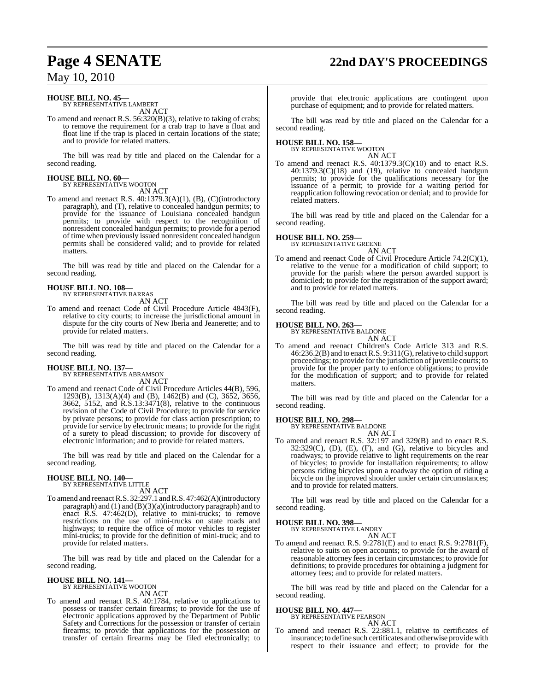# **Page 4 SENATE 22nd DAY'S PROCEEDINGS**

### May 10, 2010

#### **HOUSE BILL NO. 45—** BY REPRESENTATIVE LAMBERT

AN ACT

To amend and reenact R.S. 56:320(B)(3), relative to taking of crabs; to remove the requirement for a crab trap to have a float and float line if the trap is placed in certain locations of the state; and to provide for related matters.

The bill was read by title and placed on the Calendar for a second reading.

## **HOUSE BILL NO. 60—** BY REPRESENTATIVE WOOTON

AN ACT

To amend and reenact R.S. 40:1379.3(A)(1), (B), (C)(introductory paragraph), and (T), relative to concealed handgun permits; to provide for the issuance of Louisiana concealed handgun permits; to provide with respect to the recognition of nonresident concealed handgun permits; to provide for a period of time when previously issued nonresident concealed handgun permits shall be considered valid; and to provide for related matters.

The bill was read by title and placed on the Calendar for a second reading.

### **HOUSE BILL NO. 108—** BY REPRESENTATIVE BARRAS

AN ACT

To amend and reenact Code of Civil Procedure Article 4843(F), relative to city courts; to increase the jurisdictional amount in dispute for the city courts of New Iberia and Jeanerette; and to provide for related matters.

The bill was read by title and placed on the Calendar for a second reading.

### **HOUSE BILL NO. 137—**

BY REPRESENTATIVE ABRAMSON AN ACT

To amend and reenact Code of Civil Procedure Articles 44(B), 596, 1293(B), 1313(A)(4) and (B), 1462(B) and (C), 3652, 3656, 3662, 5152, and R.S.13:3471(8), relative to the continuous revision of the Code of Civil Procedure; to provide for service by private persons; to provide for class action prescription; to provide for service by electronic means; to provide for the right of a surety to plead discussion; to provide for discovery of electronic information; and to provide for related matters.

The bill was read by title and placed on the Calendar for a second reading.

#### **HOUSE BILL NO. 140—** BY REPRESENTATIVE LITTLE

AN ACT

To amend and reenact R.S. 32:297.1 and R.S. 47:462(A)(introductory paragraph) and (1) and (B)(3)(a)(introductory paragraph) and to enact R.S. 47:462(D), relative to mini-trucks; to remove restrictions on the use of mini-trucks on state roads and highways; to require the office of motor vehicles to register mini-trucks; to provide for the definition of mini-truck; and to provide for related matters.

The bill was read by title and placed on the Calendar for a second reading.

### **HOUSE BILL NO. 141—** BY REPRESENTATIVE WOOTON

AN ACT

To amend and reenact R.S. 40:1784, relative to applications to possess or transfer certain firearms; to provide for the use of electronic applications approved by the Department of Public Safety and Corrections for the possession or transfer of certain firearms; to provide that applications for the possession or transfer of certain firearms may be filed electronically; to

provide that electronic applications are contingent upon purchase of equipment; and to provide for related matters.

The bill was read by title and placed on the Calendar for a second reading.

# **HOUSE BILL NO. 158—** BY REPRESENTATIVE WOOTON

AN ACT

To amend and reenact R.S. 40:1379.3(C)(10) and to enact R.S. 40:1379.3(C)(18) and (19), relative to concealed handgun permits; to provide for the qualifications necessary for the issuance of a permit; to provide for a waiting period for reapplication following revocation or denial; and to provide for related matters.

The bill was read by title and placed on the Calendar for a second reading.

### **HOUSE BILL NO. 259—**

BY REPRESENTATIVE GREENE AN ACT

To amend and reenact Code of Civil Procedure Article 74.2(C)(1), relative to the venue for a modification of child support; to provide for the parish where the person awarded support is domiciled; to provide for the registration of the support award; and to provide for related matters.

The bill was read by title and placed on the Calendar for a second reading.

### **HOUSE BILL NO. 263—** BY REPRESENTATIVE BALDONE

AN ACT

To amend and reenact Children's Code Article 313 and R.S. 46:236.2(B) and to enactR.S. 9:311(G),relative to child support proceedings; to provide for the jurisdiction of juvenile courts; to provide for the proper party to enforce obligations; to provide for the modification of support; and to provide for related matters.

The bill was read by title and placed on the Calendar for a second reading.

## **HOUSE BILL NO. 298—** BY REPRESENTATIVE BALDONE

AN ACT

To amend and reenact R.S. 32:197 and 329(B) and to enact R.S.  $32:329(C)$ ,  $(D)$ ,  $(E)$ ,  $(F)$ , and  $(G)$ , relative to bicycles and roadways; to provide relative to light requirements on the rear of bicycles; to provide for installation requirements; to allow persons riding bicycles upon a roadway the option of riding a bicycle on the improved shoulder under certain circumstances; and to provide for related matters.

The bill was read by title and placed on the Calendar for a second reading.

### **HOUSE BILL NO. 398—**

BY REPRESENTATIVE LANDRY

AN ACT To amend and reenact R.S. 9:2781(E) and to enact R.S. 9:2781(F), relative to suits on open accounts; to provide for the award of reasonable attorney fees in certain circumstances; to provide for definitions; to provide procedures for obtaining a judgment for attorney fees; and to provide for related matters.

The bill was read by title and placed on the Calendar for a second reading.

### **HOUSE BILL NO. 447—**

BY REPRESENTATIVE PEARSON AN ACT

To amend and reenact R.S. 22:881.1, relative to certificates of insurance; to define such certificates and otherwise provide with respect to their issuance and effect; to provide for the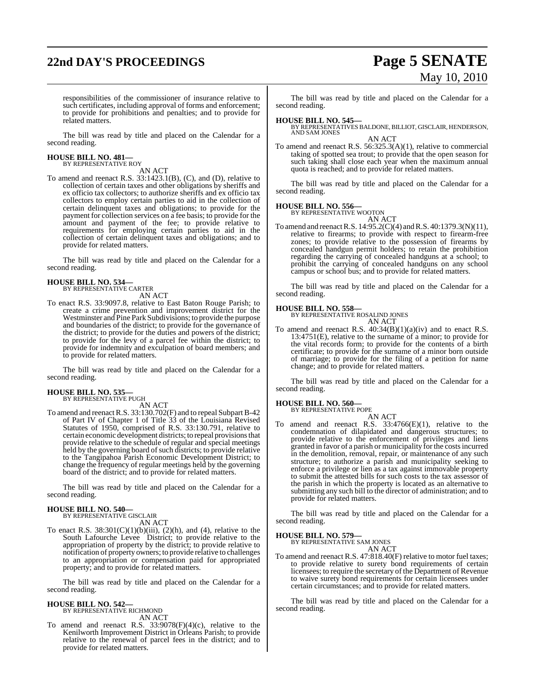# **22nd DAY'S PROCEEDINGS Page 5 SENATE**

# May 10, 2010

responsibilities of the commissioner of insurance relative to such certificates, including approval of forms and enforcement; to provide for prohibitions and penalties; and to provide for related matters.

The bill was read by title and placed on the Calendar for a second reading.

## **HOUSE BILL NO. 481—** BY REPRESENTATIVE ROY

AN ACT

To amend and reenact R.S. 33:1423.1(B), (C), and (D), relative to collection of certain taxes and other obligations by sheriffs and ex officio tax collectors; to authorize sheriffs and ex officio tax collectors to employ certain parties to aid in the collection of certain delinquent taxes and obligations; to provide for the payment for collection services on a fee basis; to provide for the amount and payment of the fee; to provide relative to requirements for employing certain parties to aid in the collection of certain delinquent taxes and obligations; and to provide for related matters.

The bill was read by title and placed on the Calendar for a second reading.

# **HOUSE BILL NO. 534—** BY REPRESENTATIVE CARTER

AN ACT

To enact R.S. 33:9097.8, relative to East Baton Rouge Parish; to create a crime prevention and improvement district for the Westminster and Pine Park Subdivisions; to provide the purpose and boundaries of the district; to provide for the governance of the district; to provide for the duties and powers of the district; to provide for the levy of a parcel fee within the district; to provide for indemnity and exculpation of board members; and to provide for related matters.

The bill was read by title and placed on the Calendar for a second reading.

### **HOUSE BILL NO. 535—** BY REPRESENTATIVE PUGH

AN ACT

To amend and reenact R.S. 33:130.702(F) and to repeal Subpart B-42 of Part IV of Chapter 1 of Title 33 of the Louisiana Revised Statutes of 1950, comprised of R.S. 33:130.791, relative to certain economic development districts; to repeal provisions that provide relative to the schedule of regular and special meetings held by the governing board of such districts; to provide relative to the Tangipahoa Parish Economic Development District; to change the frequency of regular meetings held by the governing board of the district; and to provide for related matters.

The bill was read by title and placed on the Calendar for a second reading.

## **HOUSE BILL NO. 540—** BY REPRESENTATIVE GISCLAIR

AN ACT

To enact R.S.  $38:301(C)(1)(b)(iii)$ ,  $(2)(h)$ , and  $(4)$ , relative to the South Lafourche Levee District; to provide relative to the appropriation of property by the district; to provide relative to notification of property owners; to provide relative to challenges to an appropriation or compensation paid for appropriated property; and to provide for related matters.

The bill was read by title and placed on the Calendar for a second reading.

# **HOUSE BILL NO. 542—** BY REPRESENTATIVE RICHMOND

AN ACT

To amend and reenact R.S.  $33:9078(F)(4)(c)$ , relative to the Kenilworth Improvement District in Orleans Parish; to provide relative to the renewal of parcel fees in the district; and to provide for related matters.

The bill was read by title and placed on the Calendar for a second reading.

**HOUSE BILL NO. 545—** BY REPRESENTATIVES BALDONE, BILLIOT, GISCLAIR, HENDERSON, AND SAM JONES AN ACT

To amend and reenact R.S. 56:325.3(A)(1), relative to commercial taking of spotted sea trout; to provide that the open season for such taking shall close each year when the maximum annual quota is reached; and to provide for related matters.

The bill was read by title and placed on the Calendar for a second reading.

### **HOUSE BILL NO. 556—**

BY REPRESENTATIVE WOOTON

AN ACT To amend and reenact R.S. 14:95.2(C)(4) and R.S. 40:1379.3(N)(11), relative to firearms; to provide with respect to firearm-free zones; to provide relative to the possession of firearms by concealed handgun permit holders; to retain the prohibition regarding the carrying of concealed handguns at a school; to prohibit the carrying of concealed handguns on any school campus or school bus; and to provide for related matters.

The bill was read by title and placed on the Calendar for a second reading.

**HOUSE BILL NO. 558—** BY REPRESENTATIVE ROSALIND JONES

AN ACT To amend and reenact R.S. 40:34(B)(1)(a)(iv) and to enact R.S. 13:4751(E), relative to the surname of a minor; to provide for the vital records form; to provide for the contents of a birth certificate; to provide for the surname of a minor born outside of marriage; to provide for the filing of a petition for name change; and to provide for related matters.

The bill was read by title and placed on the Calendar for a second reading.

### **HOUSE BILL NO. 560—**

BY REPRESENTATIVE POPE

- AN ACT
- To amend and reenact R.S.  $33:4766(E)(1)$ , relative to the condemnation of dilapidated and dangerous structures; to provide relative to the enforcement of privileges and liens granted in favor of a parish or municipality for the costsincurred in the demolition, removal, repair, or maintenance of any such structure; to authorize a parish and municipality seeking to enforce a privilege or lien as a tax against immovable property to submit the attested bills for such costs to the tax assessor of the parish in which the property is located as an alternative to submitting any such bill to the director of administration; and to provide for related matters.

The bill was read by title and placed on the Calendar for a second reading.

**HOUSE BILL NO. 579—**

BY REPRESENTATIVE SAM JONES AN ACT

To amend and reenact R.S. 47:818.40(F) relative to motor fuel taxes; to provide relative to surety bond requirements of certain licensees; to require the secretary of the Department of Revenue to waive surety bond requirements for certain licensees under certain circumstances; and to provide for related matters.

The bill was read by title and placed on the Calendar for a second reading.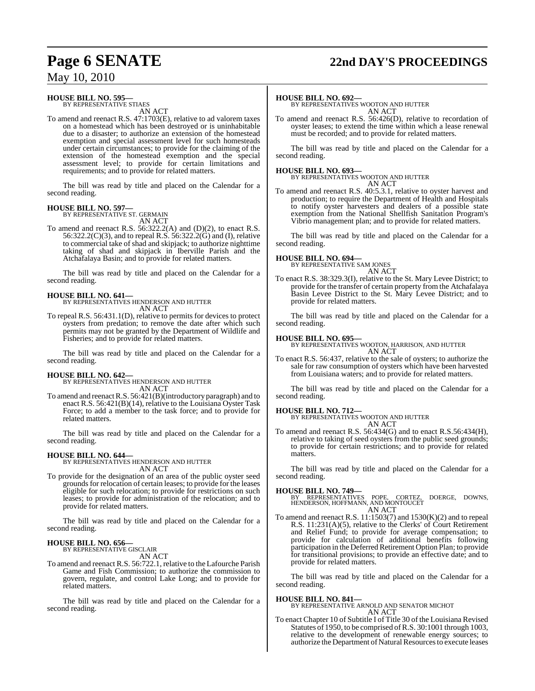# **Page 6 SENATE 22nd DAY'S PROCEEDINGS**

### May 10, 2010

#### **HOUSE BILL NO. 595—** BY REPRESENTATIVE STIAES

AN ACT

To amend and reenact R.S. 47:1703(E), relative to ad valorem taxes on a homestead which has been destroyed or is uninhabitable due to a disaster; to authorize an extension of the homestead exemption and special assessment level for such homesteads under certain circumstances; to provide for the claiming of the extension of the homestead exemption and the special assessment level; to provide for certain limitations and requirements; and to provide for related matters.

The bill was read by title and placed on the Calendar for a second reading.

### **HOUSE BILL NO. 597—**

BY REPRESENTATIVE ST. GERMAIN AN ACT

To amend and reenact R.S. 56:322.2(A) and (D)(2), to enact R.S. 56:322.2(C)(3), and to repeal R.S. 56:322.2( $\vec{G}$ ) and (I), relative to commercial take of shad and skipjack; to authorize nighttime taking of shad and skipjack in Iberville Parish and the Atchafalaya Basin; and to provide for related matters.

The bill was read by title and placed on the Calendar for a second reading.

**HOUSE BILL NO. 641—** BY REPRESENTATIVES HENDERSON AND HUTTER AN ACT

To repeal R.S. 56:431.1(D), relative to permits for devices to protect oysters from predation; to remove the date after which such permits may not be granted by the Department of Wildlife and Fisheries; and to provide for related matters.

The bill was read by title and placed on the Calendar for a second reading.

### **HOUSE BILL NO. 642—**

BY REPRESENTATIVES HENDERSON AND HUTTER AN ACT

To amend and reenactR.S. 56:421(B)(introductory paragraph) and to enact R.S. 56:421(B)(14), relative to the Louisiana Oyster Task Force; to add a member to the task force; and to provide for related matters.

The bill was read by title and placed on the Calendar for a second reading.

**HOUSE BILL NO. 644—** BY REPRESENTATIVES HENDERSON AND HUTTER AN ACT

To provide for the designation of an area of the public oyster seed grounds for relocation of certain leases; to provide for the leases eligible for such relocation; to provide for restrictions on such leases; to provide for administration of the relocation; and to provide for related matters.

The bill was read by title and placed on the Calendar for a second reading.

### **HOUSE BILL NO. 656—** BY REPRESENTATIVE GISCLAIR

AN ACT

To amend and reenact R.S. 56:722.1, relative to the Lafourche Parish Game and Fish Commission; to authorize the commission to govern, regulate, and control Lake Long; and to provide for related matters.

The bill was read by title and placed on the Calendar for a second reading.

### **HOUSE BILL NO. 692—**

BY REPRESENTATIVES WOOTON AND HUTTER AN ACT

To amend and reenact R.S. 56:426(D), relative to recordation of oyster leases; to extend the time within which a lease renewal must be recorded; and to provide for related matters.

The bill was read by title and placed on the Calendar for a second reading.

**HOUSE BILL NO. 693—** BY REPRESENTATIVES WOOTON AND HUTTER AN ACT

To amend and reenact R.S. 40:5.3.1, relative to oyster harvest and production; to require the Department of Health and Hospitals to notify oyster harvesters and dealers of a possible state exemption from the National Shellfish Sanitation Program's Vibrio management plan; and to provide for related matters.

The bill was read by title and placed on the Calendar for a second reading.

### **HOUSE BILL NO. 694—**

BY REPRESENTATIVE SAM JONES AN ACT

To enact R.S. 38:329.3(I), relative to the St. Mary Levee District; to provide for the transfer of certain property from the Atchafalaya Basin Levee District to the St. Mary Levee District; and to provide for related matters.

The bill was read by title and placed on the Calendar for a second reading.

### **HOUSE BILL NO. 695—**

BY REPRESENTATIVES WOOTON, HARRISON, AND HUTTER AN ACT

To enact R.S. 56:437, relative to the sale of oysters; to authorize the sale for raw consumption of oysters which have been harvested from Louisiana waters; and to provide for related matters.

The bill was read by title and placed on the Calendar for a second reading.

### **HOUSE BILL NO. 712—**

BY REPRESENTATIVES WOOTON AND HUTTER AN ACT

To amend and reenact R.S. 56:434(G) and to enact R.S.56:434(H), relative to taking of seed oysters from the public seed grounds; to provide for certain restrictions; and to provide for related matters.

The bill was read by title and placed on the Calendar for a second reading.

**HOUSE BILL NO. 749—** BY REPRESENTATIVES POPE, CORTEZ, DOERGE, DOWNS, HENDERSON, HOFFMANN, AND MONTOUCET AN ACT

To amend and reenact R.S.  $11:1503(7)$  and  $1530(K)(2)$  and to repeal R.S. 11:231(A)(5), relative to the Clerks' of Court Retirement and Relief Fund; to provide for average compensation; to provide for calculation of additional benefits following participation in the Deferred Retirement Option Plan; to provide for transitional provisions; to provide an effective date; and to provide for related matters.

The bill was read by title and placed on the Calendar for a second reading.

### **HOUSE BILL NO. 841—**

BY REPRESENTATIVE ARNOLD AND SENATOR MICHOT AN ACT

To enact Chapter 10 of Subtitle I of Title 30 of the Louisiana Revised Statutes of 1950, to be comprised ofR.S. 30:1001 through 1003, relative to the development of renewable energy sources; to authorize the Department of Natural Resources to execute leases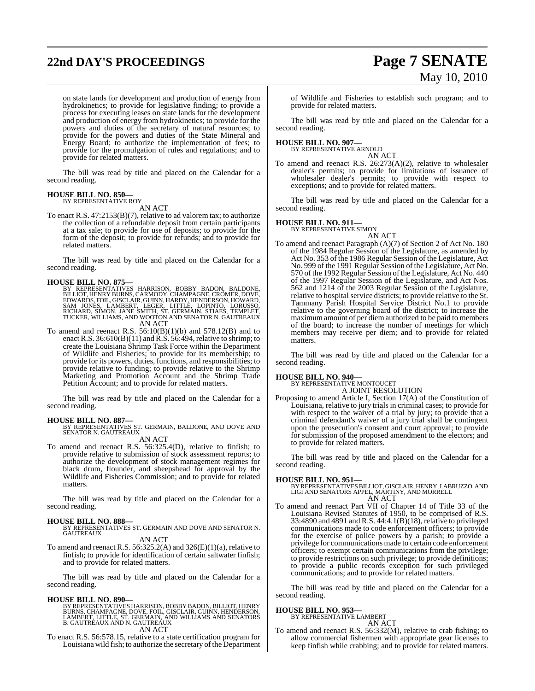# **22nd DAY'S PROCEEDINGS Page 7 SENATE**

# May 10, 2010

on state lands for development and production of energy from hydrokinetics; to provide for legislative finding; to provide a process for executing leases on state lands for the development and production of energy from hydrokinetics; to provide for the powers and duties of the secretary of natural resources; to provide for the powers and duties of the State Mineral and Energy Board; to authorize the implementation of fees; to provide for the promulgation of rules and regulations; and to provide for related matters.

The bill was read by title and placed on the Calendar for a second reading.

### **HOUSE BILL NO. 850—**

BY REPRESENTATIVE ROY AN ACT

To enact R.S. 47:2153(B)(7), relative to ad valorem tax; to authorize the collection of a refundable deposit from certain participants at a tax sale; to provide for use of deposits; to provide for the form of the deposit; to provide for refunds; and to provide for related matters.

The bill was read by title and placed on the Calendar for a second reading.

**HOUSE BILL NO. 875—**<br>BY REPRESENTATIVES HARRISON, BOBBY BADON, BALDONE,<br>BILLIOT, HENRY BURNS, CARMODY, CHAMPAGNE, CROMER, DOVE,<br>EDWARDS, FOIL, GISCLAIR, GUINN, HARDY, HENDERSON, HOWARD,<br>SAM JONES, LAMBERT, LEGER, LITTLE, AN ACT

To amend and reenact R.S.  $56:10(B)(1)(b)$  and  $578.12(B)$  and to enact R.S. 36:610(B)(11) and R.S. 56:494, relative to shrimp; to create the Louisiana Shrimp Task Force within the Department of Wildlife and Fisheries; to provide for its membership; to provide for its powers, duties, functions, and responsibilities; to provide relative to funding; to provide relative to the Shrimp Marketing and Promotion Account and the Shrimp Trade Petition Account; and to provide for related matters.

The bill was read by title and placed on the Calendar for a second reading.

**HOUSE BILL NO. 887—** BY REPRESENTATIVES ST. GERMAIN, BALDONE, AND DOVE AND SENATOR N. GAUTREAUX

AN ACT

To amend and reenact R.S. 56:325.4(D), relative to finfish; to provide relative to submission of stock assessment reports; to authorize the development of stock management regimes for black drum, flounder, and sheepshead for approval by the Wildlife and Fisheries Commission; and to provide for related matters.

The bill was read by title and placed on the Calendar for a second reading.

**HOUSE BILL NO. 888—** BY REPRESENTATIVES ST. GERMAIN AND DOVE AND SENATOR N. GAUTREAUX

AN ACT

To amend and reenact R.S.  $56:325.2(A)$  and  $326(E)(1)(a)$ , relative to finfish; to provide for identification of certain saltwater finfish; and to provide for related matters.

The bill was read by title and placed on the Calendar for a second reading.

### **HOUSE BILL NO. 890—**

BY REPRESENTATIVES HARRISON, BOBBY BADON, BILLIOT, HENRY<br>BURNS, CHAMPAGNE, DOVE, FOIL, GISCLAIR, GUINN, HENDERSON,<br>LAMBERT, LITTLE, ST. GERMAIN, AND WILLIAMS AND SENATORS<br>B. GAUTREAUX AND N. GAUTREAUX AN ACT

To enact R.S. 56:578.15, relative to a state certification program for Louisiana wild fish; to authorize the secretary of the Department of Wildlife and Fisheries to establish such program; and to provide for related matters.

The bill was read by title and placed on the Calendar for a second reading.

### **HOUSE BILL NO. 907—**

BY REPRESENTATIVE ARNOLD

AN ACT To amend and reenact R.S. 26:273(A)(2), relative to wholesaler dealer's permits; to provide for limitations of issuance of wholesaler dealer's permits; to provide with respect to exceptions; and to provide for related matters.

The bill was read by title and placed on the Calendar for a second reading.

#### **HOUSE BILL NO. 911—** BY REPRESENTATIVE SIMON

AN ACT

To amend and reenact Paragraph (A)(7) of Section 2 of Act No. 180 of the 1984 Regular Session of the Legislature, as amended by Act No. 353 of the 1986 Regular Session of the Legislature, Act No. 999 of the 1991 Regular Session of the Legislature, Act No. 570 of the 1992 Regular Session of the Legislature, Act No. 440 of the 1997 Regular Session of the Legislature, and Act Nos. 562 and 1214 of the 2003 Regular Session of the Legislature, relative to hospital service districts; to provide relative to the St. Tammany Parish Hospital Service District No.1 to provide relative to the governing board of the district; to increase the maximum amount of per diem authorized to be paid to members of the board; to increase the number of meetings for which members may receive per diem; and to provide for related matters.

The bill was read by title and placed on the Calendar for a second reading.

### **HOUSE BILL NO. 940—**

BY REPRESENTATIVE MONTOUCET A JOINT RESOLUTION

Proposing to amend Article I, Section 17(A) of the Constitution of Louisiana, relative to jury trials in criminal cases; to provide for with respect to the waiver of a trial by jury; to provide that a criminal defendant's waiver of a jury trial shall be contingent upon the prosecution's consent and court approval; to provide for submission of the proposed amendment to the electors; and to provide for related matters.

The bill was read by title and placed on the Calendar for a second reading.

**HOUSE BILL NO. 951—** BY REPRESENTATIVESBILLIOT, GISCLAIR, HENRY, LABRUZZO, AND LIGI AND SENATORS APPEL, MARTINY, AND MORRELL AN ACT

To amend and reenact Part VII of Chapter 14 of Title 33 of the Louisiana Revised Statutes of 1950, to be comprised of R.S. 33:4890 and 4891 and R.S. 44:4.1(B)(18), relative to privileged communications made to code enforcement officers; to provide for the exercise of police powers by a parish; to provide a privilege for communications made to certain code enforcement officers; to exempt certain communications from the privilege; to provide restrictions on such privilege; to provide definitions; to provide a public records exception for such privileged communications; and to provide for related matters.

The bill was read by title and placed on the Calendar for a second reading.

### **HOUSE BILL NO. 953—**

BY REPRESENTATIVE LAMBERT AN ACT

To amend and reenact R.S. 56:332(M), relative to crab fishing; to allow commercial fishermen with appropriate gear licenses to keep finfish while crabbing; and to provide for related matters.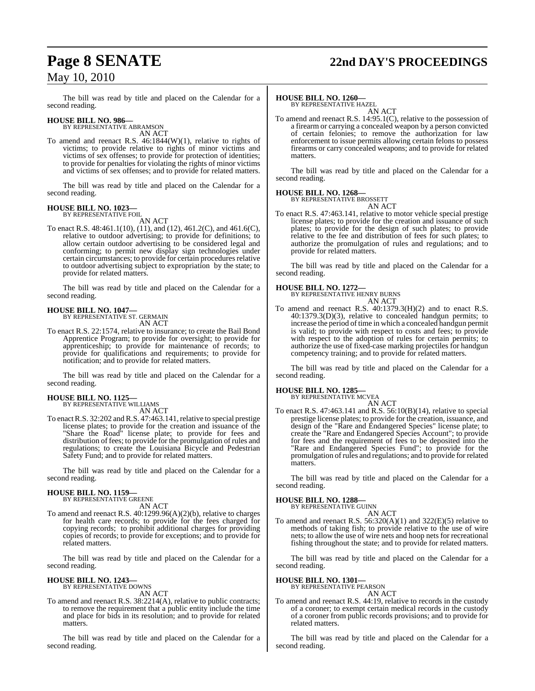# **Page 8 SENATE 22nd DAY'S PROCEEDINGS**

The bill was read by title and placed on the Calendar for a second reading.

### **HOUSE BILL NO. 986—** BY REPRESENTATIVE ABRAMSON

AN ACT

To amend and reenact R.S. 46:1844(W)(1), relative to rights of victims; to provide relative to rights of minor victims and victims of sex offenses; to provide for protection of identities; to provide for penalties for violating the rights of minor victims and victims of sex offenses; and to provide for related matters.

The bill was read by title and placed on the Calendar for a second reading.

### **HOUSE BILL NO. 1023—** BY REPRESENTATIVE FOIL

AN ACT

To enact R.S. 48:461.1(10), (11), and (12), 461.2(C), and 461.6(C), relative to outdoor advertising; to provide for definitions; to allow certain outdoor advertising to be considered legal and conforming; to permit new display sign technologies under certain circumstances; to provide for certain procedures relative to outdoor advertising subject to expropriation by the state; to provide for related matters.

The bill was read by title and placed on the Calendar for a second reading.

### **HOUSE BILL NO. 1047—** BY REPRESENTATIVE ST. GERMAIN

AN ACT

To enact R.S. 22:1574, relative to insurance; to create the Bail Bond Apprentice Program; to provide for oversight; to provide for apprenticeship; to provide for maintenance of records; to provide for qualifications and requirements; to provide for notification; and to provide for related matters.

The bill was read by title and placed on the Calendar for a second reading.

### **HOUSE BILL NO. 1125—** BY REPRESENTATIVE WILLIAMS

AN ACT

To enact R.S. 32:202 and R.S. 47:463.141, relative to special prestige license plates; to provide for the creation and issuance of the "Share the Road" license plate; to provide for fees and distribution of fees; to provide for the promulgation of rules and regulations; to create the Louisiana Bicycle and Pedestrian Safety Fund; and to provide for related matters.

The bill was read by title and placed on the Calendar for a second reading.

#### **HOUSE BILL NO. 1159—** BY REPRESENTATIVE GREENE

AN ACT

To amend and reenact R.S. 40:1299.96(A)(2)(b), relative to charges for health care records; to provide for the fees charged for copying records; to prohibit additional charges for providing copies of records; to provide for exceptions; and to provide for related matters.

The bill was read by title and placed on the Calendar for a second reading.

#### **HOUSE BILL NO. 1243—** BY REPRESENTATIVE DOWNS

AN ACT

To amend and reenact R.S. 38:2214(A), relative to public contracts; to remove the requirement that a public entity include the time and place for bids in its resolution; and to provide for related matters.

The bill was read by title and placed on the Calendar for a second reading.

### **HOUSE BILL NO. 1260—**

BY REPRESENTATIVE HAZEL AN ACT

To amend and reenact R.S. 14:95.1(C), relative to the possession of a firearm or carrying a concealed weapon by a person convicted of certain felonies; to remove the authorization for law enforcement to issue permits allowing certain felons to possess firearms or carry concealed weapons; and to provide for related matters.

The bill was read by title and placed on the Calendar for a second reading.

#### **HOUSE BILL NO. 1268—** BY REPRESENTATIVE BROSSETT

AN ACT

To enact R.S. 47:463.141, relative to motor vehicle special prestige license plates; to provide for the creation and issuance of such plates; to provide for the design of such plates; to provide relative to the fee and distribution of fees for such plates; to authorize the promulgation of rules and regulations; and to provide for related matters.

The bill was read by title and placed on the Calendar for a second reading.

### **HOUSE BILL NO. 1272—**

BY REPRESENTATIVE HENRY BURNS

```
AN ACT
```
To amend and reenact R.S. 40:1379.3(H)(2) and to enact R.S. 40:1379.3(D)(3), relative to concealed handgun permits; to increase the period of time in which a concealed handgun permit is valid; to provide with respect to costs and fees; to provide with respect to the adoption of rules for certain permits; to authorize the use of fixed-case marking projectiles for handgun competency training; and to provide for related matters.

The bill was read by title and placed on the Calendar for a second reading.

### **HOUSE BILL NO. 1285—** BY REPRESENTATIVE MCVEA

AN ACT

To enact R.S. 47:463.141 and R.S. 56:10(B)(14), relative to special prestige license plates; to provide for the creation, issuance, and design of the "Rare and Endangered Species" license plate; to create the "Rare and Endangered Species Account"; to provide for fees and the requirement of fees to be deposited into the "Rare and Endangered Species Fund"; to provide for the promulgation ofrules and regulations; and to provide for related matters.

The bill was read by title and placed on the Calendar for a second reading.

### **HOUSE BILL NO. 1288—**

BY REPRESENTATIVE GUINN AN ACT

To amend and reenact R.S.  $56:320(A)(1)$  and  $322(E)(5)$  relative to methods of taking fish; to provide relative to the use of wire nets; to allow the use of wire nets and hoop nets for recreational fishing throughout the state; and to provide for related matters.

The bill was read by title and placed on the Calendar for a second reading.

### **HOUSE BILL NO. 1301—**

BY REPRESENTATIVE PEARSON

### AN ACT

To amend and reenact R.S. 44:19, relative to records in the custody of a coroner; to exempt certain medical records in the custody of a coroner from public records provisions; and to provide for related matters.

The bill was read by title and placed on the Calendar for a second reading.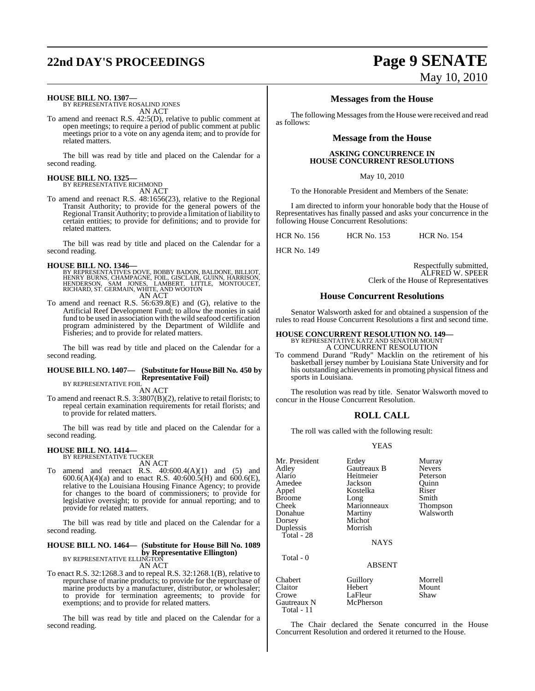# **22nd DAY'S PROCEEDINGS Page 9 SENATE**

### **HOUSE BILL NO. 1307—** BY REPRESENTATIVE ROSALIND JONES

AN ACT

To amend and reenact R.S. 42:5(D), relative to public comment at open meetings; to require a period of public comment at public meetings prior to a vote on any agenda item; and to provide for related matters.

The bill was read by title and placed on the Calendar for a second reading.

### **HOUSE BILL NO. 1325—** BY REPRESENTATIVE RICHMOND

AN ACT

To amend and reenact R.S. 48:1656(23), relative to the Regional Transit Authority; to provide for the general powers of the Regional Transit Authority; to provide a limitation of liability to certain entities; to provide for definitions; and to provide for related matters.

The bill was read by title and placed on the Calendar for a second reading.

**HOUSE BILL NO. 1346—**<br>BY REPRESENTATIVES DOVE, BOBBY BADON, BALDONE, BILLIOT,<br>HENNY BURNS, CHAMPAGNE, FOIL, GISCLAIR, GUINN, HARRISON,<br>HENDERSON, SAM JONES, LAMBERT, LITTLE, MONTOUCET,<br>RICHARD, ST. GERMAIN, WHITE, AND WOO AN ACT

To amend and reenact R.S. 56:639.8(E) and (G), relative to the Artificial Reef Development Fund; to allow the monies in said fund to be used in association with the wild seafood certification program administered by the Department of Wildlife and Fisheries; and to provide for related matters.

The bill was read by title and placed on the Calendar for a second reading.

#### **HOUSE BILL NO. 1407— (Substitute for House Bill No. 450 by Representative Foil)** BY REPRESENTATIVE FOIL

AN ACT

To amend and reenact R.S. 3:3807(B)(2), relative to retail florists; to repeal certain examination requirements for retail florists; and to provide for related matters.

The bill was read by title and placed on the Calendar for a second reading.

### **HOUSE BILL NO. 1414—** BY REPRESENTATIVE TUCKER

AN ACT

To amend and reenact R.S.  $40:600.4(A)(1)$  and  $(5)$  and  $600.6(A)(4)(a)$  and to enact R.S.  $40:600.5(H)$  and  $600.6(E)$ , relative to the Louisiana Housing Finance Agency; to provide for changes to the board of commissioners; to provide for legislative oversight; to provide for annual reporting; and to provide for related matters.

The bill was read by title and placed on the Calendar for a second reading.

#### **HOUSE BILL NO. 1464— (Substitute for House Bill No. 1089 by Representative Ellington)** BY REPRESENTATIVE ELLINGTON

AN ACT

To enact R.S. 32:1268.3 and to repeal R.S. 32:1268.1(B), relative to repurchase of marine products; to provide for the repurchase of marine products by a manufacturer, distributor, or wholesaler; to provide for termination agreements; to provide for exemptions; and to provide for related matters.

The bill was read by title and placed on the Calendar for a second reading.

# May 10, 2010

### **Messages from the House**

The following Messages from the House were received and read as follows:

### **Message from the House**

### **ASKING CONCURRENCE IN HOUSE CONCURRENT RESOLUTIONS**

May 10, 2010

To the Honorable President and Members of the Senate:

I am directed to inform your honorable body that the House of Representatives has finally passed and asks your concurrence in the following House Concurrent Resolutions:

HCR No. 156 HCR No. 153 HCR No. 154

HCR No. 149

Respectfully submitted, ALFRED W. SPEER Clerk of the House of Representatives

### **House Concurrent Resolutions**

Senator Walsworth asked for and obtained a suspension of the rules to read House Concurrent Resolutions a first and second time.

### **HOUSE CONCURRENT RESOLUTION NO. 149—** BY REPRESENTATIVE KATZ AND SENATOR MOUNT

A CONCURRENT RESOLUTION

To commend Durand "Rudy" Macklin on the retirement of his basketball jersey number by Louisiana State University and for his outstanding achievements in promoting physical fitness and sports in Louisiana.

The resolution was read by title. Senator Walsworth moved to concur in the House Concurrent Resolution.

### **ROLL CALL**

The roll was called with the following result:

### YEAS

| Mr. President<br>Adley<br>Alario<br>Amedee<br>Appel<br><b>Broome</b><br>Cheek<br>Donahue<br>Dorsey<br>Duplessis<br>Total - 28 | Erdey<br>Gautreaux B<br>Heitmeier<br>Jackson<br>Kostelka<br>Long<br>Marionneaux<br>Martiny<br>Michot<br>Morrish<br><b>NAYS</b> | Murray<br><b>Nevers</b><br>Peterson<br>Ouinn<br>Riser<br>Smith<br>Thompson<br>Walsworth |
|-------------------------------------------------------------------------------------------------------------------------------|--------------------------------------------------------------------------------------------------------------------------------|-----------------------------------------------------------------------------------------|
| Total - 0                                                                                                                     | <b>ABSENT</b>                                                                                                                  |                                                                                         |
| Chabert<br>Claitor<br>Crowe                                                                                                   | Guillory<br>Hebert<br>LaFleur                                                                                                  | Morrell<br>Mount<br>Shaw                                                                |

Gautreaux N McPherson

Total - 11

The Chair declared the Senate concurred in the House Concurrent Resolution and ordered it returned to the House.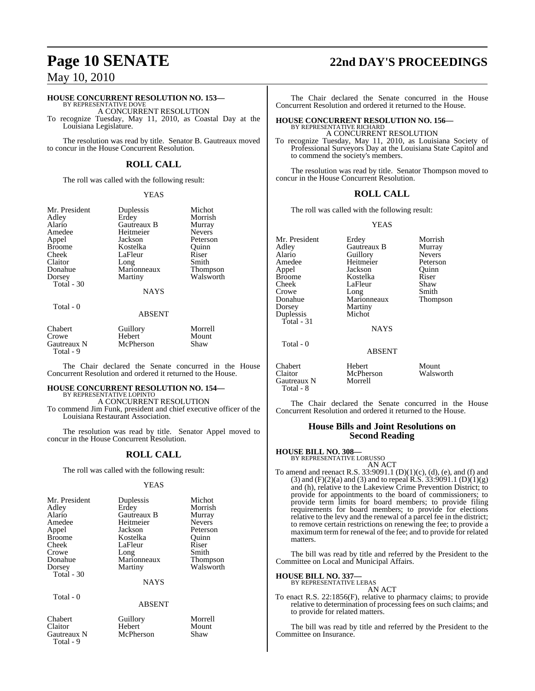### **HOUSE CONCURRENT RESOLUTION NO. 153—**

BY REPRESENTATIVE DOVE A CONCURRENT RESOLUTION

To recognize Tuesday, May 11, 2010, as Coastal Day at the Louisiana Legislature.

The resolution was read by title. Senator B. Gautreaux moved to concur in the House Concurrent Resolution.

### **ROLL CALL**

The roll was called with the following result:

### YEAS

| Mr. President | Duplessis   | Michot        |
|---------------|-------------|---------------|
| Adley         | Erdey       | Morrish       |
| Alario        | Gautreaux B | Murray        |
| Amedee        | Heitmeier   | <b>Nevers</b> |
| Appel         | Jackson     | Peterson      |
| <b>Broome</b> | Kostelka    | Ouinn         |
| Cheek         | LaFleur     | Riser         |
| Claitor       | Long        | Smith         |
| Donahue       | Marionneaux | Thompson      |
| Dorsey        | Martiny     | Walsworth     |
| Total - 30    |             |               |
|               | <b>NAYS</b> |               |
| Total - 0     |             |               |

### ABSENT

| Chabert                  | Guillory  | Morrell |
|--------------------------|-----------|---------|
| Crowe                    | Hebert    | Mount   |
| Gautreaux N<br>Total - 9 | McPherson | Shaw    |

The Chair declared the Senate concurred in the House Concurrent Resolution and ordered it returned to the House.

## **HOUSE CONCURRENT RESOLUTION NO. 154—** BY REPRESENTATIVE LOPINTO

A CONCURRENT RESOLUTION

To commend Jim Funk, president and chief executive officer of the Louisiana Restaurant Association.

The resolution was read by title. Senator Appel moved to concur in the House Concurrent Resolution.

### **ROLL CALL**

The roll was called with the following result:

### YEAS

| Mr. President | Duplessis   | Michot        |
|---------------|-------------|---------------|
| Adlev         | Erdey       | Morrish       |
| Alario        | Gautreaux B | Murray        |
| Amedee        | Heitmeier   | <b>Nevers</b> |
| Appel         | Jackson     | Peterson      |
| <b>Broome</b> | Kostelka    | Ouinn         |
| Cheek         | LaFleur     | Riser         |
| Crowe         | Long        | Smith         |
| Donahue       | Marionneaux | Thompson      |
| Dorsey        | Martiny     | Walsworth     |
| Total - 30    |             |               |
|               | <b>NAYS</b> |               |

Total - 0

### ABSENT

- Gautreaux N Total - 9
- 

# **Page 10 SENATE 22nd DAY'S PROCEEDINGS**

The Chair declared the Senate concurred in the House Concurrent Resolution and ordered it returned to the House.

#### **HOUSE CONCURRENT RESOLUTION NO. 156—** BY REPRESENTATIVE RICHARD

A CONCURRENT RESOLUTION

To recognize Tuesday, May 11, 2010, as Louisiana Society of Professional Surveyors Day at the Louisiana State Capitol and to commend the society's members.

The resolution was read by title. Senator Thompson moved to concur in the House Concurrent Resolution.

### **ROLL CALL**

The roll was called with the following result:

### YEAS

Mr. President Erdey Morrish<br>Adley Gautreaux B Murray Gautreaux B Alario Guillory Nevers<br>Amedee Heitmeier Peterson Amedee Heitmeier Peterson<br>Appel Peterson Duinn Appel Jackson Quinn<br>
Broome Kostelka Riser Broome Kostelka Riser<br>Cheek LaFleur Shaw Cheek LaFleur<br>Crowe Long Crowe Long Smith<br>
Donahue Marionneaux Thompson Donahue Marionneaux<br>Dorsey Martiny Martiny<br>Michot Duplessis Total - 31 NAYS Total - 0 ABSENT Chabert Hebert Mount McPherson Gautreaux N Morrell

The Chair declared the Senate concurred in the House Concurrent Resolution and ordered it returned to the House.

### **House Bills and Joint Resolutions on Second Reading**

Total - 8

**HOUSE BILL NO. 308—** BY REPRESENTATIVE LORUSSO

- AN ACT
- To amend and reenact R.S. 33:9091.1 (D)(1)(c), (d), (e), and (f) and  $(3)$  and  $(F)(2)(a)$  and  $(3)$  and to repeal R.S. 33:9091.1  $(D)(1)(g)$ and (h), relative to the Lakeview Crime Prevention District; to provide for appointments to the board of commissioners; to provide term limits for board members; to provide filing requirements for board members; to provide for elections relative to the levy and the renewal of a parcel fee in the district; to remove certain restrictions on renewing the fee; to provide a maximum term for renewal of the fee; and to provide for related matters.

The bill was read by title and referred by the President to the Committee on Local and Municipal Affairs.

# **HOUSE BILL NO. 337—** BY REPRESENTATIVE LEBAS

AN ACT

To enact R.S. 22:1856(F), relative to pharmacy claims; to provide relative to determination of processing fees on such claims; and to provide for related matters.

The bill was read by title and referred by the President to the Committee on Insurance.

Chabert Guillory Morrell Hebert Moun<br>
McPherson Shaw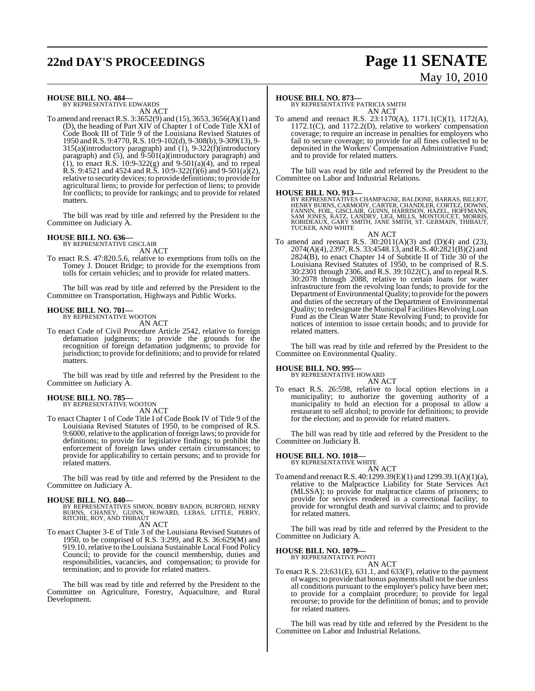# **22nd DAY'S PROCEEDINGS Page 11 SENATE**

# May 10, 2010

### **HOUSE BILL NO. 484—** BY REPRESENTATIVE EDWARDS

AN ACT

To amend and reenactR.S. 3:3652(9) and (15), 3653, 3656(A)(1) and (D), the heading of Part XIV of Chapter 1 of Code Title XXI of Code Book III of Title 9 of the Louisiana Revised Statutes of 1950 andR.S. 9:4770, R.S. 10:9-102(d), 9-308(b), 9-309(13), 9- 315(a)(introductory paragraph) and (1), 9-322(f)(introductory paragraph) and  $(5)$ , and  $\overline{9}$ - $\overline{501(a)}$ (introductory paragraph) and (1), to enact R.S.  $10:9-322(g)$  and  $9-501(a)(4)$ , and to repeal R.S. 9:4521 and 4524 and R.S. 10:9-322(f)(6) and 9-501(a)(2), relative to security devices; to provide definitions; to provide for agricultural liens; to provide for perfection of liens; to provide for conflicts; to provide for rankings; and to provide for related matters.

The bill was read by title and referred by the President to the Committee on Judiciary A.

### **HOUSE BILL NO. 636—**

BY REPRESENTATIVE GISCLAIR AN ACT

To enact R.S. 47:820.5.6, relative to exemptions from tolls on the Tomey J. Doucet Bridge; to provide for the exemptions from tolls for certain vehicles; and to provide for related matters.

The bill was read by title and referred by the President to the Committee on Transportation, Highways and Public Works.

#### **HOUSE BILL NO. 701—** BY REPRESENTATIVE WOOTON

AN ACT

To enact Code of Civil Procedure Article 2542, relative to foreign defamation judgments; to provide the grounds for the recognition of foreign defamation judgments; to provide for jurisdiction; to provide for definitions; and to provide forrelated matters.

The bill was read by title and referred by the President to the Committee on Judiciary A.

### **HOUSE BILL NO. 785—**

BY REPRESENTATIVE WOOTON AN ACT

To enact Chapter 1 of Code Title I of Code Book IV of Title 9 of the Louisiana Revised Statutes of 1950, to be comprised of R.S. 9:6000, relative to the application of foreign laws; to provide for definitions; to provide for legislative findings; to prohibit the enforcement of foreign laws under certain circumstances; to provide for applicability to certain persons; and to provide for related matters.

The bill was read by title and referred by the President to the Committee on Judiciary A.

**HOUSE BILL NO. 840—**<br>BY REPRESENTATIVES SIMON, BOBBY BADON, BURFORD, HENRY<br>BURNS, CHANEY, GUINN, HOWARD, LEBAS, LITTLE, PERRY,<br>RITCHIE, ROY, AND THIBAUT AN ACT

To enact Chapter 3-E of Title 3 of the Louisiana Revised Statutes of 1950, to be comprised of R.S. 3:299, and R.S. 36:629(M) and 919.10, relative to the Louisiana Sustainable Local Food Policy Council; to provide for the council membership, duties and responsibilities, vacancies, and compensation; to provide for termination; and to provide for related matters.

The bill was read by title and referred by the President to the Committee on Agriculture, Forestry, Aquaculture, and Rural Development.

### **HOUSE BILL NO. 873—**

BY REPRESENTATIVE PATRICIA SMITH AN ACT

To amend and reenact R.S. 23:1170(A), 1171.1(C)(1), 1172(A), 1172.1(C), and 1172.2(D), relative to workers' compensation coverage; to require an increase in penalties for employers who fail to secure coverage; to provide for all fines collected to be deposited in the Workers' Compensation Administrative Fund; and to provide for related matters.

The bill was read by title and referred by the President to the Committee on Labor and Industrial Relations.

### **HOUSE BILL NO. 913—**

BY REPRESENTATIVES CHAMPAGNE, BALDONE, BARRAS, BILLIOT,<br>HENRY BURNS, CARMODY, CARTER, CHANDLER, CORTEZ, DOWNS,<br>FANNIN, FOIL, GISCLAIR, GUINN, HARRISON, HAZEL, HOFFMANN,<br>SAM JONES, KATZ, LANDRY, LIGI, MILLS, MONTOUCET, MORR TUCKER, AND WHITE AN ACT

To amend and reenact R.S.  $30:2011(A)(3)$  and  $(D)(4)$  and  $(23)$ , 2074(A)(4), 2397, R.S. 33:4548.13, and R.S. 40:2821(B)(2) and 2824(B), to enact Chapter 14 of Subtitle II of Title 30 of the Louisiana Revised Statutes of 1950, to be comprised of R.S. 30:2301 through 2306, and R.S. 39:1022(C), and to repeal R.S. 30:2078 through 2088, relative to certain loans for water infrastructure from the revolving loan funds; to provide for the Department of Environmental Quality; to provide for the powers and duties of the secretary of the Department of Environmental Quality; to redesignate the Municipal Facilities Revolving Loan Fund as the Clean Water State Revolving Fund; to provide for notices of intention to issue certain bonds; and to provide for related matters.

The bill was read by title and referred by the President to the Committee on Environmental Quality.

#### **HOUSE BILL NO. 995—** BY REPRESENTATIVE HOWARD

AN ACT

To enact R.S. 26:598, relative to local option elections in a municipality; to authorize the governing authority of a municipality to hold an election for a proposal to allow a restaurant to sell alcohol; to provide for definitions; to provide for the election; and to provide for related matters.

The bill was read by title and referred by the President to the Committee on Judiciary B.

### **HOUSE BILL NO. 1018—** BY REPRESENTATIVE WHITE

AN ACT To amend and reenact R.S. 40:1299.39(E)(1) and 1299.39.1(A)(1)(a), relative to the Malpractice Liability for State Services Act (MLSSA); to provide for malpractice claims of prisoners; to provide for services rendered in a correctional facility; to provide for wrongful death and survival claims; and to provide for related matters.

The bill was read by title and referred by the President to the Committee on Judiciary A.

**HOUSE BILL NO. 1079—**

BY REPRESENTATIVE PONTI AN ACT

To enact R.S. 23:631(E), 631.1, and 633(F), relative to the payment of wages; to provide that bonus payments shall not be due unless all conditions pursuant to the employer's policy have been met; to provide for a complaint procedure; to provide for legal recourse; to provide for the definition of bonus; and to provide for related matters.

The bill was read by title and referred by the President to the Committee on Labor and Industrial Relations.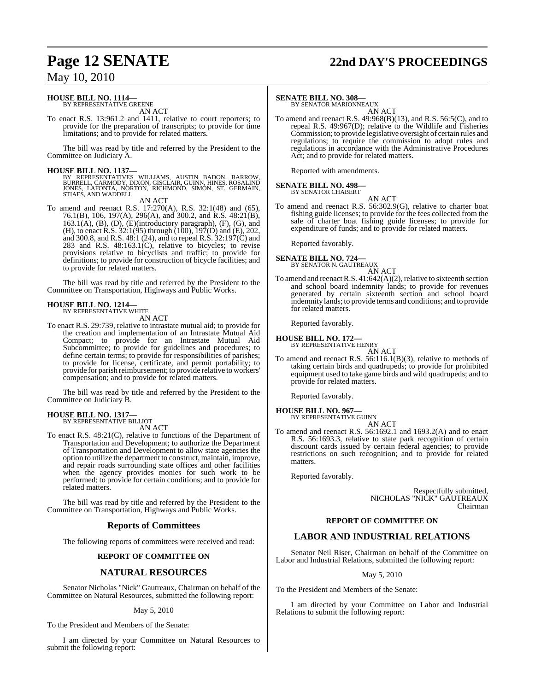# **Page 12 SENATE 22nd DAY'S PROCEEDINGS**

### May 10, 2010

### **HOUSE BILL NO. 1114—**

BY REPRESENTATIVE GREENE AN ACT

To enact R.S. 13:961.2 and 1411, relative to court reporters; to provide for the preparation of transcripts; to provide for time limitations; and to provide for related matters.

The bill was read by title and referred by the President to the Committee on Judiciary A.

**HOUSE BILL NO. 1137—** BY REPRESENTATIVES WILLIAMS, AUSTIN BADON, BARROW, BURRELL, CARMODY, DIXON, GISCLAIR, GUINN, HINES, ROSALIND JONES, LAFONTA, NORTON, RICHMOND, SIMON, ST. GERMAIN, STIAES, AND WADDELL

AN ACT

To amend and reenact R.S. 17:270(A), R.S. 32:1(48) and (65), 76.1(B), 106, 197(A), 296(A), and 300.2, and R.S. 48:21(B),  $163.1(A)$ ,  $(B)$ ,  $(D)$ ,  $(E)$ (introductory paragraph),  $(F)$ ,  $(G)$ , and (H), to enact R.S. 32:1(95) through (100), 197(D) and (E), 202, and 300.8, and R.S. 48:1 (24), and to repeal R.S. 32:197(C) and 283 and R.S. 48:163.1(C), relative to bicycles; to revise provisions relative to bicyclists and traffic; to provide for definitions; to provide for construction of bicycle facilities; and to provide for related matters.

The bill was read by title and referred by the President to the Committee on Transportation, Highways and Public Works.

# **HOUSE BILL NO. 1214—** BY REPRESENTATIVE WHITE

AN ACT

To enact R.S. 29:739, relative to intrastate mutual aid; to provide for the creation and implementation of an Intrastate Mutual Aid Compact; to provide for an Intrastate Mutual Aid Subcommittee; to provide for guidelines and procedures; to define certain terms; to provide for responsibilities of parishes; to provide for license, certificate, and permit portability; to provide for parish reimbursement; to provide relative to workers'

compensation; and to provide for related matters.

The bill was read by title and referred by the President to the Committee on Judiciary B.

#### **HOUSE BILL NO. 1317—** BY REPRESENTATIVE BILLIOT

AN ACT

To enact R.S. 48:21(C), relative to functions of the Department of Transportation and Development; to authorize the Department of Transportation and Development to allow state agencies the option to utilize the department to construct, maintain, improve, and repair roads surrounding state offices and other facilities when the agency provides monies for such work to be performed; to provide for certain conditions; and to provide for related matters.

The bill was read by title and referred by the President to the Committee on Transportation, Highways and Public Works.

### **Reports of Committees**

The following reports of committees were received and read:

### **REPORT OF COMMITTEE ON**

### **NATURAL RESOURCES**

Senator Nicholas "Nick" Gautreaux, Chairman on behalf of the Committee on Natural Resources, submitted the following report:

### May 5, 2010

To the President and Members of the Senate:

I am directed by your Committee on Natural Resources to submit the following report:

### **SENATE BILL NO. 308—**

BY SENATOR MARIONNEAUX AN ACT

To amend and reenact R.S. 49:968(B)(13), and R.S. 56:5(C), and to repeal R.S. 49:967(D); relative to the Wildlife and Fisheries Commission; to provide legislative oversight of certain rules and regulations; to require the commission to adopt rules and regulations in accordance with the Administrative Procedures Act; and to provide for related matters.

Reported with amendments.

### **SENATE BILL NO. 498—**

BY SENATOR CHABERT AN ACT

To amend and reenact R.S. 56:302.9(G), relative to charter boat fishing guide licenses; to provide for the fees collected from the sale of charter boat fishing guide licenses; to provide for expenditure of funds; and to provide for related matters.

Reported favorably.

#### **SENATE BILL NO. 724—** BY SENATOR N. GAUTREAUX

AN ACT

To amend and reenact R.S.  $41:642(A)(2)$ , relative to sixteenth section and school board indemnity lands; to provide for revenues generated by certain sixteenth section and school board indemnity lands; to provide terms and conditions; and to provide for related matters.

Reported favorably.

#### **HOUSE BILL NO. 172—** BY REPRESENTATIVE HENRY

- 
- AN ACT To amend and reenact R.S. 56:116.1(B)(3), relative to methods of taking certain birds and quadrupeds; to provide for prohibited equipment used to take game birds and wild quadrupeds; and to provide for related matters.

Reported favorably.

### **HOUSE BILL NO. 967—**

BY REPRESENTATIVE GUINN AN ACT

To amend and reenact R.S. 56:1692.1 and 1693.2(A) and to enact R.S. 56:1693.3, relative to state park recognition of certain discount cards issued by certain federal agencies; to provide restrictions on such recognition; and to provide for related matters.

Reported favorably.

Respectfully submitted, NICHOLAS "NICK" GAUTREAUX Chairman

### **REPORT OF COMMITTEE ON**

### **LABOR AND INDUSTRIAL RELATIONS**

Senator Neil Riser, Chairman on behalf of the Committee on Labor and Industrial Relations, submitted the following report:

### May 5, 2010

To the President and Members of the Senate:

I am directed by your Committee on Labor and Industrial Relations to submit the following report: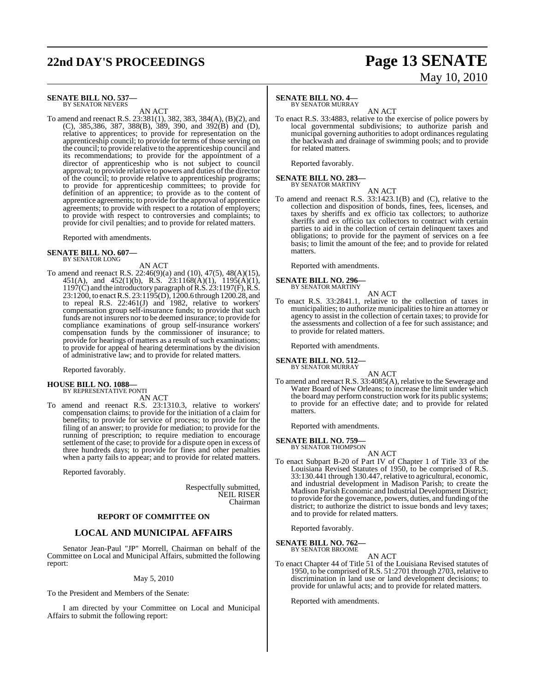# **22nd DAY'S PROCEEDINGS Page 13 SENATE**

# May 10, 2010

#### **SENATE BILL NO. 537—** BY SENATOR NEVERS

AN ACT

To amend and reenact R.S. 23:381(1), 382, 383, 384(A), (B)(2), and (C), 385,386, 387, 388(B), 389, 390, and 392(B) and (D), relative to apprentices; to provide for representation on the apprenticeship council; to provide for terms of those serving on the council; to provide relative to the apprenticeship council and its recommendations; to provide for the appointment of a director of apprenticeship who is not subject to council approval; to provide relative to powers and duties of the director of the council; to provide relative to apprenticeship programs; to provide for apprenticeship committees; to provide for definition of an apprentice; to provide as to the content of apprentice agreements; to provide for the approval of apprentice agreements; to provide with respect to a rotation of employers; to provide with respect to controversies and complaints; to provide for civil penalties; and to provide for related matters.

Reported with amendments.

#### **SENATE BILL NO. 607—** BY SENATOR LONG

AN ACT

To amend and reenact R.S. 22:46(9)(a) and (10), 47(5), 48(A)(15), 451(A), and 452(1)(b), R.S. 23:1168(A)(1), 1195(A)(1), 1197(C) and the introductory paragraph of R.S. 23:1197(F), R.S. 23:1200, to enactR.S. 23:1195(D), 1200.6 through 1200.28, and to repeal R.S. 22:461(J) and 1982, relative to workers' compensation group self-insurance funds; to provide that such funds are not insurers nor to be deemed insurance; to provide for compliance examinations of group self-insurance workers' compensation funds by the commissioner of insurance; to provide for hearings of matters as a result of such examinations; to provide for appeal of hearing determinations by the division of administrative law; and to provide for related matters.

Reported favorably.

### **HOUSE BILL NO. 1088—**

BY REPRESENTATIVE PONTI AN ACT

To amend and reenact R.S. 23:1310.3, relative to workers' compensation claims; to provide for the initiation of a claim for benefits; to provide for service of process; to provide for the filing of an answer; to provide for mediation; to provide for the running of prescription; to require mediation to encourage settlement of the case; to provide for a dispute open in excess of three hundreds days; to provide for fines and other penalties when a party fails to appear; and to provide for related matters.

Reported favorably.

Respectfully submitted, NEIL RISER Chairman

### **REPORT OF COMMITTEE ON**

### **LOCAL AND MUNICIPAL AFFAIRS**

Senator Jean-Paul "JP" Morrell, Chairman on behalf of the Committee on Local and Municipal Affairs, submitted the following report:

### May 5, 2010

To the President and Members of the Senate:

I am directed by your Committee on Local and Municipal Affairs to submit the following report:

### **SENATE BILL NO. 4—**

BY SENATOR MURRAY

AN ACT To enact R.S. 33:4883, relative to the exercise of police powers by local governmental subdivisions; to authorize parish and municipal governing authorities to adopt ordinances regulating the backwash and drainage of swimming pools; and to provide for related matters.

Reported favorably.

# **SENATE BILL NO. 283—** BY SENATOR MARTINY

AN ACT

To amend and reenact R.S. 33:1423.1(B) and (C), relative to the collection and disposition of bonds, fines, fees, licenses, and taxes by sheriffs and ex officio tax collectors; to authorize sheriffs and ex officio tax collectors to contract with certain parties to aid in the collection of certain delinquent taxes and obligations; to provide for the payment of services on a fee basis; to limit the amount of the fee; and to provide for related matters.

Reported with amendments.

#### **SENATE BILL NO. 296—** BY SENATOR MARTINY

- AN ACT
- To enact R.S. 33:2841.1, relative to the collection of taxes in municipalities; to authorize municipalities to hire an attorney or agency to assist in the collection of certain taxes; to provide for the assessments and collection of a fee for such assistance; and to provide for related matters.

Reported with amendments.

**SENATE BILL NO. 512—** BY SENATOR MURRAY

AN ACT

To amend and reenact R.S. 33:4085(A), relative to the Sewerage and Water Board of New Orleans; to increase the limit under which the board may perform construction work for its public systems; to provide for an effective date; and to provide for related matters.

Reported with amendments.

### **SENATE BILL NO. 759—** BY SENATOR THOMPSON

AN ACT To enact Subpart B-20 of Part IV of Chapter 1 of Title 33 of the Louisiana Revised Statutes of 1950, to be comprised of R.S. 33:130.441 through 130.447, relative to agricultural, economic, and industrial development in Madison Parish; to create the Madison Parish Economic and Industrial Development District; to provide for the governance, powers, duties, and funding of the district; to authorize the district to issue bonds and levy taxes; and to provide for related matters.

Reported favorably.

#### **SENATE BILL NO. 762—** BY SENATOR BROOME

AN ACT

To enact Chapter 44 of Title 51 of the Louisiana Revised statutes of 1950, to be comprised ofR.S. 51:2701 through 2703, relative to discrimination in land use or land development decisions; to provide for unlawful acts; and to provide for related matters.

Reported with amendments.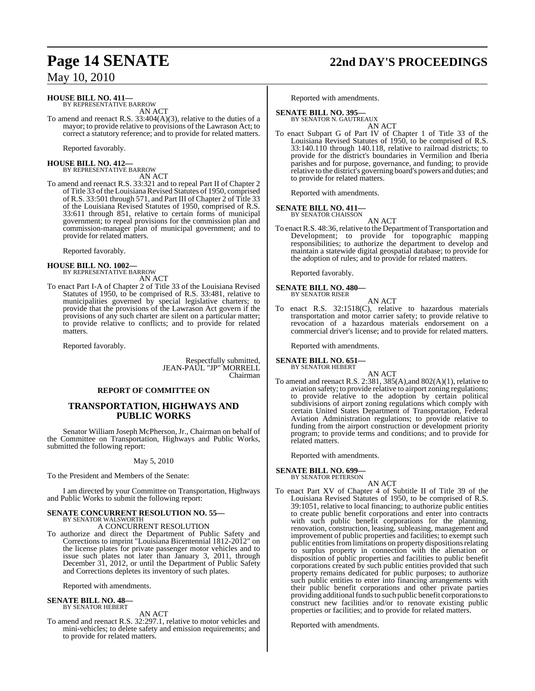### **HOUSE BILL NO. 411—** BY REPRESENTATIVE BARROW

AN ACT

To amend and reenact R.S. 33:404(A)(3), relative to the duties of a mayor; to provide relative to provisions of the Lawrason Act; to correct a statutory reference; and to provide for related matters.

Reported favorably.

**HOUSE BILL NO. 412—** BY REPRESENTATIVE BARROW AN ACT

To amend and reenact R.S. 33:321 and to repeal Part II of Chapter 2 of Title 33 of the Louisiana Revised Statutes of 1950, comprised of R.S. 33:501 through 571, and Part III of Chapter 2 of Title 33 of the Louisiana Revised Statutes of 1950, comprised of R.S. 33:611 through 851, relative to certain forms of municipal government; to repeal provisions for the commission plan and commission-manager plan of municipal government; and to provide for related matters.

Reported favorably.

### **HOUSE BILL NO. 1002—** BY REPRESENTATIVE BARROW

AN ACT

To enact Part I-A of Chapter 2 of Title 33 of the Louisiana Revised Statutes of 1950, to be comprised of R.S. 33:481, relative to municipalities governed by special legislative charters; to provide that the provisions of the Lawrason Act govern if the provisions of any such charter are silent on a particular matter; to provide relative to conflicts; and to provide for related matters.

Reported favorably.

Respectfully submitted, JEAN-PAUL "JP" MORRELL Chairman

### **REPORT OF COMMITTEE ON**

### **TRANSPORTATION, HIGHWAYS AND PUBLIC WORKS**

Senator William Joseph McPherson, Jr., Chairman on behalf of the Committee on Transportation, Highways and Public Works, submitted the following report:

May 5, 2010

To the President and Members of the Senate:

I am directed by your Committee on Transportation, Highways and Public Works to submit the following report:

### **SENATE CONCURRENT RESOLUTION NO. 55—** BY SENATOR WALSWORTH A CONCURRENT RESOLUTION

To authorize and direct the Department of Public Safety and Corrections to imprint "Louisiana Bicentennial 1812-2012" on the license plates for private passenger motor vehicles and to issue such plates not later than January 3, 2011, through December 31, 2012, or until the Department of Public Safety and Corrections depletes its inventory of such plates.

Reported with amendments.

### **SENATE BILL NO. 48—** BY SENATOR HEBERT

AN ACT

To amend and reenact R.S. 32:297.1, relative to motor vehicles and mini-vehicles; to delete safety and emission requirements; and to provide for related matters.

# **Page 14 SENATE 22nd DAY'S PROCEEDINGS**

Reported with amendments.

### **SENATE BILL NO. 395**

BY SENATOR N. GAUTREAUX AN ACT

To enact Subpart G of Part IV of Chapter 1 of Title 33 of the Louisiana Revised Statutes of 1950, to be comprised of R.S. 33:140.110 through 140.118, relative to railroad districts; to provide for the district's boundaries in Vermilion and Iberia parishes and for purpose, governance, and funding; to provide relative to the district's governing board's powers and duties; and to provide for related matters.

Reported with amendments.

### **SENATE BILL NO. 411—**

BY SENATOR CHAISSON AN ACT

To enact R.S. 48:36, relative to the Department of Transportation and Development; to provide for topographic mapping responsibilities; to authorize the department to develop and maintain a statewide digital geospatial database; to provide for the adoption of rules; and to provide for related matters.

Reported favorably.

#### **SENATE BILL NO. 480—** BY SENATOR RISER

AN ACT

To enact R.S. 32:1518(C), relative to hazardous materials transportation and motor carrier safety; to provide relative to revocation of a hazardous materials endorsement on a commercial driver's license; and to provide for related matters.

Reported with amendments.

**SENATE BILL NO. 651—** BY SENATOR HEBERT

AN ACT

To amend and reenact R.S. 2:381, 385(A),and 802(A)(1), relative to aviation safety; to provide relative to airport zoning regulations; to provide relative to the adoption by certain political subdivisions of airport zoning regulations which comply with certain United States Department of Transportation, Federal Aviation Administration regulations; to provide relative to funding from the airport construction or development priority program; to provide terms and conditions; and to provide for related matters.

Reported with amendments.

### **SENATE BILL NO. 699—**

BY SENATOR PETERSON AN ACT

To enact Part XV of Chapter 4 of Subtitle II of Title 39 of the Louisiana Revised Statutes of 1950, to be comprised of R.S. 39:1051, relative to local financing; to authorize public entities to create public benefit corporations and enter into contracts with such public benefit corporations for the planning, renovation, construction, leasing, subleasing, management and improvement of public properties and facilities; to exempt such public entities from limitations on property dispositions relating to surplus property in connection with the alienation or disposition of public properties and facilities to public benefit corporations created by such public entities provided that such property remains dedicated for public purposes; to authorize such public entities to enter into financing arrangements with their public benefit corporations and other private parties providing additional funds to such public benefit corporations to construct new facilities and/or to renovate existing public properties or facilities; and to provide for related matters.

Reported with amendments.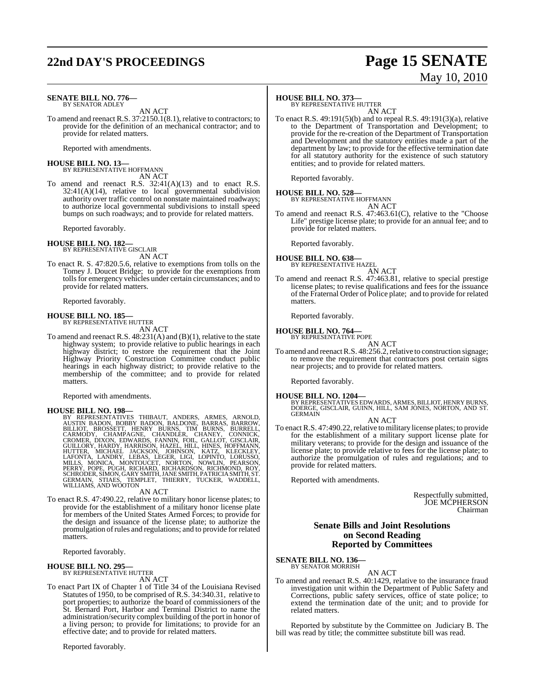# **22nd DAY'S PROCEEDINGS Page 15 SENATE**

# May 10, 2010

#### **SENATE BILL NO. 776—** BY SENATOR ADLEY

AN ACT

To amend and reenact R.S. 37:2150.1(8.1), relative to contractors; to provide for the definition of an mechanical contractor; and to provide for related matters.

Reported with amendments.

### **HOUSE BILL NO. 13—** BY REPRESENTATIVE HOFFMANN

AN ACT

To amend and reenact R.S. 32:41(A)(13) and to enact R.S.  $32:41(A)(14)$ , relative to local governmental subdivision authority over traffic control on nonstate maintained roadways; to authorize local governmental subdivisions to install speed bumps on such roadways; and to provide for related matters.

Reported favorably.

**HOUSE BILL NO. 182—** BY REPRESENTATIVE GISCLAIR

AN ACT

To enact R. S. 47:820.5.6, relative to exemptions from tolls on the Tomey J. Doucet Bridge; to provide for the exemptions from tolls for emergency vehicles under certain circumstances; and to provide for related matters.

Reported favorably.

**HOUSE BILL NO. 185—** BY REPRESENTATIVE HUTTER

AN ACT

To amend and reenact R.S. 48:231(A) and (B)(1), relative to the state highway system; to provide relative to public hearings in each highway district; to restore the requirement that the Joint Highway Priority Construction Committee conduct public hearings in each highway district; to provide relative to the membership of the committee; and to provide for related matters.

Reported with amendments.

HOUSE BILL NO. 198—<br>
BY REPRESENTATIVES THIBAUT, ANDERS, ARMES, ARNOLD,<br>
BY REPRESENTATIVES THIBAUT, ANDERS, ARMES, ARROW,<br>
BILLIOT, BROSSETT, HENRY BURNS, TIM BURNS, BURRELL,<br>
CROMER, DIXON, EDWARDS, FANNIN, FOIL, GALLOT,

AN ACT

To enact R.S. 47:490.22, relative to military honor license plates; to provide for the establishment of a military honor license plate for members of the United States Armed Forces; to provide for the design and issuance of the license plate; to authorize the promulgation ofrules and regulations; and to provide forrelated matters.

Reported favorably.

### **HOUSE BILL NO. 295—**

BY REPRESENTATIVE HUTTER

AN ACT

To enact Part IX of Chapter 1 of Title 34 of the Louisiana Revised Statutes of 1950, to be comprised of R.S. 34:340.31, relative to port properties; to authorize the board of commissioners of the St. Bernard Port, Harbor and Terminal District to name the administration/security complex building of the port in honor of a living person; to provide for limitations; to provide for an effective date; and to provide for related matters.

Reported favorably.

### **HOUSE BILL NO. 373—**

BY REPRESENTATIVE HUTTER AN ACT

To enact R.S. 49:191(5)(b) and to repeal R.S. 49:191(3)(a), relative to the Department of Transportation and Development; to provide for the re-creation of the Department of Transportation and Development and the statutory entities made a part of the department by law; to provide for the effective termination date for all statutory authority for the existence of such statutory entities; and to provide for related matters.

Reported favorably.

#### **HOUSE BILL NO. 528—** BY REPRESENTATIVE HOFFMANN

AN ACT

To amend and reenact R.S. 47:463.61(C), relative to the "Choose Life" prestige license plate; to provide for an annual fee; and to provide for related matters.

Reported favorably.

### **HOUSE BILL NO. 638—**

BY REPRESENTATIVE HAZEL AN ACT

To amend and reenact R.S. 47:463.81, relative to special prestige license plates; to revise qualifications and fees for the issuance of the Fraternal Order of Police plate; and to provide for related matters.

Reported favorably.

**HOUSE BILL NO. 764—** BY REPRESENTATIVE POPE

AN ACT

To amend and reenact R.S. 48:256.2, relative to construction signage; to remove the requirement that contractors post certain signs near projects; and to provide for related matters.

Reported favorably.

**HOUSE BILL NO. 1204—** BY REPRESENTATIVES EDWARDS, ARMES, BILLIOT, HENRY BURNS, DOERGE, GISCLAIR, GUINN, HILL, SAM JONES, NORTON, AND ST. GERMAIN

AN ACT

To enact R.S. 47:490.22, relative to military license plates; to provide for the establishment of a military support license plate for military veterans; to provide for the design and issuance of the license plate; to provide relative to fees for the license plate; to authorize the promulgation of rules and regulations; and to provide for related matters.

Reported with amendments.

Respectfully submitted, JOE MCPHERSON Chairman

### **Senate Bills and Joint Resolutions on Second Reading Reported by Committees**

**SENATE BILL NO. 136—** BY SENATOR MORRISH

AN ACT

To amend and reenact R.S. 40:1429, relative to the insurance fraud investigation unit within the Department of Public Safety and Corrections, public safety services, office of state police; to extend the termination date of the unit; and to provide for related matters.

Reported by substitute by the Committee on Judiciary B. The bill was read by title; the committee substitute bill was read.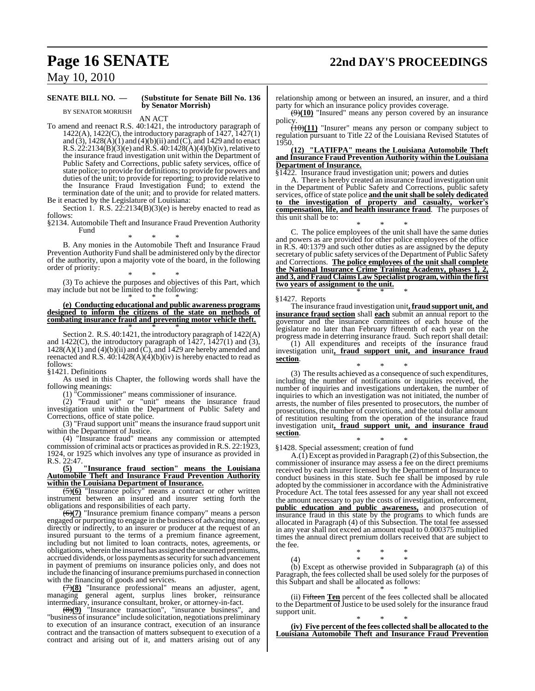# **Page 16 SENATE 22nd DAY'S PROCEEDINGS**

May 10, 2010

### **SENATE BILL NO. — (Substitute for Senate Bill No. 136** BY SENATOR MORRISH

**by Senator Morrish)** AN ACT

To amend and reenact R.S. 40:1421, the introductory paragraph of 1422(A), 1422(C), the introductory paragraph of 1427, 1427(1) and  $(3)$ ,  $(1428(A)(1)$  and  $(4)(b)(ii)$  and  $(C)$ , and 1429 and to enact R.S. 22:2134(B)(3)(e) and R.S. 40:1428(A)(4)(b)(iv), relative to the insurance fraud investigation unit within the Department of Public Safety and Corrections, public safety services, office of state police; to provide for definitions; to provide for powers and duties of the unit; to provide for reporting; to provide relative to the Insurance Fraud Investigation Fund; to extend the termination date of the unit; and to provide for related matters.

Be it enacted by the Legislature of Louisiana: Section 1. R.S.  $2\overline{2}$ :2134(B)(3)(e) is hereby enacted to read as follows:

§2134. Automobile Theft and Insurance Fraud Prevention Authority Fund

\* \* \* B. Any monies in the Automobile Theft and Insurance Fraud Prevention Authority Fund shall be administered only by the director of the authority, upon a majority vote of the board, in the following order of priority:

\* \* \* (3) To achieve the purposes and objectives of this Part, which may include but not be limited to the following:

### \* \* \* **(e) Conducting educational and public awareness programs designed to inform the citizens of the state on methods of combating insurance fraud and preventing motor vehicle theft.** \* \* \*

Section 2. R.S. 40:1421, the introductory paragraph of 1422(A) and  $1422(C)$ , the introductory paragraph of  $1427$ ,  $1427(1)$  and (3),  $1428(A)(1)$  and  $(4)(b)(ii)$  and  $(\hat{C})$ , and 1429 are hereby amended and reenacted and R.S.  $40:1428(A)(4)(b)(iv)$  is hereby enacted to read as follows:

§1421. Definitions

As used in this Chapter, the following words shall have the following meanings:

(1) "Commissioner" means commissioner of insurance.

(2) "Fraud unit" or "unit" means the insurance fraud investigation unit within the Department of Public Safety and Corrections, office of state police.

(3) "Fraud support unit" means the insurance fraud support unit within the Department of Justice.

(4) "Insurance fraud" means any commission or attempted commission of criminal acts or practices as provided in R.S. 22:1923, 1924, or 1925 which involves any type of insurance as provided in R.S. 22:47.

### **(5) "Insurance fraud section" means the Louisiana Automobile Theft and Insurance Fraud Prevention Authority within the Louisiana Department of Insurance.**

(5)**(6)** "Insurance policy" means a contract or other written instrument between an insured and insurer setting forth the obligations and responsibilities of each party.

(6)**(7)** "Insurance premium finance company" means a person engaged or purporting to engage in the business of advancing money, directly or indirectly, to an insurer or producer at the request of an insured pursuant to the terms of a premium finance agreement, including but not limited to loan contracts, notes, agreements, or obligations, wherein the insured has assigned the unearned premiums, accrued dividends, or loss payments as security for such advancement in payment of premiums on insurance policies only, and does not include the financing of insurance premiums purchased in connection with the financing of goods and services.

(7)**(8)** "Insurance professional" means an adjuster, agent, managing general agent, surplus lines broker, reinsurance intermediary, insurance consultant, broker, or attorney-in-fact.

(8)**(9)** "Insurance transaction", "insurance business", and "business of insurance" include solicitation, negotiations preliminary to execution of an insurance contract, execution of an insurance contract and the transaction of matters subsequent to execution of a contract and arising out of it, and matters arising out of any

relationship among or between an insured, an insurer, and a third party for which an insurance policy provides coverage.

(9)**(10)** "Insured" means any person covered by an insurance policy.

(10)**(11)** "Insurer" means any person or company subject to regulation pursuant to Title 22 of the Louisiana Revised Statutes of 1950.

**(12) "LATIFPA" means the Louisiana Automobile Theft and Insurance Fraud Prevention Authority within the Louisiana Department of Insurance.**

§1422. Insurance fraud investigation unit; powers and duties

A. There is hereby created an insurance fraud investigation unit in the Department of Public Safety and Corrections, public safety services, office ofstate police **and the unit shall be solely dedicated to the investigation of property and casualty, worker's compensation, life, and health insurance fraud**. The purposes of this unit shall be to:

\* \* \*

C. The police employees of the unit shall have the same duties and powers as are provided for other police employees of the office in R.S. 40:1379 and such other duties as are assigned by the deputy secretary of public safety services of the Department of Public Safety and Corrections. **The police employees of the unit shall complete the National Insurance Crime Training Academy, phases 1, 2, and 3, and Fraud Claims Law Specialist program, within the first two years of assignment to the unit.** \* \* \*

### §1427. Reports

The insurance fraud investigation unit**, fraud support unit, and insurance fraud section** shall **each** submit an annual report to the governor and the insurance committees of each house of the legislature no later than February fifteenth of each year on the progress made in deterring insurance fraud. Such report shall detail:

(1) All expenditures and receipts of the insurance fraud investigation unit**, fraud support unit, and insurance fraud section**.

\* \* \* (3) The results achieved as a consequence of such expenditures, including the number of notifications or inquiries received, the number of inquiries and investigations undertaken, the number of inquiries to which an investigation was not initiated, the number of arrests, the number of files presented to prosecutors, the number of prosecutions, the number of convictions, and the total dollar amount of restitution resulting from the operation of the insurance fraud investigation unit**, fraud support unit, and insurance fraud section**.

\* \* \* §1428. Special assessment; creation of fund

 $A(f)$  Except as provided in Paragraph (2) of this Subsection, the commissioner of insurance may assess a fee on the direct premiums received by each insurer licensed by the Department of Insurance to conduct business in this state. Such fee shall be imposed by rule adopted by the commissioner in accordance with the Administrative Procedure Act. The total fees assessed for any year shall not exceed the amount necessary to pay the costs of investigation, enforcement, **public education and public awareness,** and prosecution of insurance fraud in this state by the programs to which funds are allocated in Paragraph (4) of this Subsection. The total fee assessed in any year shall not exceed an amount equal to 0.000375 multiplied times the annual direct premium dollars received that are subject to the fee.

(4) \* \* \* (b) Except as otherwise provided in Subparagraph (a) of this Paragraph, the fees collected shall be used solely for the purposes of this Subpart and shall be allocated as follows:

\* \* \*

\* \* \* (ii) Fifteen **Ten** percent of the fees collected shall be allocated to the Department of Justice to be used solely for the insurance fraud support unit.

\* \* \* **(iv) Five percent of the fees collected shall be allocated to the Louisiana Automobile Theft and Insurance Fraud Prevention**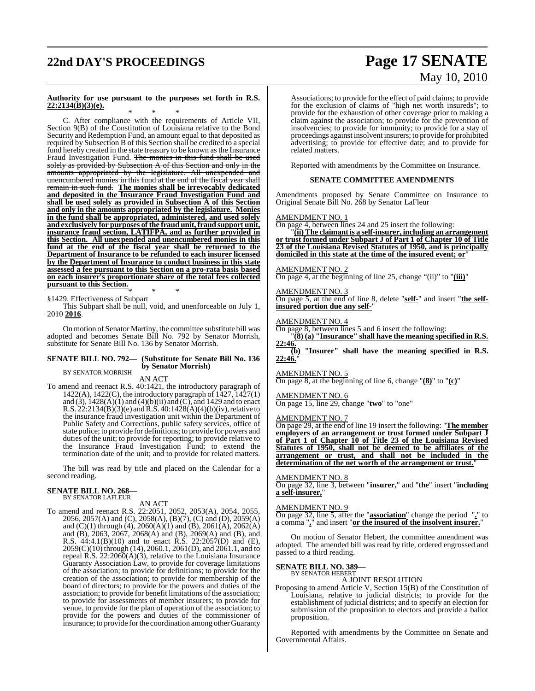# **22nd DAY'S PROCEEDINGS Page 17 SENATE**

# May 10, 2010

### **Authority for use pursuant to the purposes set forth in R.S. 22:2134(B)(3)(e).** \* \* \*

C. After compliance with the requirements of Article VII, Section 9(B) of the Constitution of Louisiana relative to the Bond Security and Redemption Fund, an amount equal to that deposited as required by Subsection B of this Section shall be credited to a special fund hereby created in the state treasury to be known as the Insurance Fraud Investigation Fund. The monies in this fund shall be used solely as provided by Subsection A of this Section and only in the amounts appropriated by the legislature. All unexpended and unencumbered monies in this fund at the end of the fiscal year shall remain in such fund. **The monies shall be irrevocably dedicated and deposited in the Insurance Fraud Investigation Fund and shall be used solely as provided in Subsection A of this Section and only in the amounts appropriated by the legislature. Monies in the fund shall be appropriated, administered, and used solely and exclusively for purposes of the fraud unit, fraud support unit, insurance fraud section, LATIFPA, and as further provided in this Section. All unexpended and unencumbered monies in this fund at the end of the fiscal year shall be returned to the Department of Insurance to be refunded to each insurer licensed by the Department of Insurance to conduct business in this state assessed a fee pursuant to this Section on a pro-rata basis based on each insurer's proportionate share of the total fees collected pursuant to this Section.**

\* \* \* §1429. Effectiveness of Subpart

This Subpart shall be null, void, and unenforceable on July 1, 2010 **2016**.

On motion of Senator Martiny, the committee substitute bill was adopted and becomes Senate Bill No. 792 by Senator Morrish, substitute for Senate Bill No. 136 by Senator Morrish.

#### **SENATE BILL NO. 792— (Substitute for Senate Bill No. 136 by Senator Morrish)** BY SENATOR MORRISH

AN ACT

To amend and reenact R.S. 40:1421, the introductory paragraph of 1422(A), 1422(C), the introductory paragraph of 1427, 1427(1) and (3),  $1428(A)(1)$  and  $(4)(b)(ii)$  and  $(C)$ , and 1429 and to enact R.S.  $22:2134(B)(3)$ (e) and R.S.  $40:1428(A)(4)(b)(iv)$ , relative to the insurance fraud investigation unit within the Department of Public Safety and Corrections, public safety services, office of state police; to provide for definitions; to provide for powers and duties of the unit; to provide for reporting; to provide relative to the Insurance Fraud Investigation Fund; to extend the termination date of the unit; and to provide for related matters.

The bill was read by title and placed on the Calendar for a second reading.

### **SENATE BILL NO. 268—** BY SENATOR LAFLEUR

AN ACT

To amend and reenact R.S. 22:2051, 2052, 2053(A), 2054, 2055, 2056, 2057(A) and (C), 2058(A), (B)(7), (C) and (D), 2059(A) and (C)(1) through (4), 2060(A)(1) and (B), 2061(A), 2062(A) and (B), 2063, 2067, 2068(A) and (B), 2069(A) and (B), and R.S. 44:4.1(B)(10) and to enact R.S. 22:2057(D) and (E),  $2059(C)(10)$  through (14), 2060.1, 2061(D), and 2061.1, and to repeal R.S.  $22:2060(A)(3)$ , relative to the Louisiana Insurance Guaranty Association Law, to provide for coverage limitations of the association; to provide for definitions; to provide for the creation of the association; to provide for membership of the board of directors; to provide for the powers and duties of the association; to provide for benefit limitations of the association; to provide for assessments of member insurers; to provide for venue, to provide for the plan of operation of the association; to provide for the powers and duties of the commissioner of insurance; to provide for the coordination among other Guaranty

Associations; to provide for the effect of paid claims; to provide for the exclusion of claims of "high net worth insureds"; to provide for the exhaustion of other coverage prior to making a claim against the association; to provide for the prevention of insolvencies; to provide for immunity; to provide for a stay of proceedings against insolvent insurers; to provide for prohibited advertising; to provide for effective date; and to provide for related matters.

Reported with amendments by the Committee on Insurance.

### **SENATE COMMITTEE AMENDMENTS**

Amendments proposed by Senate Committee on Insurance to Original Senate Bill No. 268 by Senator LaFleur

### AMENDMENT NO. 1

On page 4, between lines 24 and 25 insert the following:

"**(ii) The claimantis a self-insurer, including an arrangement or trust formed under Subpart J of Part 1 of Chapter 10 of Title 23 of the Louisiana Revised Statutes of 1950, and is principally domiciled in this state at the time of the insured event; or**"

### AMENDMENT NO. 2

On page 4, at the beginning of line 25, change "(ii)" to "**(iii)**"

### AMENDMENT NO. 3

On page 5, at the end of line 8, delete "**self-**" and insert "**the selfinsured portion due any self-**"

### AMENDMENT NO. 4

On page 8, between lines 5 and 6 insert the following:

"**(8) (a) "Insurance" shall have the meaning specified in R.S. 22:46.**

**(b) "Insurer" shall have the meaning specified in R.S. 22:46.**"

### AMENDMENT NO. 5

On page 8, at the beginning of line 6, change "**(8)**" to "**(c)**"

### AMENDMENT NO. 6

On page 15, line 29, change "**two**" to "one"

### AMENDMENT NO. 7

On page 29, at the end of line 19 insert the following: "**The member employers of an arrangement or trust formed under Subpart J of Part 1 of Chapter 10 of Title 23 of the Louisiana Revised Statutes of 1950, shall not be deemed to be affiliates of the arrangement or trust, and shall not be included in the determination of the net worth of the arrangement or trust.**"

### AMENDMENT NO. 8

On page 32, line 3, between "**insurer,**" and "**the**" insert "**including a self-insurer,**"

### AMENDMENT NO. 9

On page 32, line 5, after the "**association**" change the period "**.**" to a comma "**,**" and insert "**or the insured of the insolvent insurer.**"

On motion of Senator Hebert, the committee amendment was adopted. The amended bill was read by title, ordered engrossed and passed to a third reading.

### **SENATE BILL NO. 389—** BY SENATOR HEBERT

### A JOINT RESOLUTION

Proposing to amend Article V, Section 15(B) of the Constitution of Louisiana, relative to judicial districts; to provide for the establishment of judicial districts; and to specify an election for submission of the proposition to electors and provide a ballot proposition.

Reported with amendments by the Committee on Senate and Governmental Affairs.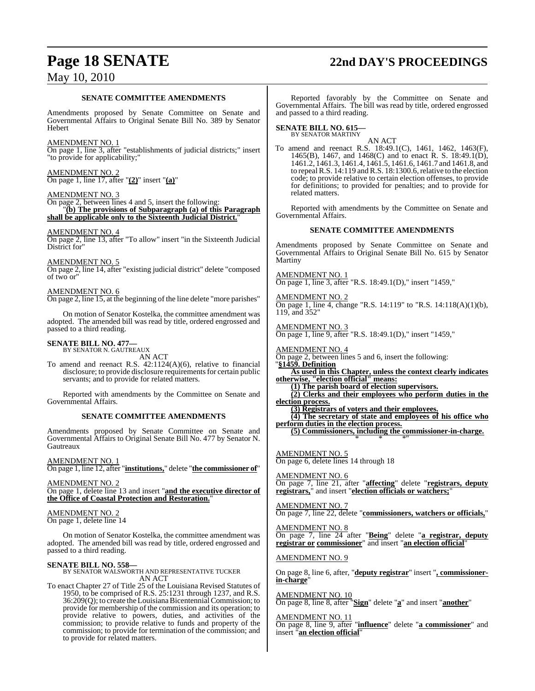# **Page 18 SENATE 22nd DAY'S PROCEEDINGS**

### May 10, 2010

### **SENATE COMMITTEE AMENDMENTS**

Amendments proposed by Senate Committee on Senate and Governmental Affairs to Original Senate Bill No. 389 by Senator Hebert

### AMENDMENT NO. 1

On page 1, line 3, after "establishments of judicial districts;" insert "to provide for applicability;"

AMENDMENT NO. 2 On page 1, line 17, after "**(2)**" insert "**(a)**"

### AMENDMENT NO. 3

On page 2, between lines 4 and 5, insert the following: "**(b) The provisions of Subparagraph (a) of this Paragraph shall be applicable only to the Sixteenth Judicial District.**"

### AMENDMENT NO. 4

On page 2, line 13, after "To allow" insert "in the Sixteenth Judicial District for'

### AMENDMENT NO. 5

On page 2, line 14, after "existing judicial district" delete "composed of two or"

### AMENDMENT NO. 6

On page 2, line 15, at the beginning of the line delete "more parishes"

On motion of Senator Kostelka, the committee amendment was adopted. The amended bill was read by title, ordered engrossed and passed to a third reading.

### **SENATE BILL NO. 477—** BY SENATOR N. GAUTREAUX

AN ACT

To amend and reenact R.S. 42:1124(A)(6), relative to financial disclosure; to provide disclosure requirements for certain public servants; and to provide for related matters.

Reported with amendments by the Committee on Senate and Governmental Affairs.

### **SENATE COMMITTEE AMENDMENTS**

Amendments proposed by Senate Committee on Senate and Governmental Affairs to Original Senate Bill No. 477 by Senator N. **Gautreaux** 

AMENDMENT NO. 1

On page 1, line 12, after "**institutions,**" delete "**the commissioner of**"

AMENDMENT NO. 2 On page 1, delete line 13 and insert "**and the executive director of the Office of Coastal Protection and Restoration.**"

### AMENDMENT NO. 2

On page 1, delete line 14

On motion of Senator Kostelka, the committee amendment was adopted. The amended bill was read by title, ordered engrossed and passed to a third reading.

**SENATE BILL NO. 558—** BY SENATOR WALSWORTH AND REPRESENTATIVE TUCKER AN ACT

To enact Chapter 27 of Title 25 of the Louisiana Revised Statutes of 1950, to be comprised of R.S. 25:1231 through 1237, and R.S. 36:209(Q); to create theLouisianaBicentennialCommission; to provide for membership of the commission and its operation; to provide relative to powers, duties, and activities of the commission; to provide relative to funds and property of the commission; to provide for termination of the commission; and to provide for related matters.

Reported favorably by the Committee on Senate and Governmental Affairs. The bill was read by title, ordered engrossed and passed to a third reading.

# **SENATE BILL NO. 615—** BY SENATOR MARTINY

AN ACT

To amend and reenact R.S. 18:49.1(C), 1461, 1462, 1463(F), 1465(B), 1467, and 1468(C) and to enact R. S. 18:49.1(D), 1461.2, 1461.3, 1461.4, 1461.5, 1461.6, 1461.7 and 1461.8, and to repeal R.S. 14:119 and R.S. 18:1300.6, relative to the election code; to provide relative to certain election offenses, to provide for definitions; to provided for penalties; and to provide for related matters.

Reported with amendments by the Committee on Senate and Governmental Affairs.

### **SENATE COMMITTEE AMENDMENTS**

Amendments proposed by Senate Committee on Senate and Governmental Affairs to Original Senate Bill No. 615 by Senator Martiny

AMENDMENT NO. 1 On page 1, line 3, after "R.S. 18:49.1(D)," insert "1459,"

AMENDMENT NO. 2 On page 1, line 4, change "R.S. 14:119" to "R.S. 14:118(A)(1)(b), 119, and 352"

AMENDMENT NO. 3 On page 1, line 9, after "R.S. 18:49.1(D)," insert "1459,"

AMENDMENT NO. 4

On page 2, between lines 5 and 6, insert the following: "**§1459. Definition**

**As used in this Chapter, unless the context clearly indicates otherwise, "election official" means:**

**(1) The parish board of election supervisors.**

**(2) Clerks and their employees who perform duties in the election process.**

**(3) Registrars of voters and their employees.**

**(4) The secretary of state and employees of his office who perform duties in the election process.**

**(5) Commissioners, including the commissioner-in-charge.** \* \* \*"

AMENDMENT NO. 5 On page 6, delete lines 14 through 18

AMENDMENT NO. 6 On page 7, line 21, after "**affecting**" delete "**registrars, deputy registrars,**" and insert "**election officials or watchers;**"

AMENDMENT NO. 7

On page 7, line 22, delete "**commissioners, watchers or officials,**"

AMENDMENT NO. 8 On page 7, line 24 after "**Being**" delete "**a registrar, deputy registrar or commissioner**" and insert "**an election official**"

### AMENDMENT NO. 9

On page 8, line 6, after, "**deputy registrar**" insert "**, commissionerin-charge**"

AMENDMENT NO. 10 On page 8, line 8, after "**Sign**" delete "**a**" and insert "**another**"

AMENDMENT NO. 11 On page 8, line 9, after "**influence**" delete "**a commissioner**" and insert "**an election official**"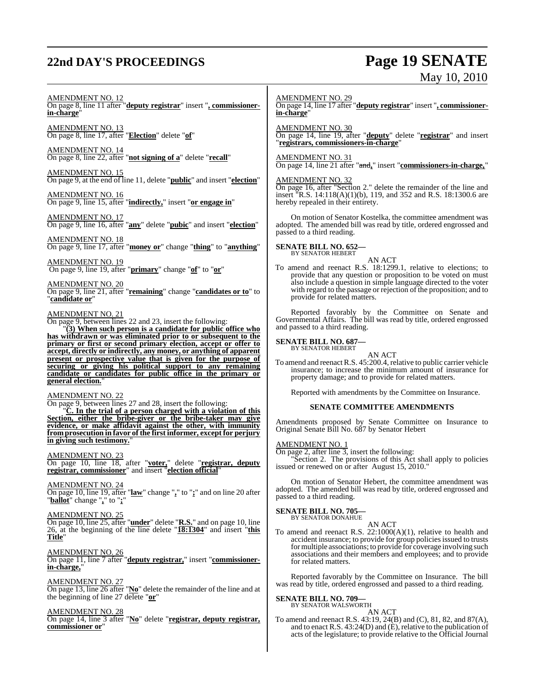# **22nd DAY'S PROCEEDINGS Page 19 SENATE**

# May 10, 2010

### AMENDMENT NO. 12

On page 8, line 11 after "**deputy registrar**" insert "**, commissionerin-charge**"

AMENDMENT NO. 13 On page 8, line 17, after "**Election**" delete "**of**"

AMENDMENT NO. 14 On page 8, line 22, after "**not signing of a**" delete "**recall**"

AMENDMENT NO. 15 On page 9, at the end of line 11, delete "**public**" and insert "**election**"

AMENDMENT NO. 16 On page 9, line 15, after "**indirectly,**" insert "**or engage in**"

AMENDMENT NO. 17 On page 9, line 16, after "**any**" delete "**pubic**" and insert "**election**"

AMENDMENT NO. 18 On page 9, line 17, after "**money or**" change "**thing**" to "**anything**"

AMENDMENT NO. 19 On page 9, line 19, after "**primary**" change "**of**" to "**or**"

AMENDMENT NO. 20 On page 9, line 21, after "**remaining**" change "**candidates or to**" to "**candidate or**"

AMENDMENT NO. 21

On page 9, between lines 22 and 23, insert the following:

"**(3) When such person is a candidate for public office who has withdrawn or was eliminated prior to or subsequent to the primary or first or second primary election, accept or offer to accept, directly or indirectly, any money, or anything of apparent present or prospective value that is given for the purpose of securing or giving his political support to any remaining candidate or candidates for public office in the primary or general election.**"

AMENDMENT NO. 22

On page 9, between lines 27 and 28, insert the following: "**C. In the trial of a person charged with a violation of this Section, either the bribe-giver or the bribe-taker may give evidence, or make affidavit against the other, with immunity from prosecution in favor of the first informer, except for perjury in giving such testimony.**"

### AMENDMENT NO. 23

On page 10, line 18, after "**voter,**" delete "**registrar, deputy registrar, commissioner**" and insert "**election official**"

AMENDMENT NO. 24 On page 10, line 19, after "**law**" change "**,**" to "**;**" and on line 20 after "**ballot**" change "**,**" to "**;**"

AMENDMENT NO. 25

On page 10, line 25, after "**under**" delete "**R.S.**" and on page 10, line 26, at the beginning of the line delete "**18:1304**" and insert "**this Title**"

AMENDMENT NO. 26 On page 11, line 7 after "**deputy registrar,**" insert "**commissionerin-charge,**"

AMENDMENT NO. 27 On page 13, line 26 after "**No**" delete the remainder of the line and at the beginning of line 27 delete "**or**"

AMENDMENT NO. 28

On page 14, line 3 after "**No**" delete "**registrar, deputy registrar, commissioner or**"

AMENDMENT NO. 29

On page 14, line 17 after "**deputy registrar**" insert "**, commissionerin-charge**"

AMENDMENT NO. 30

On page 14, line 19, after "**deputy**" delete "**registrar**" and insert "**registrars, commissioners-in-charge**"

AMENDMENT NO. 31

On page 14, line 21 after "and**,**" insert "**commissioners-in-charge,**"

AMENDMENT NO. 32

On page 16, after "Section 2." delete the remainder of the line and insert "R.S. 14:118(A)(1)(b), 119, and 352 and R.S. 18:1300.6 are hereby repealed in their entirety.

On motion of Senator Kostelka, the committee amendment was adopted. The amended bill was read by title, ordered engrossed and passed to a third reading.

### **SENATE BILL NO. 652—** BY SENATOR HEBERT

AN ACT

To amend and reenact R.S. 18:1299.1, relative to elections; to provide that any question or proposition to be voted on must also include a question in simple language directed to the voter with regard to the passage or rejection of the proposition; and to provide for related matters.

Reported favorably by the Committee on Senate and Governmental Affairs. The bill was read by title, ordered engrossed and passed to a third reading.

### **SENATE BILL NO. 687—** BY SENATOR HEBERT

AN ACT

To amend and reenact R.S. 45:200.4, relative to public carrier vehicle insurance; to increase the minimum amount of insurance for property damage; and to provide for related matters.

Reported with amendments by the Committee on Insurance.

### **SENATE COMMITTEE AMENDMENTS**

Amendments proposed by Senate Committee on Insurance to Original Senate Bill No. 687 by Senator Hebert

### AMENDMENT NO. 1

On page 2, after line 3, insert the following:

"Section 2. The provisions of this Act shall apply to policies issued or renewed on or after August 15, 2010."

On motion of Senator Hebert, the committee amendment was adopted. The amended bill was read by title, ordered engrossed and passed to a third reading.

### **SENATE BILL NO. 705—** BY SENATOR DONAHUE

AN ACT

To amend and reenact R.S. 22:1000(A)(1), relative to health and accident insurance; to provide for group policies issued to trusts formultiple associations; to provide for coverage involving such associations and their members and employees; and to provide for related matters.

Reported favorably by the Committee on Insurance. The bill was read by title, ordered engrossed and passed to a third reading.

#### **SENATE BILL NO. 709—** BY SENATOR WALSWORTH

AN ACT

To amend and reenact R.S. 43:19, 24(B) and (C), 81, 82, and 87(A), and to enact R.S. 43:24(D) and (E), relative to the publication of acts of the legislature; to provide relative to the Official Journal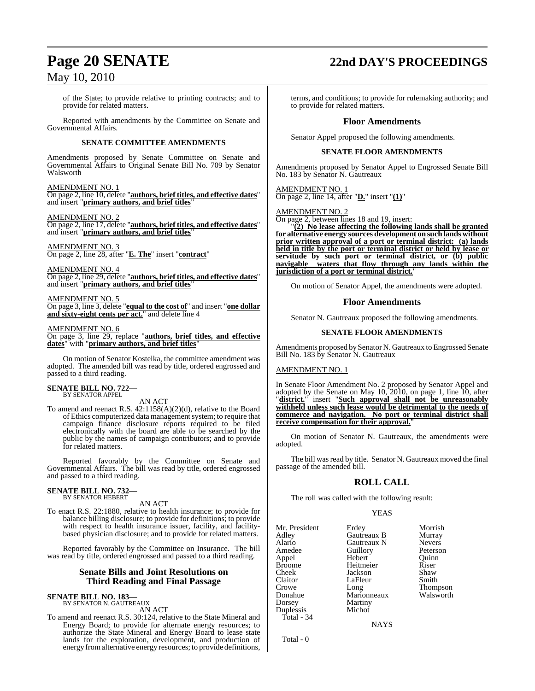of the State; to provide relative to printing contracts; and to provide for related matters.

Reported with amendments by the Committee on Senate and Governmental Affairs.

### **SENATE COMMITTEE AMENDMENTS**

Amendments proposed by Senate Committee on Senate and Governmental Affairs to Original Senate Bill No. 709 by Senator Walsworth

### AMENDMENT NO. 1

On page 2, line 10, delete "**authors, brief titles, and effective dates**" and insert "**primary authors, and brief titles**"

### AMENDMENT NO. 2

On page 2, line 17, delete "**authors, brief titles, and effective dates**" and insert "**primary authors, and brief titles**"

### AMENDMENT NO. 3

On page 2, line 28, after "**E. The**" insert "**contract**"

AMENDMENT NO. 4

On page 2, line 29, delete "**authors, brief titles, and effective dates**" and insert "**primary authors, and brief titles**"

AMENDMENT NO. 5

On page 3, line 3, delete "**equal to the cost of**" and insert "**one dollar and sixty-eight cents per act.**" and delete line 4

### AMENDMENT NO. 6

On page 3, line 29, replace "**authors, brief titles, and effective dates**" with "**primary authors, and brief titles**"

On motion of Senator Kostelka, the committee amendment was adopted. The amended bill was read by title, ordered engrossed and passed to a third reading.

### **SENATE BILL NO. 722—** BY SENATOR APPEL

### AN ACT

To amend and reenact R.S. 42:1158(A)(2)(d), relative to the Board of Ethics computerized data management system; to require that campaign finance disclosure reports required to be filed electronically with the board are able to be searched by the public by the names of campaign contributors; and to provide for related matters.

Reported favorably by the Committee on Senate and Governmental Affairs. The bill was read by title, ordered engrossed and passed to a third reading.

#### **SENATE BILL NO. 732—** BY SENATOR HEBERT

AN ACT

To enact R.S. 22:1880, relative to health insurance; to provide for balance billing disclosure; to provide for definitions; to provide with respect to health insurance issuer, facility, and facilitybased physician disclosure; and to provide for related matters.

Reported favorably by the Committee on Insurance. The bill was read by title, ordered engrossed and passed to a third reading.

### **Senate Bills and Joint Resolutions on Third Reading and Final Passage**

#### **SENATE BILL NO. 183—** BY SENATOR N. GAUTREAUX

AN ACT

To amend and reenact R.S. 30:124, relative to the State Mineral and Energy Board; to provide for alternate energy resources; to authorize the State Mineral and Energy Board to lease state lands for the exploration, development, and production of energy fromalternative energy resources; to provide definitions,

## **Page 20 SENATE 22nd DAY'S PROCEEDINGS**

terms, and conditions; to provide for rulemaking authority; and to provide for related matters.

### **Floor Amendments**

Senator Appel proposed the following amendments.

### **SENATE FLOOR AMENDMENTS**

Amendments proposed by Senator Appel to Engrossed Senate Bill No. 183 by Senator N. Gautreaux

AMENDMENT NO. 1 On page 2, line 14, after "**D.**" insert "**(1)**"

AMENDMENT NO. 2

On page 2, between lines 18 and 19, insert:

"**(2) No lease affecting the following lands shall be granted for alternative energy sources development on such lands without prior written approval of a port or terminal district: (a) lands held in title by the port or terminal district or held by lease or servitude by such port or terminal district, or (b) public navigable waters that flow through any lands within the jurisdiction of a port or terminal district.**"

On motion of Senator Appel, the amendments were adopted.

### **Floor Amendments**

Senator N. Gautreaux proposed the following amendments.

### **SENATE FLOOR AMENDMENTS**

Amendments proposed by Senator N. Gautreaux to Engrossed Senate Bill No. 183 by Senator N. Gautreaux

### AMENDMENT NO. 1

In Senate Floor Amendment No. 2 proposed by Senator Appel and adopted by the Senate on May 10, 2010, on page 1, line 10, after "**district.**" insert "**Such approval shall not be unreasonably withheld unless such lease would be detrimental to the needs of commerce and navigation. No port or terminal district shall receive compensation for their approval.**"

On motion of Senator N. Gautreaux, the amendments were adopted.

The bill was read by title. Senator N. Gautreaux moved the final passage of the amended bill.

### **ROLL CALL**

The roll was called with the following result:

### YEAS

| Mr. President<br>Adley<br>Alario<br>Amedee<br>Appel<br><b>Broome</b><br>Cheek<br>Claitor<br>Crowe<br>Donahue<br>Dorsey | Erdey<br>Gautreaux B<br>Gautreaux N<br>Guillory<br>Hebert<br>Heitmeier<br>Jackson<br>LaFleur<br>Long<br>Marionneaux<br>Martiny | Morrish<br>Murray<br><b>Nevers</b><br>Peterson<br>Ouinn<br>Riser<br>Shaw<br>Smith<br>Thompso<br>Walswor |
|------------------------------------------------------------------------------------------------------------------------|--------------------------------------------------------------------------------------------------------------------------------|---------------------------------------------------------------------------------------------------------|
| Duplessis<br>Total - 34                                                                                                | Michot                                                                                                                         |                                                                                                         |

External connective connective values of the connection of the United States of the Thompson  $\frac{1}{2}$ Walsworth

Total - 0

**NAYS**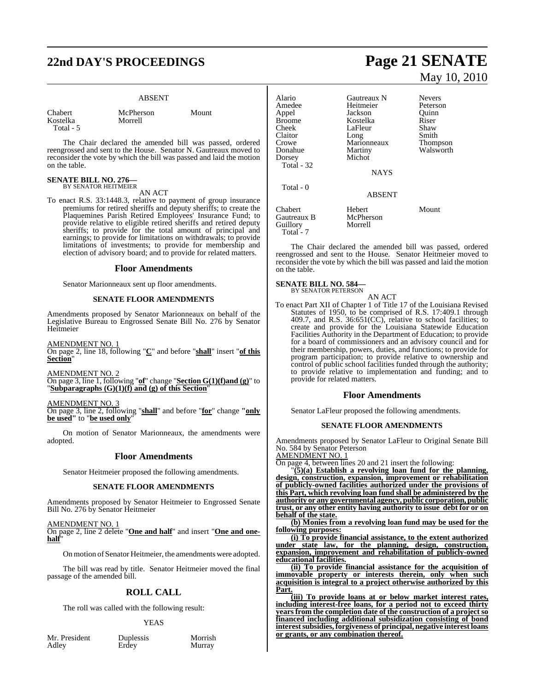# **22nd DAY'S PROCEEDINGS Page 21 SENATE**

### ABSENT

| Chabert   |  |
|-----------|--|
| Kostelka  |  |
| Total - 5 |  |

McPherson Mount Morrell

The Chair declared the amended bill was passed, ordered reengrossed and sent to the House. Senator N. Gautreaux moved to reconsider the vote by which the bill was passed and laid the motion on the table.

### **SENATE BILL NO. 276—** BY SENATOR HEITMEIER

AN ACT

To enact R.S. 33:1448.3, relative to payment of group insurance premiums for retired sheriffs and deputy sheriffs; to create the Plaquemines Parish Retired Employees' Insurance Fund; to provide relative to eligible retired sheriffs and retired deputy sheriffs; to provide for the total amount of principal and earnings; to provide for limitations on withdrawals; to provide limitations of investments; to provide for membership and election of advisory board; and to provide for related matters.

### **Floor Amendments**

Senator Marionneaux sent up floor amendments.

### **SENATE FLOOR AMENDMENTS**

Amendments proposed by Senator Marionneaux on behalf of the Legislative Bureau to Engrossed Senate Bill No. 276 by Senator Heitmeier

AMENDMENT NO. 1

On page 2, line 18, following "**C**" and before "**shall**" insert "**of this Section**"

AMENDMENT NO. 2

On page 3, line 1, following "**of**" change "**Section G(1)(f)and (g)**" to "**Subparagraphs (G)(1)(f) and (g) of this Section**"

AMENDMENT NO. 3

On page 3, line 2, following "**shall**" and before "**for**" change **"only be used"** to "**be used only**"

On motion of Senator Marionneaux, the amendments were adopted.

### **Floor Amendments**

Senator Heitmeier proposed the following amendments.

### **SENATE FLOOR AMENDMENTS**

Amendments proposed by Senator Heitmeier to Engrossed Senate Bill No. 276 by Senator Heitmeier

AMENDMENT NO. 1 On page 2, line 2 delete "**One and half**" and insert "**One and onehalf**"

On motion of Senator Heitmeier, the amendments were adopted.

The bill was read by title. Senator Heitmeier moved the final passage of the amended bill.

### **ROLL CALL**

The roll was called with the following result:

### **YEAS**

Mr. President Duplessis Morrish<br>Adley Erdey Murray

Murray

# May 10, 2010

| Alario<br>Amedee<br>Appel<br>Broome<br>Cheek<br>Claitor<br>Crowe<br>Donahue<br>Dorsey<br>Total - 32<br>Total $-0$ | Gautreaux N<br>Heitmeier<br>Jackson<br>Kostelka<br>LaFleur<br>Long<br>Marionneaux<br>Martiny<br>Michot<br><b>NAYS</b> | <b>Nevers</b><br>Peterson<br>Ouinn<br>Riser<br>Shaw<br>Smith<br><b>Thompson</b><br>Walsworth |
|-------------------------------------------------------------------------------------------------------------------|-----------------------------------------------------------------------------------------------------------------------|----------------------------------------------------------------------------------------------|
|                                                                                                                   | <b>ABSENT</b>                                                                                                         |                                                                                              |
| Chabert<br>Gautreaux B<br>Guillory                                                                                | Hebert<br>McPherson<br>Morrell                                                                                        | Mount                                                                                        |

The Chair declared the amended bill was passed, ordered reengrossed and sent to the House. Senator Heitmeier moved to reconsider the vote by which the bill was passed and laid the motion on the table.

### **SENATE BILL NO. 584—** BY SENATOR PETERSON

Total<sup>-</sup>7

AN ACT

To enact Part XII of Chapter 1 of Title 17 of the Louisiana Revised Statutes of 1950, to be comprised of R.S. 17:409.1 through 409.7, and R.S.  $36:651(CC)$ , relative to school facilities; to create and provide for the Louisiana Statewide Education Facilities Authority in the Department of Education; to provide for a board of commissioners and an advisory council and for their membership, powers, duties, and functions; to provide for program participation; to provide relative to ownership and control of public school facilities funded through the authority; to provide relative to implementation and funding; and to provide for related matters.

### **Floor Amendments**

Senator LaFleur proposed the following amendments.

### **SENATE FLOOR AMENDMENTS**

Amendments proposed by Senator LaFleur to Original Senate Bill No. 584 by Senator Peterson

AMENDMENT NO. 1

On page 4, between lines 20 and 21 insert the following:

"**(5)(a) Establish a revolving loan fund for the planning, design, construction, expansion, improvement or rehabilitation of publicly-owned facilities authorized under the provisions of this Part, which revolving loan fund shall be administered by the authority or any governmental agency, public corporation, public trust, or any other entity having authority to issue debt for or on behalf of the state.**

**(b) Monies from a revolving loan fund may be used for the following purposes:**

**(i) To provide financial assistance, to the extent authorized under state law, for the planning, design, construction, expansion, improvement and rehabilitation of publicly-owned educational facilities.**

**(ii) To provide financial assistance for the acquisition of immovable property or interests therein, only when such acquisition is integral to a project otherwise authorized by this Part.**

**(iii) To provide loans at or below market interest rates, including interest-free loans, for a period not to exceed thirty years from the completion date of the construction of a project so financed including additional subsidization consisting of bond interestsubsidies,forgiveness of principal, negative interest loans or grants, or any combination thereof.**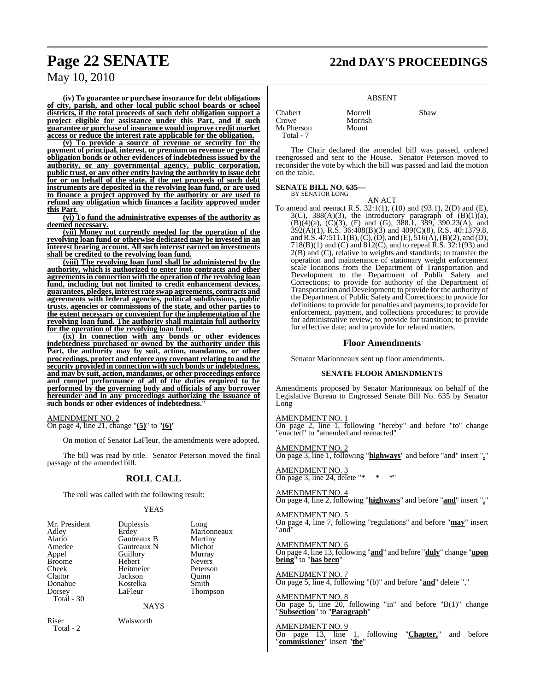## **Page 22 SENATE 22nd DAY'S PROCEEDINGS**

### May 10, 2010

**(iv) To guarantee or purchase insurance for debt obligations of city, parish, and other local public school boards or school districts, if the total proceeds of such debt obligation support a project eligible for assistance under this Part, and if such guarantee or purchase of insurance would improve credit market access or reduce the interest rate applicable for the obligation.**

**(v) To provide a source of revenue or security for the payment of principal, interest, or premium on revenue or general obligation bonds or other evidences of indebtedness issued by the authority, or any governmental agency, public corporation, public trust, or any other entity having the authority to issue debt for or on behalf of the state, if the net proceeds of such debt instruments are deposited in the revolving loan fund, or are used to finance a project approved by the authority or are used to refund any obligation which finances a facility approved under this Part.**

**(vi) To fund the administrative expenses of the authority as deemed necessary.**

**(vii) Money not currently needed for the operation of the revolving loan fund or otherwise dedicated may be invested in an interest bearing account. All such interest earned on investments shall be credited to the revolving loan fund.**

**(viii) The revolving loan fund shall be administered by the authority, which is authorized to enter into contracts and other agreementsin connection with the operation of the revolving loan fund, including but not limited to credit enhancement devices, guarantees, pledges, interest rate swap agreements, contracts and agreements with federal agencies, political subdivisions, public trusts, agencies or commissions of the state, and other parties to the extent necessary or convenient for the implementation of the revolving loan fund. The authority shall maintain full authority for the operation of the revolving loan fund.**

**(ix) In connection with any bonds or other evidences indebtedness purchased or owned by the authority under this Part, the authority may by suit, action, mandamus, or other proceedings, protect and enforce any covenant relating to and the security provided in connection with such bonds or indebtedness, and may by suit, action, mandamus, or other proceedings enforce and compel performance of all of the duties required to be performed by the governing body and officials of any borrower hereunder and in any proceedings authorizing the issuance of such bonds or other evidences of indebtedness.**"

AMENDMENT NO. 2 On page 4, line 21, change "**(5)**" to "**(6)**"

Total - 2

On motion of Senator LaFleur, the amendments were adopted.

The bill was read by title. Senator Peterson moved the final passage of the amended bill.

### **ROLL CALL**

The roll was called with the following result:

### YEAS

| Duplessis<br>Erdey<br><b>Gautreaux B</b><br>Gautreaux N<br>Guillory<br>Hebert<br>Heitmeier<br>Jackson<br>Kostelka<br>LaFleur<br><b>NAYS</b> | Long<br>Marionneaux<br>Martiny<br>Michot<br>Murray<br><b>Nevers</b><br>Peterson<br>Ouinn<br>Smith<br><b>Thompson</b> |
|---------------------------------------------------------------------------------------------------------------------------------------------|----------------------------------------------------------------------------------------------------------------------|
| Walsworth                                                                                                                                   |                                                                                                                      |
|                                                                                                                                             |                                                                                                                      |

### ABSENT

Chabert Morrell Shaw McPherson Total - 7

The Chair declared the amended bill was passed, ordered reengrossed and sent to the House. Senator Peterson moved to reconsider the vote by which the bill was passed and laid the motion on the table.

#### **SENATE BILL NO. 635—** BY SENATOR LONG

AN ACT

Morrish<br>Mount

To amend and reenact R.S. 32:1(1), (10) and (93.1), 2(D) and (E),  $3(C)$ ,  $388(A)(3)$ , the introductory paragraph of  $(B)(1)(a)$ ,  $(B)(4)(a)$ ,  $(C)(3)$ ,  $(F)$  and  $(G)$ , 388.1, 389, 390.23 $(A)$ , and 392(A)(1), R.S. 36:408(B)(3) and 409(C)(8), R.S. 40:1379.8, and R.S.  $47:511.1(B)$ , (C), (D), and (E),  $516(A)$ , (B)(2), and (D), 718(B)(1) and (C) and 812(C), and to repeal R.S. 32:1(93) and 2(B) and (C), relative to weights and standards; to transfer the operation and maintenance of stationary weight enforcement scale locations from the Department of Transportation and Development to the Department of Public Safety and Corrections; to provide for authority of the Department of Transportation and Development; to provide for the authority of the Department of Public Safety and Corrections; to provide for definitions; to provide for penalties and payments; to provide for enforcement, payment, and collections procedures; to provide for administrative review; to provide for transition; to provide for effective date; and to provide for related matters.

### **Floor Amendments**

Senator Marionneaux sent up floor amendments.

### **SENATE FLOOR AMENDMENTS**

Amendments proposed by Senator Marionneaux on behalf of the Legislative Bureau to Engrossed Senate Bill No. 635 by Senator Long

### AMENDMENT NO. 1

On page 2, line 1, following "hereby" and before "to" change "enacted" to "amended and reenacted"

### AMENDMENT NO. 2

On page 3, line 1, following "**highways**" and before "and" insert "**,**"

AMENDMENT NO. 3 On page 3, line 24, delete " $*$  \* \*"

AMENDMENT NO. 4 On page 4, line 2, following "**highways**" and before "**and**" insert "**,**"

AMENDMENT NO. 5 On page 4, line 7, following "regulations" and before "**may**" insert "and"

### AMENDMENT NO. 6

On page 4, line 13, following "**and**" and before "**duly**" change "**upon being**" to "**has been**"

### AMENDMENT NO. 7

On page 5, line 4, following "(b)" and before "**and**" delete ","

### AMENDMENT NO. 8

On page 5, line  $20$ , following "in" and before "B $(1)$ " change "**Subsection**" to "**Paragraph**"

### AMENDMENT NO. 9

On page 13, line 1, following "**Chapter,**" and before "**commissioner**" insert "**the**"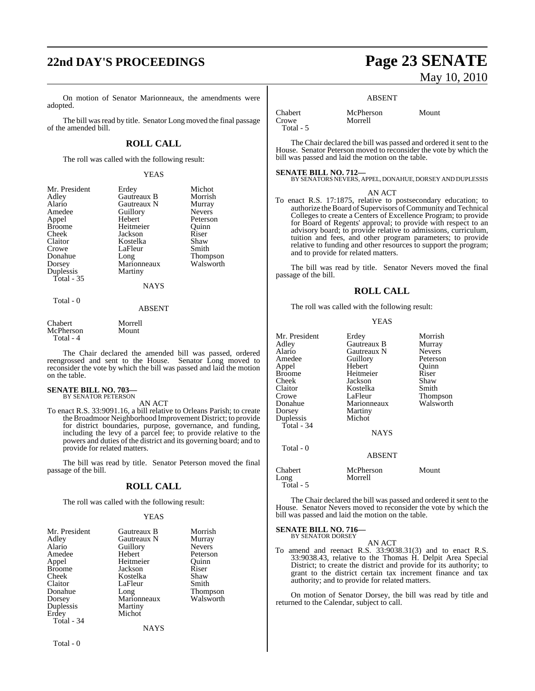# **22nd DAY'S PROCEEDINGS Page 23 SENATE**

On motion of Senator Marionneaux, the amendments were adopted.

The bill was read by title. Senator Long moved the final passage of the amended bill.

### **ROLL CALL**

The roll was called with the following result:

YEAS

Morrish **Murray** Nevers Peterson<br>Ouinn

Shaw Smith Thompson Walsworth

| Mr. President | Erdey       | Michot        |
|---------------|-------------|---------------|
| Adley         | Gautreaux B | Morrish       |
| Alario        | Gautreaux N | Murray        |
| Amedee        | Guillory    | <b>Nevers</b> |
| Appel         | Hebert      | Peterso       |
| <b>Broome</b> | Heitmeier   | Ouinn         |
| Cheek         | Jackson     | Riser         |
| Claitor       | Kostelka    | Shaw          |
| Crowe         | LaFleur     | Smith         |
| Donahue       | Long        | Thomp:        |
| Dorsey        | Marionneaux | Walswo        |
| Duplessis     | Martiny     |               |
| Total $-35$   |             |               |
|               | <b>NAYS</b> |               |
|               |             |               |

Morrell Mount

### ABSENT

| Chabert   |  |
|-----------|--|
| McPherson |  |
| Total - 4 |  |

Total - 0

The Chair declared the amended bill was passed, ordered reengrossed and sent to the House. Senator Long moved to reconsider the vote by which the bill was passed and laid the motion on the table.

### **SENATE BILL NO. 703—** BY SENATOR PETERSON

### AN ACT

To enact R.S. 33:9091.16, a bill relative to Orleans Parish; to create the Broadmoor Neighborhood Improvement District; to provide for district boundaries, purpose, governance, and funding, including the levy of a parcel fee; to provide relative to the powers and duties of the district and its governing board; and to provide for related matters.

The bill was read by title. Senator Peterson moved the final passage of the bill.

### **ROLL CALL**

The roll was called with the following result:

### YEAS

| Mr. President | Gautreaux B | Morrish       |
|---------------|-------------|---------------|
| Adley         | Gautreaux N | Murray        |
| Alario        | Guillory    | <b>Nevers</b> |
| Amedee        | Hebert      | Peterson      |
| Appel         | Heitmeier   | Ouinn         |
| <b>Broome</b> | Jackson     | Riser         |
| Cheek         | Kostelka    | Shaw          |
| Claitor       | LaFleur     | Smith         |
| Donahue       | Long        | Thompson      |
| Dorsey        | Marionneaux | Walsworth     |
| Duplessis     | Martiny     |               |
| Erdey         | Michot      |               |
| Total - 34    |             |               |
|               | NAYS        |               |

# May 10, 2010

### ABSENT

Chabert McPherson Mount

Total - 5

The Chair declared the bill was passed and ordered it sent to the House. Senator Peterson moved to reconsider the vote by which the bill was passed and laid the motion on the table.

### **SENATE BILL NO. 712—**

Morrell

BY SENATORS NEVERS, APPEL, DONAHUE, DORSEY AND DUPLESSIS

### AN ACT

To enact R.S. 17:1875, relative to postsecondary education; to authorize the Board of Supervisors of Community and Technical Colleges to create a Centers of Excellence Program; to provide for Board of Regents' approval; to provide with respect to an advisory board; to provide relative to admissions, curriculum, tuition and fees, and other program parameters; to provide relative to funding and other resources to support the program; and to provide for related matters.

The bill was read by title. Senator Nevers moved the final passage of the bill.

### **ROLL CALL**

The roll was called with the following result:

### YEAS

| Mr. President<br>Adlev<br>Alario<br>Amedee<br>Appel<br>Broome<br>Cheek<br>Claitor<br>Crowe<br>Donahue<br>Dorsey<br>Duplessis<br>Total - 34<br>Total - 0 | Erdey<br>Gautreaux B<br>Gautreaux N<br>Guillory<br>Hebert<br>Heitmeier<br>Jackson<br>Kostelka<br>LaFleur<br>Marionneaux<br>Martiny<br>Michot<br><b>NAYS</b><br><b>ABSENT</b> | Morrish<br>Murray<br><b>Nevers</b><br>Peterson<br>Ouinn<br>Riser<br>Shaw<br>Smith<br>Thompson<br>Walsworth |
|---------------------------------------------------------------------------------------------------------------------------------------------------------|------------------------------------------------------------------------------------------------------------------------------------------------------------------------------|------------------------------------------------------------------------------------------------------------|
|                                                                                                                                                         |                                                                                                                                                                              |                                                                                                            |
| Chabert<br>Long<br>Total - 5                                                                                                                            | McPherson<br>Morrell                                                                                                                                                         | Mount                                                                                                      |

The Chair declared the bill was passed and ordered it sent to the House. Senator Nevers moved to reconsider the vote by which the bill was passed and laid the motion on the table.

#### **SENATE BILL NO. 716—** BY SENATOR DORSEY

AN ACT

To amend and reenact R.S. 33:9038.31(3) and to enact R.S. 33:9038.43, relative to the Thomas H. Delpit Area Special District; to create the district and provide for its authority; to grant to the district certain tax increment finance and tax authority; and to provide for related matters.

On motion of Senator Dorsey, the bill was read by title and returned to the Calendar, subject to call.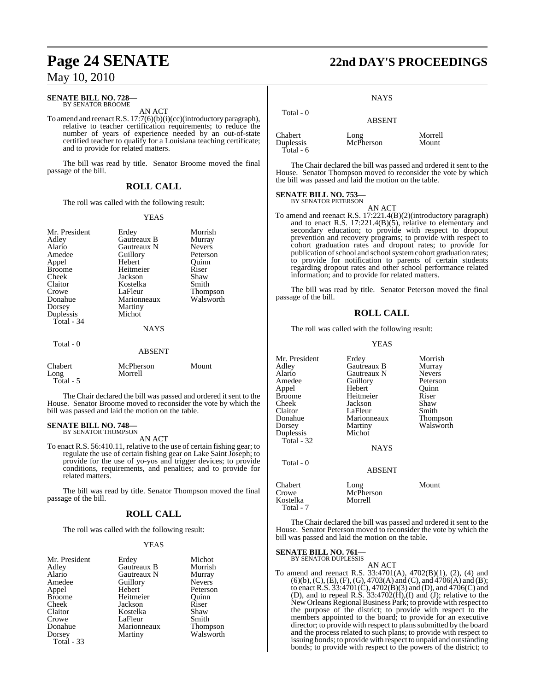### **SENATE BILL NO. 728—** BY SENATOR BROOME

AN ACT

To amend and reenactR.S. 17:7(6)(b)(i)(cc)(introductory paragraph), relative to teacher certification requirements; to reduce the number of years of experience needed by an out-of-state certified teacher to qualify for a Louisiana teaching certificate; and to provide for related matters.

The bill was read by title. Senator Broome moved the final passage of the bill.

### **ROLL CALL**

The roll was called with the following result:

### YEAS

| Mr. President<br>Adley<br>Alario<br>Amedee<br>Appel<br><b>Broome</b><br>Cheek<br>Claitor<br>Crowe<br>Donahue<br>Dorsey<br>Duplessis<br>Total - 34 | Erdey<br>Gautreaux B<br>Gautreaux N<br>Guillory<br>Hebert<br>Heitmeier<br>Jackson<br>Kostelka<br>LaFleur<br>Marionneaux<br>Martiny<br>Michot<br><b>NAYS</b> | Morrish<br>Murray<br><b>Nevers</b><br>Peterson<br>Ouinn<br>Riser<br>Shaw<br>Smith<br><b>Thompson</b><br>Walsworth |
|---------------------------------------------------------------------------------------------------------------------------------------------------|-------------------------------------------------------------------------------------------------------------------------------------------------------------|-------------------------------------------------------------------------------------------------------------------|
| Total - 0                                                                                                                                         | <b>ABSENT</b>                                                                                                                                               |                                                                                                                   |
| Chabert<br>Long<br>Total - 5                                                                                                                      | McPherson<br>Morrell                                                                                                                                        | Mount                                                                                                             |

The Chair declared the bill was passed and ordered it sent to the House. Senator Broome moved to reconsider the vote by which the bill was passed and laid the motion on the table.

#### **SENATE BILL NO. 748—** BY SENATOR THOMPSON

AN ACT

To enact R.S. 56:410.11, relative to the use of certain fishing gear; to regulate the use of certain fishing gear on Lake Saint Joseph; to provide for the use of yo-yos and trigger devices; to provide conditions, requirements, and penalties; and to provide for related matters.

The bill was read by title. Senator Thompson moved the final passage of the bill.

### **ROLL CALL**

The roll was called with the following result:

### YEAS

| Mr. President | Erdey       | Michot        |
|---------------|-------------|---------------|
| Adley         | Gautreaux B | Morrish       |
| Alario        | Gautreaux N | Murray        |
| Amedee        | Guillory    | <b>Nevers</b> |
| Appel         | Hebert      | Peterson      |
| <b>Broome</b> | Heitmeier   | Ouinn         |
| Cheek         | Jackson     | Riser         |
| Claitor       | Kostelka    | Shaw          |
| Crowe         | LaFleur     | Smith         |
| Donahue       | Marionneaux | Thompson      |
| Dorsey        | Martiny     | Walsworth     |
| Total - 33    |             |               |

## **Page 24 SENATE 22nd DAY'S PROCEEDINGS**

**NAYS** 

| Total $-0$                          | <b>ABSENT</b>     |                  |
|-------------------------------------|-------------------|------------------|
| Chabert<br>Duplessis<br>Total - $6$ | Long<br>McPherson | Morrell<br>Mount |

The Chair declared the bill was passed and ordered it sent to the House. Senator Thompson moved to reconsider the vote by which the bill was passed and laid the motion on the table.

### **SENATE BILL NO. 753—**

BY SENATOR PETERSON AN ACT

To amend and reenact R.S. 17:221.4(B)(2)(introductory paragraph) and to enact R.S. 17:221.4(B)(5), relative to elementary and secondary education; to provide with respect to dropout prevention and recovery programs; to provide with respect to cohort graduation rates and dropout rates; to provide for publication of school and school system cohort graduation rates; to provide for notification to parents of certain students regarding dropout rates and other school performance related information; and to provide for related matters.

The bill was read by title. Senator Peterson moved the final passage of the bill.

### **ROLL CALL**

The roll was called with the following result:

### YEAS

| Mr. President<br>Adley<br>Alario<br>Amedee<br>Appel<br><b>Broome</b><br>Cheek<br>Claitor<br>Donahue<br>Dorsey<br>Duplessis<br>Total $-32$ | Erdey<br>Gautreaux B<br>Gautreaux N<br>Guillory<br>Hebert<br>Heitmeier<br>Jackson<br>LaFleur<br>Marionneaux<br>Martiny<br>Michot<br><b>NAYS</b> | Morrish<br>Murray<br><b>Nevers</b><br>Peterson<br>Quinn<br>Riser<br>Shaw<br>Smith<br>Thompson<br>Walsworth |
|-------------------------------------------------------------------------------------------------------------------------------------------|-------------------------------------------------------------------------------------------------------------------------------------------------|------------------------------------------------------------------------------------------------------------|
| Total $-0$                                                                                                                                | <b>ABSENT</b>                                                                                                                                   |                                                                                                            |
| Chabert<br>Crowe<br>Kostelka                                                                                                              | Long<br>McPherson<br>Morrell                                                                                                                    | Mount                                                                                                      |

The Chair declared the bill was passed and ordered it sent to the House. Senator Peterson moved to reconsider the vote by which the bill was passed and laid the motion on the table.

#### **SENATE BILL NO. 761** BY SENATOR DUPLESSIS

Kostelka Total - 7

AN ACT To amend and reenact R.S. 33:4701(A), 4702(B)(1), (2), (4) and  $(6)(b)$ ,  $(C)$ ,  $(E)$ ,  $(F)$ ,  $(G)$ ,  $4703(A)$  and  $(C)$ , and  $4706(A)$  and  $(B)$ ; to enact R.S. 33:4701(C), 4702(B)(3) and (D), and 4706(C) and (D), and to repeal R.S.  $33:4702(H), (I)$  and (J); relative to the New Orleans Regional Business Park; to provide with respect to the purpose of the district; to provide with respect to the members appointed to the board; to provide for an executive director; to provide with respect to plans submitted by the board and the process related to such plans; to provide with respect to issuing bonds; to provide with respect to unpaid and outstanding bonds; to provide with respect to the powers of the district; to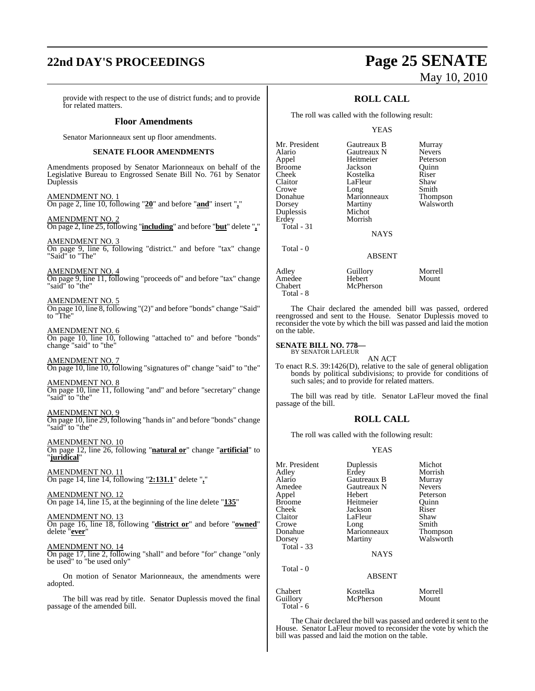# **22nd DAY'S PROCEEDINGS Page 25 SENATE**

provide with respect to the use of district funds; and to provide for related matters.

### **Floor Amendments**

Senator Marionneaux sent up floor amendments.

### **SENATE FLOOR AMENDMENTS**

Amendments proposed by Senator Marionneaux on behalf of the Legislative Bureau to Engrossed Senate Bill No. 761 by Senator Duplessis

AMENDMENT NO. 1 On page 2, line 10, following "**20**" and before "**and**" insert "**,**"

AMENDMENT NO. 2 On page 2, line 25, following "**including**" and before "**but**" delete "**,**"

AMENDMENT NO. 3 On page 9, line 6, following "district." and before "tax" change "Said" to "The"

AMENDMENT NO. 4 On page 9, line 11, following "proceeds of" and before "tax" change "said" to "the"

AMENDMENT NO. 5 On page 10, line 8, following "(2)" and before "bonds" change "Said" to "The"

AMENDMENT NO. 6 On page 10, line 10, following "attached to" and before "bonds" change "said" to "the"

AMENDMENT NO. 7 On page 10, line 10, following "signatures of" change "said" to "the"

AMENDMENT NO. 8 On page 10, line 11, following "and" and before "secretary" change "said" to "the"

AMENDMENT NO. 9 On page 10, line 29, following "handsin" and before "bonds" change "said" to "the"

AMENDMENT NO. 10 On page 12, line 26, following "**natural or**" change "**artificial**" to "**juridical**"

AMENDMENT NO. 11 On page 14, line 14, following "**2:131.1**" delete "**,**"

AMENDMENT NO. 12 On page 14, line 15, at the beginning of the line delete "**135**"

AMENDMENT NO. 13 On page 16, line 18, following "**district or**" and before "**owned**" delete "**ever**"

AMENDMENT NO. 14

On page 17, line 2, following "shall" and before "for" change "only be used" to "be used only"

On motion of Senator Marionneaux, the amendments were adopted.

The bill was read by title. Senator Duplessis moved the final passage of the amended bill.

# May 10, 2010

### **ROLL CALL**

The roll was called with the following result:

### YEAS

| Mr. President     | Gautreaux B   | Murra  |
|-------------------|---------------|--------|
| Alario            | Gautreaux N   | Never: |
| Appel             | Heitmeier     | Peters |
| Broome            | Jackson       | Ouinn  |
| Cheek             | Kostelka      | Riser  |
| Claitor           | LaFleur       | Shaw   |
| Crowe             | Long          | Smith  |
| Donahue           | Marionneaux   | Thom   |
| Dorsey            | Martiny       | Walsw  |
| Duplessis         | Michot        |        |
| Erdey             | Morrish       |        |
| <b>Total - 31</b> |               |        |
|                   | <b>NAYS</b>   |        |
| Total - 0         |               |        |
|                   | <b>ABSENT</b> |        |

Paux B Murray<br>
Paux N Nevers Nevers<sup>2</sup> eier Peterson<br>
n Ouinn ur Shaw Smith<br>Thom Thompson ny Walsworth

Adley Guillory Morrell McPherson

The Chair declared the amended bill was passed, ordered reengrossed and sent to the House. Senator Duplessis moved to reconsider the vote by which the bill was passed and laid the motion on the table.

## **SENATE BILL NO. 778—** BY SENATOR LAFLEUR

Amedee<br>Chabert

Total - 8

Total - 6

AN ACT

To enact R.S. 39:1426(D), relative to the sale of general obligation bonds by political subdivisions; to provide for conditions of such sales; and to provide for related matters.

The bill was read by title. Senator LaFleur moved the final passage of the bill.

### **ROLL CALL**

The roll was called with the following result:

### YEAS

| Mr. President | Duplessis     | Michot        |
|---------------|---------------|---------------|
| Adley         | Erdey         | Morrish       |
| Alario        | Gautreaux B   | Murray        |
| Amedee        | Gautreaux N   | <b>Nevers</b> |
| Appel         | Hebert        | Peterson      |
| <b>Broome</b> | Heitmeier     | Ouinn         |
| Cheek         | Jackson       | Riser         |
| Claitor       | LaFleur       | Shaw          |
| Crowe         | Long          | Smith         |
| Donahue       | Marionneaux   | Thompson      |
| Dorsey        | Martiny       | Walsworth     |
| Total - 33    |               |               |
|               | <b>NAYS</b>   |               |
| Total - 0     |               |               |
|               | <b>ABSENT</b> |               |
| Chabert       | Kostelka      | Morrell       |
| Guillory      | McPherson     | Mount         |

The Chair declared the bill was passed and ordered it sent to the House. Senator LaFleur moved to reconsider the vote by which the bill was passed and laid the motion on the table.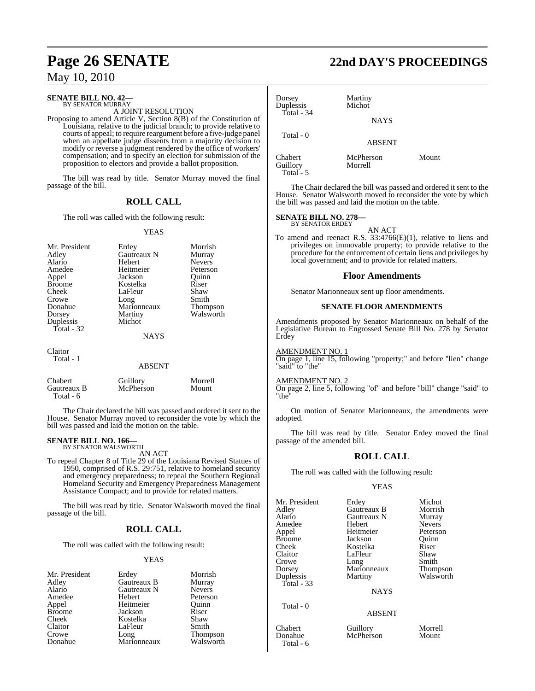### **SENATE BILL NO. 42—** BY SENATOR MURRAY

A JOINT RESOLUTION

Proposing to amend Article V, Section 8(B) of the Constitution of Louisiana, relative to the judicial branch; to provide relative to courts of appeal; to require reargument before a five-judge panel when an appellate judge dissents from a majority decision to modify or reverse a judgment rendered by the office of workers' compensation; and to specify an election for submission of the proposition to electors and provide a ballot proposition.

The bill was read by title. Senator Murray moved the final passage of the bill.

### **ROLL CALL**

The roll was called with the following result:

### YEAS

| Mr. President | Erdey       | Morrish       |
|---------------|-------------|---------------|
| Adley         | Gautreaux N | Murray        |
| Alario        | Hebert      | <b>Nevers</b> |
| Amedee        | Heitmeier   | Peterson      |
| Appel         | Jackson     | Ouinn         |
| <b>Broome</b> | Kostelka    | Riser         |
| Cheek         | LaFleur     | Shaw          |
| Crowe         | Long        | Smith         |
| Donahue       | Marionneaux | Thompson      |
| Dorsey        | Martiny     | Walsworth     |
| Duplessis     | Michot      |               |
| Total - 32    |             |               |
|               | <b>NAYS</b> |               |
| Claitor       |             |               |
| Total - 1     |             |               |
|               | ABSENT      |               |

| Chabert     | Guillory  | Morrell |
|-------------|-----------|---------|
| Gautreaux B | McPherson | Mount   |
| Total - 6   |           |         |

The Chair declared the bill was passed and ordered it sent to the House. Senator Murray moved to reconsider the vote by which the bill was passed and laid the motion on the table.

### **SENATE BILL NO. 166—** BY SENATOR WALSWORTH

AN ACT

To repeal Chapter 8 of Title 29 of the Louisiana Revised Statues of 1950, comprised of R.S. 29:751, relative to homeland security and emergency preparedness; to repeal the Southern Regional Homeland Security and Emergency Preparedness Management Assistance Compact; and to provide for related matters.

The bill was read by title. Senator Walsworth moved the final passage of the bill.

### **ROLL CALL**

The roll was called with the following result:

### YEAS

| Mr. Presiden  |
|---------------|
| Adley         |
| Alario        |
| Amedee        |
| Appel         |
| <b>Broome</b> |
| Cheek         |
| Claitor       |
| Crowe         |
| Donahue       |

Gautreaux B Murray<br>
Gautreaux N Nevers Gautreaux N<br>Hebert Heitmeier Quinn<br>
Jackson Riser Jackson Riser<br>Kostelka Shaw Kostelka Shaw<br>LaFleur Smith LaFleur Marionneaux

nt Erdey Morrish<br>Gautreaux B Murray Peterson Long Thompson<br>Marionneaux Walsworth

# **Page 26 SENATE 22nd DAY'S PROCEEDINGS**

| Dorsey<br>Duplessis | Martiny<br>Michot    |       |  |
|---------------------|----------------------|-------|--|
| Total - $34$        | <b>NAYS</b>          |       |  |
| Total - 0           | <b>ABSENT</b>        |       |  |
| Chabert<br>Guillory | McPherson<br>Morrell | Mount |  |

The Chair declared the bill was passed and ordered it sent to the House. Senator Walsworth moved to reconsider the vote by which the bill was passed and laid the motion on the table.

### **SENATE BILL NO. 278—** BY SENATOR ERDEY

Total - 5

AN ACT

To amend and reenact R.S. 33:4766(E)(1), relative to liens and privileges on immovable property; to provide relative to the procedure for the enforcement of certain liens and privileges by local government; and to provide for related matters.

### **Floor Amendments**

Senator Marionneaux sent up floor amendments.

### **SENATE FLOOR AMENDMENTS**

Amendments proposed by Senator Marionneaux on behalf of the Legislative Bureau to Engrossed Senate Bill No. 278 by Senator Erdey

### AMENDMENT NO. 1

On page 1, line 15, following "property;" and before "lien" change "said" to "the"

### AMENDMENT NO. 2

On page 2, line 5, following "of" and before "bill" change "said" to "the"

On motion of Senator Marionneaux, the amendments were adopted.

The bill was read by title. Senator Erdey moved the final passage of the amended bill.

### **ROLL CALL**

The roll was called with the following result:

### YEAS

| Mr. President | Erdey       | Michot        |
|---------------|-------------|---------------|
| Adley         | Gautreaux B | Morrish       |
| Alario        | Gautreaux N | Murray        |
| Amedee        | Hebert      | <b>Nevers</b> |
| Appel         | Heitmeier   | Peterson      |
| <b>Broome</b> | Jackson     | Ouinn         |
| Cheek         | Kostelka    | Riser         |
| Claitor       | LaFleur     | Shaw          |
| Crowe         | Long        | Smith         |
| Dorsey        | Marionneaux | Thompson      |
| Duplessis     | Martiny     | Walsworth     |
| Total - 33    |             |               |
|               | <b>NAYS</b> |               |
| Total - 0     |             |               |

### ABSENT

Chabert Guillory Morrell McPherson

Total - 6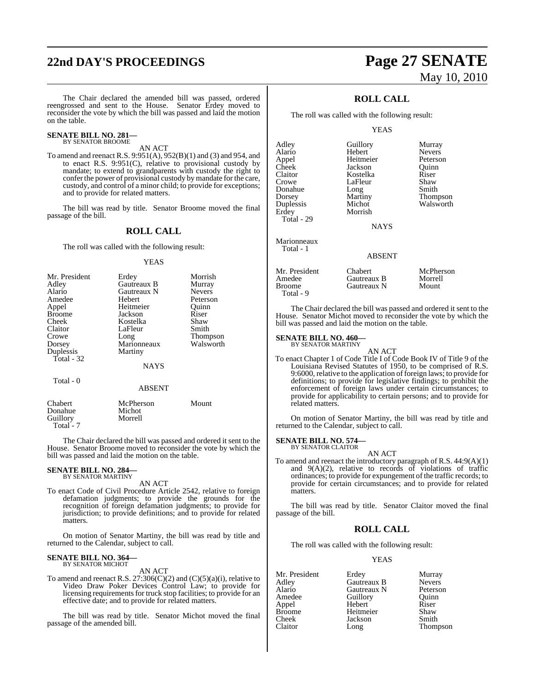# **22nd DAY'S PROCEEDINGS Page 27 SENATE**

The Chair declared the amended bill was passed, ordered reengrossed and sent to the House. Senator Erdey moved to reconsider the vote by which the bill was passed and laid the motion on the table.

#### **SENATE BILL NO. 281—** BY SENATOR BROOME

AN ACT

To amend and reenact R.S. 9:951(A), 952(B)(1) and (3) and 954, and to enact R.S. 9:951(C), relative to provisional custody by mandate; to extend to grandparents with custody the right to confer the power of provisional custody by mandate for the care, custody, and control of a minor child; to provide for exceptions; and to provide for related matters.

The bill was read by title. Senator Broome moved the final passage of the bill.

### **ROLL CALL**

The roll was called with the following result:

### YEAS

| Mr. President | Erdey         | Morrish         |
|---------------|---------------|-----------------|
| Adley         | Gautreaux B   | Murray          |
| Alario        | Gautreaux N   | <b>Nevers</b>   |
| Amedee        | <b>Hebert</b> | Peterson        |
| Appel         | Heitmeier     | Ouinn           |
| <b>Broome</b> | Jackson       | Riser           |
| Cheek         | Kostelka      | Shaw            |
| Claitor       | LaFleur       | Smith           |
| Crowe         | Long          | <b>Thompson</b> |
| Dorsey        | Marionneaux   | Walsworth       |
| Duplessis     | Martiny       |                 |
| Total - 32    |               |                 |
|               | <b>NAYS</b>   |                 |
| Total - 0     |               |                 |

#### ABSENT

| Chabert<br>Donahue | McPherson<br>Michot | Mount |
|--------------------|---------------------|-------|
|                    |                     |       |
| Guillory           | Morrell             |       |
| Total - 7          |                     |       |

The Chair declared the bill was passed and ordered it sent to the House. Senator Broome moved to reconsider the vote by which the bill was passed and laid the motion on the table.

### **SENATE BILL NO. 284—** BY SENATOR MARTINY

AN ACT

To enact Code of Civil Procedure Article 2542, relative to foreign defamation judgments; to provide the grounds for the recognition of foreign defamation judgments; to provide for jurisdiction; to provide definitions; and to provide for related matters.

On motion of Senator Martiny, the bill was read by title and returned to the Calendar, subject to call.

### **SENATE BILL NO. 364—** BY SENATOR MICHOT

AN ACT

To amend and reenact R.S. 27:306(C)(2) and (C)(5)(a)(i), relative to Video Draw Poker Devices Control Law; to provide for licensing requirements for truck stop facilities; to provide for an effective date; and to provide for related matters.

The bill was read by title. Senator Michot moved the final passage of the amended bill.

# May 10, 2010

### **ROLL CALL**

The roll was called with the following result:

Morrish

### YEAS

Adley Guillory Murray Appel Heitmeier Peterson Cheek Jackson Quinn Claitor Kostelka Riser Donahue Long<br>Dorsey Martiny Dorsey Martiny Thompson<br>
Duplessis Michot Walsworth Duplessis Michot Walsworth<br>
Erdey Morrish Total - 29

Marionneaux Total - 1

Hebert Nevers<br>
Heitmeier Peterson LaFleur Shaw<br>Long Smith

**NAYS** 

### ABSENT

| Mr. President | <b>Chabert</b> | McPherson |
|---------------|----------------|-----------|
| Amedee        | Gautreaux B    | Morrell   |
| Broome        | Gautreaux N    | Mount     |
| Total - 9     |                |           |

The Chair declared the bill was passed and ordered it sent to the House. Senator Michot moved to reconsider the vote by which the bill was passed and laid the motion on the table.

#### **SENATE BILL NO. 460—** BY SENATOR MARTINY

AN ACT To enact Chapter 1 of Code Title I of Code Book IV of Title 9 of the Louisiana Revised Statutes of 1950, to be comprised of R.S. 9:6000, relative to the application of foreign laws; to provide for definitions; to provide for legislative findings; to prohibit the enforcement of foreign laws under certain circumstances; to provide for applicability to certain persons; and to provide for related matters.

On motion of Senator Martiny, the bill was read by title and returned to the Calendar, subject to call.

### **SENATE BILL NO. 574—** BY SENATOR CLAITOR

AN ACT To amend and reenact the introductory paragraph of R.S. 44:9(A)(1) and  $9(A)(2)$ , relative to records of violations of traffic ordinances; to provide for expungement of the traffic records; to provide for certain circumstances; and to provide for related matters.

The bill was read by title. Senator Claitor moved the final passage of the bill.

### **ROLL CALL**

The roll was called with the following result:

### YEAS

Mr. President Erdey Murray<br>Adley Gautreaux B Nevers Adley Gautreaux B Nevers Alario Gautreaux N Peterson Guillory<br>Hebert Appel Hebert Riser Broome Heitmeier Shaw<br>Cheek Jackson Smith Cheek Jackson<br>Claitor Long

Long Thompson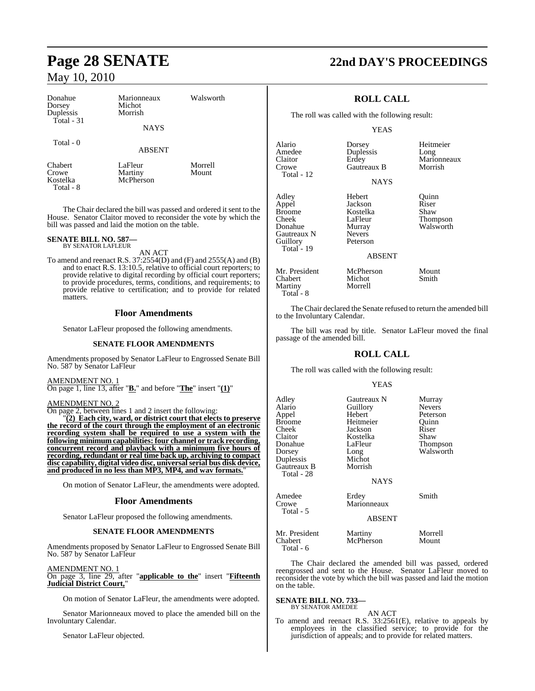| Donahue<br>Dorsey<br>Duplessis<br>Total $-31$    | Marionneaux<br>Michot<br>Morrish<br><b>NAYS</b> | Walsworth        |
|--------------------------------------------------|-------------------------------------------------|------------------|
| Total - 0                                        | <b>ABSENT</b>                                   |                  |
| <b>Chabert</b><br>Crowe<br>Kostelka<br>Total - 8 | LaFleur<br>Martiny<br>McPherson                 | Morrell<br>Mount |

The Chair declared the bill was passed and ordered it sent to the House. Senator Claitor moved to reconsider the vote by which the bill was passed and laid the motion on the table.

#### **SENATE BILL NO. 587—** BY SENATOR LAFLEUR

AN ACT

To amend and reenact R.S. 37:2554(D) and (F) and 2555(A) and (B) and to enact R.S. 13:10.5, relative to official court reporters; to provide relative to digital recording by official court reporters; to provide procedures, terms, conditions, and requirements; to provide relative to certification; and to provide for related matters.

### **Floor Amendments**

Senator LaFleur proposed the following amendments.

### **SENATE FLOOR AMENDMENTS**

Amendments proposed by Senator LaFleur to Engrossed Senate Bill No. 587 by Senator LaFleur

AMENDMENT NO. 1 On page 1, line 13, after "**B.**" and before "**The**" insert "**(1)**"

AMENDMENT NO. 2

On page 2, between lines 1 and 2 insert the following:

"**(2) Each city, ward, or district court that elects to preserve the record of the court through the employment of an electronic recording system shall be required to use a system with the following minimum capabilities: four channel or track recording, concurrent record and playback with a minimum five hours of recording, redundant or real time back up, archiving to compact disc capability, digital video disc, universal serial bus disk device, and produced in no less than MP3, MP4, and wav formats.**"

On motion of Senator LaFleur, the amendments were adopted.

### **Floor Amendments**

Senator LaFleur proposed the following amendments.

### **SENATE FLOOR AMENDMENTS**

Amendments proposed by Senator LaFleur to Engrossed Senate Bill No. 587 by Senator LaFleur

AMENDMENT NO. 1 On page 3, line 29, after "**applicable to the**" insert "**Fifteenth Judicial District Court,**"

On motion of Senator LaFleur, the amendments were adopted.

Senator Marionneaux moved to place the amended bill on the Involuntary Calendar.

Senator LaFleur objected.

# **Page 28 SENATE 22nd DAY'S PROCEEDINGS**

### **ROLL CALL**

The roll was called with the following result:

Duplessis

Gautreaux B

### YEAS

Alario Dorsey Heitmeier Claitor Erdey Marionneaux<br>Crowe Gautreaux B Morrish Total - 12 Adley Hebert Quinn<br>
Appel Jackson Riser Appel Jackson Riser Broome Kostelka<br>Cheek LaFleur Cheek LaFleur Thompson<br>
Donahue Murray Walsworth Gautreaux N Nevers<br>
Guillory Peterson Guillory Total - 19

NAYS

Murray Walsworth<br>Nevers

ABSENT

Mr. President McPherson Mount<br>
Chabert Michot Smith Chabert Michot<br>Martiny Morrell Martiny Total - 8

The Chair declared the Senate refused to return the amended bill to the Involuntary Calendar.

The bill was read by title. Senator LaFleur moved the final passage of the amended bill.

### **ROLL CALL**

The roll was called with the following result:

### YEAS

| Adlev<br>Alario<br>Appel<br>Broome<br>Cheek<br>Claitor<br>Donahue<br>Dorsey<br>Duplessis<br>Gautreaux B<br>Total - 28 | Gautreaux N<br>Guillory<br>Hebert<br>Heitmeier<br>Jackson<br>Kostelka<br>LaFleur<br>Long<br>Michot<br>Morrish | Murray<br><b>Nevers</b><br>Peterson<br>Quinn<br>Riser<br>Shaw<br>Thompson<br>Walsworth |
|-----------------------------------------------------------------------------------------------------------------------|---------------------------------------------------------------------------------------------------------------|----------------------------------------------------------------------------------------|
|                                                                                                                       | <b>NAYS</b>                                                                                                   |                                                                                        |
| Amedee<br>Crowe<br>Total - 5                                                                                          | Erdey<br>Marionneaux<br><b>ABSENT</b>                                                                         | Smith                                                                                  |
| Mr. President<br>Chabert<br>Total - 6                                                                                 | Martiny<br>McPherson                                                                                          | Morrell<br>Mount                                                                       |

The Chair declared the amended bill was passed, ordered reengrossed and sent to the House. Senator LaFleur moved to reconsider the vote by which the bill was passed and laid the motion on the table.

#### **SENATE BILL NO. 733—** BY SENATOR AMEDEE

AN ACT To amend and reenact R.S. 33:2561(E), relative to appeals by employees in the classified service; to provide for the jurisdiction of appeals; and to provide for related matters.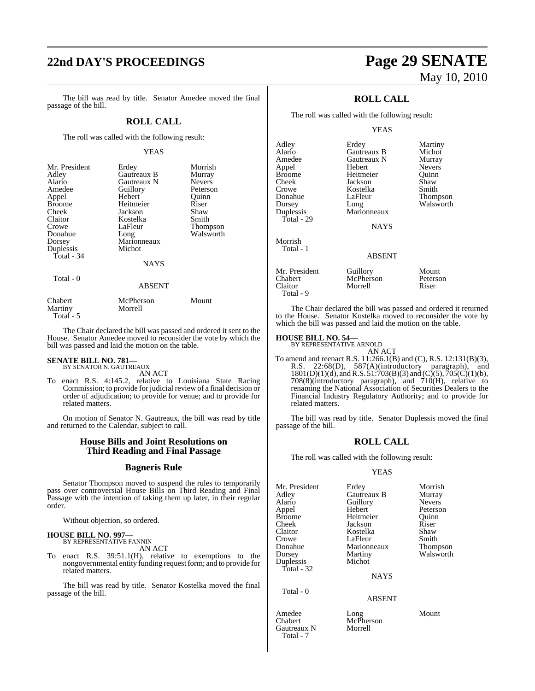# **22nd DAY'S PROCEEDINGS Page 29 SENATE**

The bill was read by title. Senator Amedee moved the final passage of the bill.

### **ROLL CALL**

The roll was called with the following result:

### YEAS

| Mr. President | Erdey         | Morrish       |
|---------------|---------------|---------------|
| Adley         | Gautreaux B   | Murray        |
| Alario        | Gautreaux N   | <b>Nevers</b> |
| Amedee        | Guillory      | Peterson      |
| Appel         | Hebert        | Quinn         |
| <b>Broome</b> | Heitmeier     | Riser         |
| Cheek         | Jackson       | Shaw          |
| Claitor       | Kostelka      | Smith         |
| Crowe         | LaFleur       | Thompson      |
| Donahue       | Long          | Walsworth     |
| Dorsey        | Marionneaux   |               |
| Duplessis     | Michot        |               |
| Total - 34    |               |               |
|               | <b>NAYS</b>   |               |
| Total - 0     |               |               |
|               | <b>ABSENT</b> |               |
|               |               |               |

| Chabert    | McPherson | Mount |
|------------|-----------|-------|
| Martiny    | Morrell   |       |
| Total $-5$ |           |       |

The Chair declared the bill was passed and ordered it sent to the House. Senator Amedee moved to reconsider the vote by which the bill was passed and laid the motion on the table.

## **SENATE BILL NO. 781—** BY SENATOR N. GAUTREAUX

AN ACT

To enact R.S. 4:145.2, relative to Louisiana State Racing Commission; to provide for judicial review of a final decision or order of adjudication; to provide for venue; and to provide for related matters.

On motion of Senator N. Gautreaux, the bill was read by title and returned to the Calendar, subject to call.

### **House Bills and Joint Resolutions on Third Reading and Final Passage**

### **Bagneris Rule**

Senator Thompson moved to suspend the rules to temporarily pass over controversial House Bills on Third Reading and Final Passage with the intention of taking them up later, in their regular order.

Without objection, so ordered.

#### **HOUSE BILL NO. 997—** BY REPRESENTATIVE FANNIN

AN ACT

To enact R.S. 39:51.1(H), relative to exemptions to the nongovernmental entity funding request form; and to provide for related matters.

The bill was read by title. Senator Kostelka moved the final passage of the bill.

# May 10, 2010

### **ROLL CALL**

The roll was called with the following result:

### YEAS

| Adley                               | Erdey                            | Martiny                    |
|-------------------------------------|----------------------------------|----------------------------|
| Alario                              | Gautreaux B                      | Michot                     |
| Amedee                              | Gautreaux N                      | Murray                     |
| Appel                               | Hebert                           | <b>Nevers</b>              |
| <b>Broome</b>                       | Heitmeier                        | Ouinn                      |
| Cheek                               | Jackson                          | Shaw                       |
| Crowe                               | Kostelka                         | Smith                      |
| Donahue                             | LaFleur                          | Thompson                   |
| Dorsey                              | Long                             | Walsworth                  |
| Duplessis                           | Marionneaux                      |                            |
| Total - 29                          |                                  |                            |
|                                     | <b>NAYS</b>                      |                            |
| Morrish<br>Total - 1                |                                  |                            |
|                                     | <b>ABSENT</b>                    |                            |
| Mr. President<br>Chabert<br>Claitor | Guillory<br>McPherson<br>Morrell | Mount<br>Peterson<br>Riser |

The Chair declared the bill was passed and ordered it returned to the House. Senator Kostelka moved to reconsider the vote by which the bill was passed and laid the motion on the table.

### **HOUSE BILL NO. 54—** BY REPRESENTATIVE ARNOLD

Total - 9

AN ACT

To amend and reenact R.S. 11:266.1(B) and (C), R.S. 12:131(B)(3), R.S. 22:68(D), 587(A)(introductory paragraph), and  $1801(D)(1)(d)$ , and R.S.  $51:703(B)(3)$  and  $(C)(5)$ ,  $705(C)(1)(b)$ , 708(8)(introductory paragraph), and 710(H), relative to renaming the National Association of Securities Dealers to the Financial Industry Regulatory Authority; and to provide for related matters.

The bill was read by title. Senator Duplessis moved the final passage of the bill.

### **ROLL CALL**

The roll was called with the following result:

### YEAS

| Mr. President | Erdey       | Morrish       |
|---------------|-------------|---------------|
| Adley         | Gautreaux B | Murray        |
| Alario        | Guillory    | <b>Nevers</b> |
| Appel         | Hebert      | Peterson      |
| Broome        | Heitmeier   | Ouinn         |
| Cheek         | Jackson     | Riser         |
| Claitor       | Kostelka    | Shaw          |
| Crowe         | LaFleur     | Smith         |
| Donahue       | Marionneaux | Thompson      |
| Dorsey        | Martiny     | Walsworth     |
| Duplessis     | Michot      |               |
| Total - 32    |             |               |
|               | <b>NAYS</b> |               |
| Total - 0     |             |               |

### ABSENT

Amedee Long Mount Chabert McPherson Gautreaux N Morrell Total - 7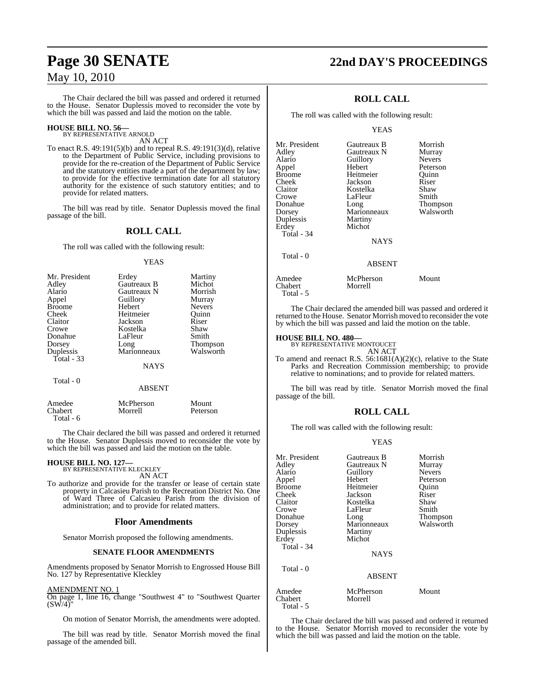# **Page 30 SENATE 22nd DAY'S PROCEEDINGS**

### May 10, 2010

The Chair declared the bill was passed and ordered it returned to the House. Senator Duplessis moved to reconsider the vote by which the bill was passed and laid the motion on the table.

### **HOUSE BILL NO. 56—** BY REPRESENTATIVE ARNOLD

AN ACT

To enact R.S. 49:191(5)(b) and to repeal R.S. 49:191(3)(d), relative to the Department of Public Service, including provisions to provide for the re-creation of the Department of Public Service and the statutory entities made a part of the department by law; to provide for the effective termination date for all statutory authority for the existence of such statutory entities; and to provide for related matters.

The bill was read by title. Senator Duplessis moved the final passage of the bill.

### **ROLL CALL**

The roll was called with the following result:

### YEAS

| Mr. President | Erdey       | Martiny       |
|---------------|-------------|---------------|
| Adley         | Gautreaux B | Michot        |
| Alario        | Gautreaux N | Morrish       |
| Appel         | Guillory    | Murray        |
| <b>Broome</b> | Hebert      | <b>Nevers</b> |
| Cheek         | Heitmeier   | Ouinn         |
| Claitor       | Jackson     | Riser         |
| Crowe         | Kostelka    | Shaw          |
| Donahue       | LaFleur     | Smith         |
| Dorsey        | Long        | Thompson      |
| Duplessis     | Marionneaux | Walsworth     |
| Total $-33$   |             |               |
|               | NAYS        |               |
| Total - 0     |             |               |

#### ABSENT

| Amedee    | McPherson | Mount    |
|-----------|-----------|----------|
| Chabert   | Morrell   | Peterson |
| Total - 6 |           |          |

The Chair declared the bill was passed and ordered it returned to the House. Senator Duplessis moved to reconsider the vote by which the bill was passed and laid the motion on the table.

#### **HOUSE BILL NO. 127—** BY REPRESENTATIVE KLECKLEY

AN ACT

To authorize and provide for the transfer or lease of certain state property in Calcasieu Parish to the Recreation District No. One of Ward Three of Calcasieu Parish from the division of administration; and to provide for related matters.

### **Floor Amendments**

Senator Morrish proposed the following amendments.

### **SENATE FLOOR AMENDMENTS**

Amendments proposed by Senator Morrish to Engrossed House Bill No. 127 by Representative Kleckley

### AMENDMENT NO. 1

On page 1, line 16, change "Southwest 4" to "Southwest Quarter  $(SW/4)$ 

On motion of Senator Morrish, the amendments were adopted.

The bill was read by title. Senator Morrish moved the final passage of the amended bill.

### **ROLL CALL**

The roll was called with the following result:

### YEAS

| Mr. President     | Gautreaux B          | Morrish         |
|-------------------|----------------------|-----------------|
| Adley             | Gautreaux N          | Murray          |
| Alario            | Guillory             | <b>Nevers</b>   |
| Appel             | Hebert               | Peterson        |
| <b>Broome</b>     | Heitmeier            | Ouinn           |
| Cheek             | Jackson              | Riser           |
| Claitor           | Kostelka             | Shaw            |
| Crowe             | LaFleur              | Smith           |
| Donahue           | Long                 | <b>Thompson</b> |
| Dorsey            | Marionneaux          | Walsworth       |
| Duplessis         | Martiny              |                 |
| Erdey             | Michot               |                 |
| Total - 34        |                      |                 |
|                   | NAYS                 |                 |
| Total - 0         |                      |                 |
|                   | <b>ABSENT</b>        |                 |
| Amedee<br>Chabert | McPherson<br>Morrell | Mount           |

Morrell

The Chair declared the amended bill was passed and ordered it returned to the House. Senator Morrish moved to reconsider the vote by which the bill was passed and laid the motion on the table.

### **HOUSE BILL NO. 480—** BY REPRESENTATIVE MONTOUCET

Total - 5

AN ACT

To amend and reenact R.S. 56:1681(A)(2)(c), relative to the State Parks and Recreation Commission membership; to provide relative to nominations; and to provide for related matters.

The bill was read by title. Senator Morrish moved the final passage of the bill.

### **ROLL CALL**

The roll was called with the following result:

### YEAS

| Mr. President | Gautreaux B   | Morrish       |
|---------------|---------------|---------------|
| Adley         | Gautreaux N   | Murray        |
| Alario        | Guillory      | <b>Nevers</b> |
|               |               |               |
| Appel         | Hebert        | Peterson      |
| <b>Broome</b> | Heitmeier     | Quinn         |
| Cheek         | Jackson       | Riser         |
| Claitor       | Kostelka      | Shaw          |
| Crowe         | LaFleur       | Smith         |
| Donahue       | Long          | Thompson      |
| Dorsey        | Marionneaux   | Walsworth     |
| Duplessis     | Martiny       |               |
| Erdey         | Michot        |               |
| Total - 34    |               |               |
|               | <b>NAYS</b>   |               |
| Total - 0     |               |               |
|               | <b>ABSENT</b> |               |
| Amedee        | McPherson     | Mount         |
| Chabert       | Morrell       |               |
| Total - 5     |               |               |

The Chair declared the bill was passed and ordered it returned to the House. Senator Morrish moved to reconsider the vote by which the bill was passed and laid the motion on the table.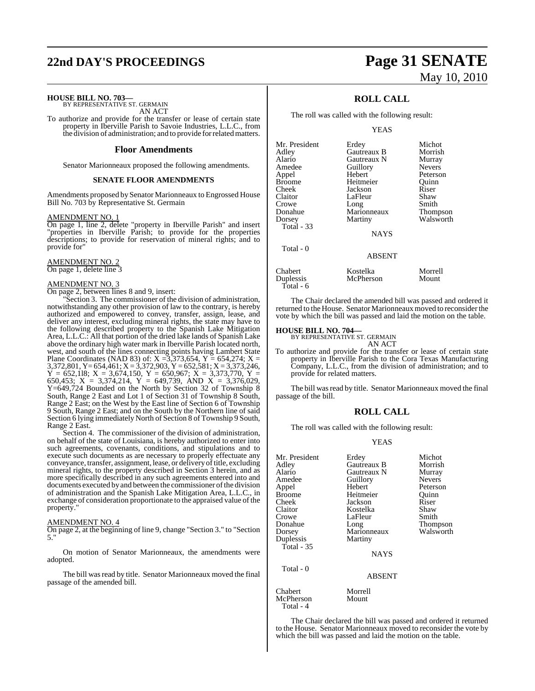# **22nd DAY'S PROCEEDINGS Page 31 SENATE**

**HOUSE BILL NO. 703—** BY REPRESENTATIVE ST. GERMAIN

AN ACT

To authorize and provide for the transfer or lease of certain state property in Iberville Parish to Savoie Industries, L.L.C., from the division of administration; and to provide forrelatedmatters.

### **Floor Amendments**

Senator Marionneaux proposed the following amendments.

### **SENATE FLOOR AMENDMENTS**

Amendments proposed by Senator Marionneaux to Engrossed House Bill No. 703 by Representative St. Germain

### AMENDMENT NO. 1

On page 1, line 2, delete "property in Iberville Parish" and insert "properties in Iberville Parish; to provide for the properties descriptions; to provide for reservation of mineral rights; and to provide for"

AMENDMENT NO. 2 On page 1, delete line 3

### AMENDMENT NO. 3

On page 2, between lines 8 and 9, insert:

Section 3. The commissioner of the division of administration, notwithstanding any other provision of law to the contrary, is hereby authorized and empowered to convey, transfer, assign, lease, and deliver any interest, excluding mineral rights, the state may have to the following described property to the Spanish Lake Mitigation Area, L.L.C.: All that portion of the dried lake lands of Spanish Lake above the ordinary high water mark in Iberville Parish located north, west, and south of the lines connecting points having Lambert State Plane Coordinates (NAD 83) of:  $X = 3,373,654$ ,  $Y = 654,274$ ;  $X =$ 3,372,801, Y= 654,461; X = 3,372,903, Y = 652,581; X = 3,373,246,  $Y = 652,118$ ;  $X = 3,674,150$ ,  $Y = 650,967$ ;  $X = 3,373,770$ ,  $Y =$ 650,453;  $X = 3,374,214$ ,  $Y = 649,739$ , AND  $X = 3,376,029$ , Y=649,724 Bounded on the North by Section 32 of Township 8 South, Range 2 East and Lot 1 of Section 31 of Township 8 South, Range 2 East; on the West by the East line of Section 6 of Township 9 South, Range 2 East; and on the South by the Northern line of said Section 6 lying immediately North of Section 8 of Township 9 South, Range 2 East.

Section 4. The commissioner of the division of administration, on behalf of the state of Louisiana, is hereby authorized to enter into such agreements, covenants, conditions, and stipulations and to execute such documents as are necessary to properly effectuate any conveyance, transfer, assignment, lease, or delivery of title, excluding mineral rights, to the property described in Section 3 herein, and as more specifically described in any such agreements entered into and documents executed by and between the commissioner of the division of administration and the Spanish Lake Mitigation Area, L.L.C., in exchange of consideration proportionate to the appraised value of the property.

### AMENDMENT NO. 4

On page 2, at the beginning of line 9, change "Section 3." to "Section 5."

On motion of Senator Marionneaux, the amendments were adopted.

The bill was read by title. Senator Marionneaux moved the final passage of the amended bill.

# May 10, 2010

### **ROLL CALL**

The roll was called with the following result:

YEAS

| Mr. President | Erdey         | Michot          |
|---------------|---------------|-----------------|
| Adley         | Gautreaux B   | Morrish         |
| Alario        | Gautreaux N   | Murray          |
| Amedee        | Guillory      | <b>Nevers</b>   |
| Appel         | Hebert        | Peterson        |
| Broome        | Heitmeier     | Quinn           |
| Cheek         | Jackson       | Riser           |
| Claitor       | LaFleur       | Shaw            |
| Crowe         | Long          | Smith           |
| Donahue       | Marionneaux   | <b>Thompson</b> |
| Dorsey        | Martiny       | Walsworth       |
| Total - 33    |               |                 |
|               | <b>NAYS</b>   |                 |
| Total - 0     |               |                 |
|               | <b>ABSENT</b> |                 |
| Chabert       | Kostelka      | Morrell         |
| Duplessis     | McPherson     | Mount           |
| Total - 6     |               |                 |

The Chair declared the amended bill was passed and ordered it returned to the House. Senator Marionneaux moved to reconsider the vote by which the bill was passed and laid the motion on the table.

### **HOUSE BILL NO. 704—**

BY REPRESENTATIVE ST. GERMAIN AN ACT

To authorize and provide for the transfer or lease of certain state property in Iberville Parish to the Cora Texas Manufacturing Company, L.L.C., from the division of administration; and to provide for related matters.

The bill was read by title. Senator Marionneaux moved the final passage of the bill.

### **ROLL CALL**

The roll was called with the following result:

### YEAS

| Mr. President<br>Adley<br>Alario<br>Amedee<br>Appel<br><b>Broome</b><br>Cheek<br>Claitor<br>Crowe<br>Donahue<br>Dorsey<br>Duplessis<br><b>Total - 35</b> | Erdey<br>Gautreaux B<br>Gautreaux N<br>Guillory<br>Hebert<br>Heitmeier<br>Jackson<br>Kostelka<br>LaFleur<br>Long<br>Marionneaux<br>Martiny<br><b>NAYS</b> | Michot<br>Morrish<br>Murray<br><b>Nevers</b><br>Peterson<br>Ouinn<br>Riser<br>Shaw<br>Smith<br>Thompson<br>Walsworth |
|----------------------------------------------------------------------------------------------------------------------------------------------------------|-----------------------------------------------------------------------------------------------------------------------------------------------------------|----------------------------------------------------------------------------------------------------------------------|
| Total - 0                                                                                                                                                | <b>ABSENT</b>                                                                                                                                             |                                                                                                                      |
| Chabert<br>McPherson<br>Total - 4                                                                                                                        | Morrell<br>Mount                                                                                                                                          |                                                                                                                      |

The Chair declared the bill was passed and ordered it returned to the House. Senator Marionneaux moved to reconsider the vote by which the bill was passed and laid the motion on the table.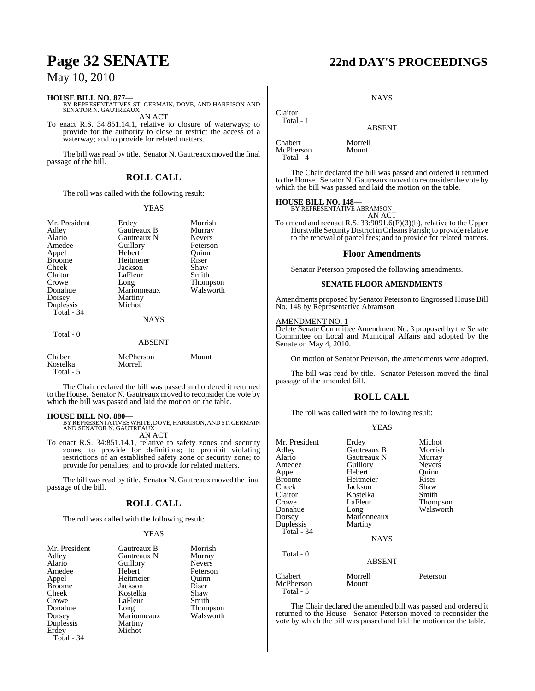**HOUSE BILL NO. 877—** BY REPRESENTATIVES ST. GERMAIN, DOVE, AND HARRISON AND SENATOR N. GAUTREAUX

AN ACT

To enact R.S. 34:851.14.1, relative to closure of waterways; to provide for the authority to close or restrict the access of a waterway; and to provide for related matters.

The bill was read by title. Senator N. Gautreaux moved the final passage of the bill.

### **ROLL CALL**

The roll was called with the following result:

### YEAS

| Mr. President<br>Adley<br>Alario<br>Amedee<br>Appel<br><b>Broome</b><br>Cheek<br>Claitor<br>Crowe<br>Donahue<br>Dorsey<br>Duplessis<br>Total - 34 | Erdey<br>Gautreaux B<br>Gautreaux N<br>Guillory<br>Hebert<br>Heitmeier<br>Jackson<br>LaFleur<br>Long<br>Marionneaux<br>Martiny<br>Michot<br><b>NAYS</b> | Morrish<br>Murray<br><b>Nevers</b><br>Peterson<br>Quinn<br>Riser<br>Shaw<br>Smith<br>Thompson<br>Walsworth |
|---------------------------------------------------------------------------------------------------------------------------------------------------|---------------------------------------------------------------------------------------------------------------------------------------------------------|------------------------------------------------------------------------------------------------------------|
| Total - 0                                                                                                                                         | <b>ABSENT</b>                                                                                                                                           |                                                                                                            |
| Chabert<br>Kostelka                                                                                                                               | McPherson<br>Morrell                                                                                                                                    | Mount                                                                                                      |

Total - 5

The Chair declared the bill was passed and ordered it returned to the House. Senator N. Gautreaux moved to reconsider the vote by which the bill was passed and laid the motion on the table.

**HOUSE BILL NO. 880—** BY REPRESENTATIVES WHITE, DOVE, HARRISON, AND ST. GERMAIN AND SENATOR N. GAUTREAUX AN ACT

To enact R.S. 34:851.14.1, relative to safety zones and security zones; to provide for definitions; to prohibit violating restrictions of an established safety zone or security zone; to provide for penalties; and to provide for related matters.

The bill was read by title. Senator N. Gautreaux moved the final passage of the bill.

### **ROLL CALL**

The roll was called with the following result:

### YEAS

| Mr. President | Gautreaux B | Morrish       |
|---------------|-------------|---------------|
| Adley         | Gautreaux N | Murray        |
| Alario        | Guillory    | <b>Nevers</b> |
| Amedee        | Hebert      | Peterson      |
| Appel         | Heitmeier   | Ouinn         |
| <b>Broome</b> | Jackson     | Riser         |
| Cheek         | Kostelka    | Shaw          |
| Crowe         | LaFleur     | Smith         |
| Donahue       | Long        | Thompson      |
| Dorsey        | Marionneaux | Walsworth     |
| Duplessis     | Martiny     |               |
| Erdey         | Michot      |               |
| Total - 34    |             |               |

## **Page 32 SENATE 22nd DAY'S PROCEEDINGS**

**NAYS** 

# ABSENT

Chabert Morrell<br>
McPherson Mount **McPherson** Total - 4

Claitor Total - 1

The Chair declared the bill was passed and ordered it returned to the House. Senator N. Gautreaux moved to reconsider the vote by which the bill was passed and laid the motion on the table.

### **HOUSE BILL NO. 148—**

BY REPRESENTATIVE ABRAMSON AN ACT

To amend and reenact R.S. 33:9091.6(F)(3)(b), relative to the Upper Hurstville SecurityDistrict in Orleans Parish; to provide relative to the renewal of parcel fees; and to provide for related matters.

### **Floor Amendments**

Senator Peterson proposed the following amendments.

### **SENATE FLOOR AMENDMENTS**

Amendments proposed by Senator Peterson to Engrossed House Bill No. 148 by Representative Abramson

### AMENDMENT NO. 1

Delete Senate Committee Amendment No. 3 proposed by the Senate Committee on Local and Municipal Affairs and adopted by the Senate on May 4, 2010.

On motion of Senator Peterson, the amendments were adopted.

The bill was read by title. Senator Peterson moved the final passage of the amended bill.

### **ROLL CALL**

The roll was called with the following result:

| Mr. President<br>Adley<br>Alario | Erdey<br>Gautreaux B<br>Gautreaux N | Michot<br>Morrish<br>Murray |
|----------------------------------|-------------------------------------|-----------------------------|
| Amedee                           | Guillory                            | <b>Nevers</b>               |
| Appel                            | Hebert                              | Ouinn                       |
| <b>Broome</b>                    | Heitmeier                           | Riser                       |
| Cheek                            | Jackson                             | Shaw                        |
| Claitor                          | Kostelka                            | Smith                       |
| Crowe                            | LaFleur                             | Thompson                    |
| Donahue                          | Long                                | Walsworth                   |
| Dorsey                           | Marionneaux                         |                             |
| Duplessis                        | Martiny                             |                             |
| Total - 34                       |                                     |                             |
|                                  | <b>NAYS</b>                         |                             |
| Total - 0                        |                                     |                             |
|                                  | ABSENT                              |                             |
| Chabert                          | Morrell                             | Peterson                    |
| McPherson<br>Total - 5           | Mount                               |                             |

The Chair declared the amended bill was passed and ordered it returned to the House. Senator Peterson moved to reconsider the vote by which the bill was passed and laid the motion on the table.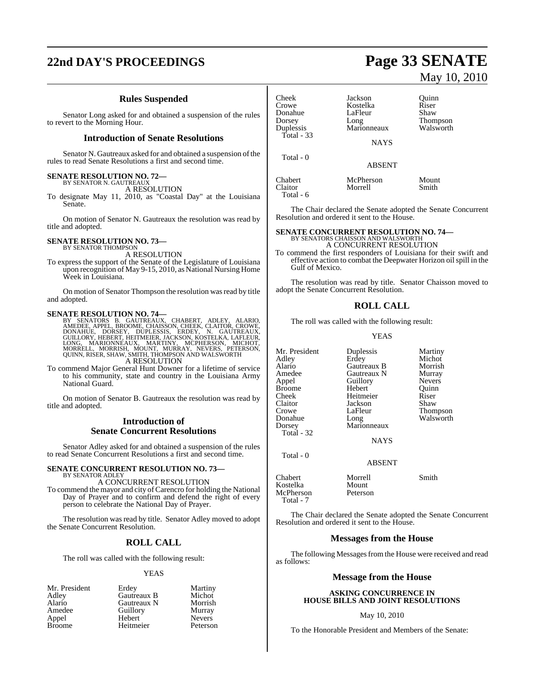# **22nd DAY'S PROCEEDINGS Page 33 SENATE**

### **Rules Suspended**

Senator Long asked for and obtained a suspension of the rules to revert to the Morning Hour.

### **Introduction of Senate Resolutions**

Senator N. Gautreaux asked for and obtained a suspension of the rules to read Senate Resolutions a first and second time.

## **SENATE RESOLUTION NO. 72—** BY SENATOR N. GAUTREAUX

A RESOLUTION

To designate May 11, 2010, as "Coastal Day" at the Louisiana Senate.

On motion of Senator N. Gautreaux the resolution was read by title and adopted.

### **SENATE RESOLUTION NO. 73—** BY SENATOR THOMPSON

A RESOLUTION

To express the support of the Senate of the Legislature of Louisiana upon recognition of May 9-15, 2010, as National Nursing Home Week in Louisiana.

On motion of Senator Thompson the resolution was read by title and adopted.

- SENATE RESOLUTION NO. 74—<br>BY SENATORS B. GAUTREAUX, CHABERT, ADLEY, ALARIO, AMEDEE, APPEL, BROOME, CHAISSON, CHEEK, CLAITOR, CROWE, DONAHUE, DORSEY, DUPLESSIS, ERDEY, N. GAUTREAUX, GUILLORY, HEBERT, HEITMEIER, JACKSON, KOS A RESOLUTION
- To commend Major General Hunt Downer for a lifetime of service to his community, state and country in the Louisiana Army National Guard.

On motion of Senator B. Gautreaux the resolution was read by title and adopted.

### **Introduction of Senate Concurrent Resolutions**

Senator Adley asked for and obtained a suspension of the rules to read Senate Concurrent Resolutions a first and second time.

#### **SENATE CONCURRENT RESOLUTION NO. 73—** BY SENATOR ADLEY

A CONCURRENT RESOLUTION

To commend the mayor and city of Carencro for holding the National Day of Prayer and to confirm and defend the right of every person to celebrate the National Day of Prayer.

The resolution was read by title. Senator Adley moved to adopt the Senate Concurrent Resolution.

### **ROLL CALL**

The roll was called with the following result:

### YEAS

Mr. President Erdey Martiny<br>Adley Gautreaux B Michot Appel

Adley **Gautreaux B** Michot<br>Alario Gautreaux N Morrish Alario Gautreaux N Morrish Amedeu<br> **Amedee Guillory**<br>
Hebert Nevers Broome Heitmeier Peterson Cheek Jackson Quinn Kostelka Riser<br>LaFleur Shaw Donahue LaFle<br>Dorsey Long Dorsey Long Thompson<br>
Duplessis Marionneaux Walsworth Marionneaux Total - 33 **NAYS**  Total - 0 ABSENT Chabert McPherson Mount<br>Claitor Morrell Smith Claitor Morrell Smith Total - 6

The Chair declared the Senate adopted the Senate Concurrent Resolution and ordered it sent to the House.

# **SENATE CONCURRENT RESOLUTION NO. 74—** BY SENATORS CHAISSON AND WALSWORTH

A CONCURRENT RESOLUTION

To commend the first responders of Louisiana for their swift and effective action to combat the Deepwater Horizon oil spill in the Gulf of Mexico.

The resolution was read by title. Senator Chaisson moved to adopt the Senate Concurrent Resolution.

### **ROLL CALL**

The roll was called with the following result:

### YEAS

Mr. President Duplessis Martiny<br>Adley Erdey Michot Adley Erdey Michot Alario Gautreaux B Morrish Gautreaux N Murray<br>
Guillory Nevers Appel Guillory Nevers<br>Broome Hebert Quinn Broome Hebert Quinr<br>Cheek Heitmeier Riser Cheek Heitmeier Riser<br>Claitor Jackson Shaw Claitor Jackson<br>Crowe LaFleur Crowe LaFleur Thompson<br>
Donahue Long Walsworth Donahue Long Walsworth<br>
Dorsey Marionneaux Marionneaux Total - 32 NAYS Total - 0

ABSENT

Chabert Morrell Smith Kostelka Mount<br>McPherson Peterson **McPherson** Total - 7

The Chair declared the Senate adopted the Senate Concurrent Resolution and ordered it sent to the House.

### **Messages from the House**

The following Messages from the House were received and read as follows:

### **Message from the House**

### **ASKING CONCURRENCE IN HOUSE BILLS AND JOINT RESOLUTIONS**

### May 10, 2010

To the Honorable President and Members of the Senate:

May 10, 2010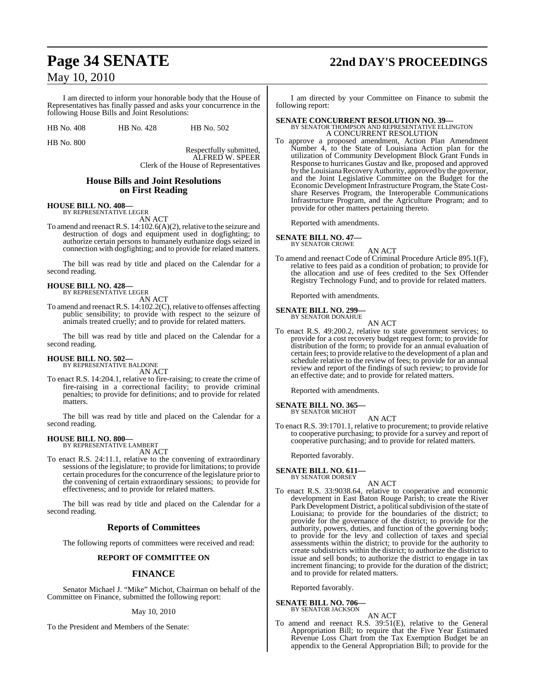I am directed to inform your honorable body that the House of Representatives has finally passed and asks your concurrence in the following House Bills and Joint Resolutions:

HB No. 408 HB No. 428 HB No. 502

HB No. 800

Respectfully submitted, ALFRED W. SPEER Clerk of the House of Representatives

### **House Bills and Joint Resolutions on First Reading**

### **HOUSE BILL NO. 408—** BY REPRESENTATIVE LEGER

AN ACT

To amend and reenact R.S. 14:102.6(A)(2), relative to the seizure and destruction of dogs and equipment used in dogfighting; to authorize certain persons to humanely euthanize dogs seized in connection with dogfighting; and to provide for related matters.

The bill was read by title and placed on the Calendar for a second reading.

# **HOUSE BILL NO. 428—** BY REPRESENTATIVE LEGER

AN ACT

To amend and reenact R.S. 14:102.2(C), relative to offenses affecting public sensibility; to provide with respect to the seizure of animals treated cruelly; and to provide for related matters.

The bill was read by title and placed on the Calendar for a second reading.

### **HOUSE BILL NO. 502—** BY REPRESENTATIVE BALDONE

AN ACT

To enact R.S. 14:204.1, relative to fire-raising; to create the crime of fire-raising in a correctional facility; to provide criminal penalties; to provide for definitions; and to provide for related matters.

The bill was read by title and placed on the Calendar for a second reading.

## **HOUSE BILL NO. 800—** BY REPRESENTATIVE LAMBERT

AN ACT

To enact R.S. 24:11.1, relative to the convening of extraordinary sessions of the legislature; to provide for limitations; to provide certain procedures for the concurrence of the legislature prior to the convening of certain extraordinary sessions; to provide for effectiveness; and to provide for related matters.

The bill was read by title and placed on the Calendar for a second reading.

### **Reports of Committees**

The following reports of committees were received and read:

### **REPORT OF COMMITTEE ON**

### **FINANCE**

Senator Michael J. "Mike" Michot, Chairman on behalf of the Committee on Finance, submitted the following report:

May 10, 2010

To the President and Members of the Senate:

# **Page 34 SENATE 22nd DAY'S PROCEEDINGS**

I am directed by your Committee on Finance to submit the following report:

### **SENATE CONCURRENT RESOLUTION NO. 39—** BY SENATOR THOMPSON AND REPRESENTATIVE ELLINGTON

A CONCURRENT RESOLUTION To approve a proposed amendment, Action Plan Amendment Number 4, to the State of Louisiana Action plan for the utilization of Community Development Block Grant Funds in Response to hurricanes Gustav and Ike, proposed and approved by the Louisiana Recovery Authority, approved by the governor, and the Joint Legislative Committee on the Budget for the Economic Development Infrastructure Program, the State Costshare Reserves Program, the Interoperable Communications Infrastructure Program, and the Agriculture Program; and to provide for other matters pertaining thereto.

Reported with amendments.

### **SENATE BILL NO. 47—**

BY SENATOR CROWE

AN ACT To amend and reenact Code of Criminal Procedure Article 895.1(F), relative to fees paid as a condition of probation; to provide for the allocation and use of fees credited to the Sex Offender Registry Technology Fund; and to provide for related matters.

Reported with amendments.

### **SENATE BILL NO. 299—** BY SENATOR DONAHUE

AN ACT

To enact R.S. 49:200.2, relative to state government services; to provide for a cost recovery budget request form; to provide for distribution of the form; to provide for an annual evaluation of certain fees; to provide relative to the development of a plan and schedule relative to the review of fees; to provide for an annual review and report of the findings of such review; to provide for an effective date; and to provide for related matters.

Reported with amendments.

**SENATE BILL NO. 365—** BY SENATOR MICHOT

AN ACT

To enact R.S. 39:1701.1, relative to procurement; to provide relative to cooperative purchasing; to provide for a survey and report of cooperative purchasing; and to provide for related matters.

Reported favorably.

#### **SENATE BILL NO. 611—** BY SENATOR DORSEY

To enact R.S. 33:9038.64, relative to cooperative and economic development in East Baton Rouge Parish; to create the River Park Development District, a political subdivision of the state of Louisiana; to provide for the boundaries of the district; to provide for the governance of the district; to provide for the authority, powers, duties, and function of the governing body; to provide for the levy and collection of taxes and special assessments within the district; to provide for the authority to create subdistricts within the district; to authorize the district to issue and sell bonds; to authorize the district to engage in tax increment financing; to provide for the duration of the district; and to provide for related matters.

AN ACT

Reported favorably.

### **SENATE BILL NO. 706—**

BY SENATOR JACKSON AN ACT

To amend and reenact R.S. 39:51(E), relative to the General Appropriation Bill; to require that the Five Year Estimated Revenue Loss Chart from the Tax Exemption Budget be an appendix to the General Appropriation Bill; to provide for the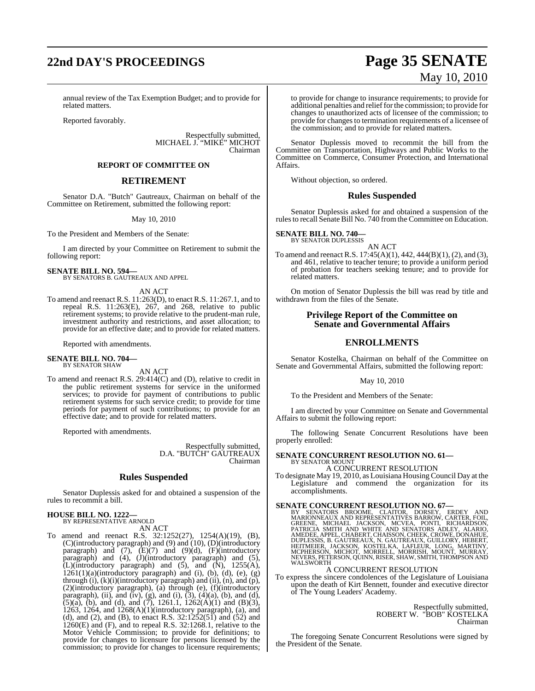# **22nd DAY'S PROCEEDINGS Page 35 SENATE**

annual review of the Tax Exemption Budget; and to provide for related matters.

Reported favorably.

Respectfully submitted, MICHAEL J. "MIKE" MICHOT Chairman

### **REPORT OF COMMITTEE ON**

### **RETIREMENT**

Senator D.A. "Butch" Gautreaux, Chairman on behalf of the Committee on Retirement, submitted the following report:

### May 10, 2010

To the President and Members of the Senate:

I am directed by your Committee on Retirement to submit the following report:

### **SENATE BILL NO. 594—** BY SENATORS B. GAUTREAUX AND APPEL

### AN ACT

To amend and reenact R.S. 11:263(D), to enact R.S. 11:267.1, and to repeal R.S. 11:263(E), 267, and 268, relative to public refear that  $T1288(2)$ ,  $287$ , and  $288$ , relative to passet retirement systems; to provide relative to the prudent-man rule, investment authority and restrictions, and asset allocation; to provide for an effective date; and to provide for related matters.

Reported with amendments.

#### **SENATE BILL NO. 704—** BY SENATOR SHAW

AN ACT

To amend and reenact R.S. 29:414(C) and (D), relative to credit in the public retirement systems for service in the uniformed services; to provide for payment of contributions to public retirement systems for such service credit; to provide for time periods for payment of such contributions; to provide for an effective date; and to provide for related matters.

Reported with amendments.

Respectfully submitted, D.A. "BUTCH" GAUTREAUX Chairman

### **Rules Suspended**

Senator Duplessis asked for and obtained a suspension of the rules to recommit a bill.

## **HOUSE BILL NO. 1222—** BY REPRESENTATIVE ARNOLD

AN ACT

To amend and reenact R.S. 32:1252(27), 1254(A)(19), (B), (C)(introductory paragraph) and (9) and (10), (D)(introductory paragraph) and  $(7)$ ,  $(E)(7)$  and  $(9)(d)$ ,  $(F)(introducing$ paragraph) and (4), (J)(introductory paragraph) and (5),  $\tilde{L}$ )(introductory paragraph) and  $(5)$ , and  $(\tilde{N})$ , 1255 $(A)$ ,  $1261(1)(a)$ (introductory paragraph) and (i), (b), (d), (e), (g) through (i), (k)(i)(introductory paragraph) and (ii), (n), and (p), (2)(introductory paragraph), (a) through (e), (f)(introductory paragraph), (ii), and (iv), (g), and (i),  $(3)$ ,  $(4)(a)$ ,  $(b)$ , and  $(d)$ ,  $(5)(a)$ ,  $(b)$ , and  $(d)$ , and  $(7)$ , 1261.1, 1262 $(A)(1)$  and  $(B)(3)$ , 1263, 1264, and 1268(A)(1)(introductory paragraph), (a), and (d), and (2), and (B), to enact R.S.  $32:1252(51)$  and  $(52)$  and 1260(E) and (F), and to repeal R.S. 32:1268.1, relative to the Motor Vehicle Commission; to provide for definitions; to provide for changes to licensure for persons licensed by the commission; to provide for changes to licensure requirements;

# May 10, 2010

to provide for change to insurance requirements; to provide for additional penalties and reliefforthe commission; to provide for changes to unauthorized acts of licensee of the commission; to provide for changes to termination requirements of a licensee of the commission; and to provide for related matters.

Senator Duplessis moved to recommit the bill from the Committee on Transportation, Highways and Public Works to the Committee on Commerce, Consumer Protection, and International Affairs.

Without objection, so ordered.

### **Rules Suspended**

Senator Duplessis asked for and obtained a suspension of the rules to recall Senate Bill No. 740 from the Committee on Education.

**SENATE BILL NO. 740—** BY SENATOR DUPLESSIS

AN ACT

To amend and reenact R.S. 17:45(A)(1), 442, 444(B)(1), (2), and (3), and 461, relative to teacher tenure; to provide a uniform period of probation for teachers seeking tenure; and to provide for related matters.

On motion of Senator Duplessis the bill was read by title and withdrawn from the files of the Senate.

### **Privilege Report of the Committee on Senate and Governmental Affairs**

### **ENROLLMENTS**

Senator Kostelka, Chairman on behalf of the Committee on Senate and Governmental Affairs, submitted the following report:

### May 10, 2010

To the President and Members of the Senate:

I am directed by your Committee on Senate and Governmental Affairs to submit the following report:

The following Senate Concurrent Resolutions have been properly enrolled:

#### **SENATE CONCURRENT RESOLUTION NO. 61—** BY SENATOR MOUNT

A CONCURRENT RESOLUTION

To designate May 19, 2010, as Louisiana Housing Council Day at the Legislature and commend the organization for its accomplishments.

SENATE CONCURRENT RESOLUTION NO. 67—BY SENATORS BROOME, CLAITOR, DORSEY, ERDEY AND MARIONNEAUX AND REPRESENTATIVES BARROW, CARTER, FOIL, GREENE, MICHAEL JACKSON, MCVEA, PONTI, RICHARDSON, PATRICIA SMITH AND WHITE AND SENAT WALSWORTH

### A CONCURRENT RESOLUTION

To express the sincere condolences of the Legislature of Louisiana upon the death of Kirt Bennett, founder and executive director of The Young Leaders' Academy.

> Respectfully submitted, ROBERT W. "BOB" KOSTELKA Chairman

The foregoing Senate Concurrent Resolutions were signed by the President of the Senate.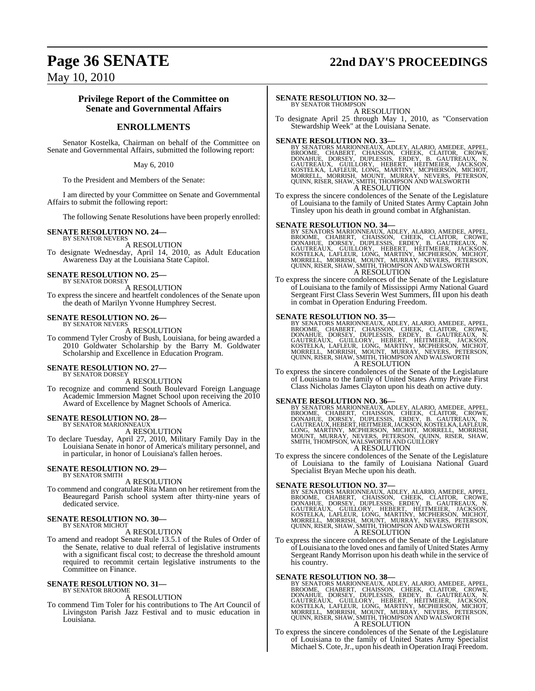# **Page 36 SENATE 22nd DAY'S PROCEEDINGS**

May 10, 2010

### **Privilege Report of the Committee on Senate and Governmental Affairs**

### **ENROLLMENTS**

Senator Kostelka, Chairman on behalf of the Committee on Senate and Governmental Affairs, submitted the following report:

May 6, 2010

To the President and Members of the Senate:

I am directed by your Committee on Senate and Governmental Affairs to submit the following report:

The following Senate Resolutions have been properly enrolled:

### **SENATE RESOLUTION NO. 24—**

BY SENATOR NEVERS A RESOLUTION To designate Wednesday, April 14, 2010, as Adult Education Awareness Day at the Louisiana State Capitol.

#### **SENATE RESOLUTION NO. 25—** BY SENATOR DORSEY

A RESOLUTION

To express the sincere and heartfelt condolences of the Senate upon the death of Marilyn Yvonne Humphrey Secrest.

### **SENATE RESOLUTION NO. 26—**

BY SENATOR NEVERS A RESOLUTION

To commend Tyler Crosby of Bush, Louisiana, for being awarded a 2010 Goldwater Scholarship by the Barry M. Goldwater Scholarship and Excellence in Education Program.

#### **SENATE RESOLUTION NO. 27—** BY SENATOR DORSEY

A RESOLUTION

To recognize and commend South Boulevard Foreign Language Academic Immersion Magnet School upon receiving the 2010 Award of Excellence by Magnet Schools of America.

### **SENATE RESOLUTION NO. 28—** BY SENATOR MARIONNEAUX

A RESOLUTION

To declare Tuesday, April 27, 2010, Military Family Day in the Louisiana Senate in honor of America's military personnel, and in particular, in honor of Louisiana's fallen heroes.

#### **SENATE RESOLUTION NO. 29—** BY SENATOR SMITH

A RESOLUTION

To commend and congratulate Rita Mann on her retirement from the Beauregard Parish school system after thirty-nine years of dedicated service.

### **SENATE RESOLUTION NO. 30—** BY SENATOR MICHOT

A RESOLUTION

To amend and readopt Senate Rule 13.5.1 of the Rules of Order of the Senate, relative to dual referral of legislative instruments with a significant fiscal cost; to decrease the threshold amount required to recommit certain legislative instruments to the Committee on Finance.

#### **SENATE RESOLUTION NO. 31—** BY SENATOR BROOME

A RESOLUTION

To commend Tim Toler for his contributions to The Art Council of Livingston Parish Jazz Festival and to music education in Louisiana.

### **SENATE RESOLUTION NO. 32—**

BY SENATOR THOMPSON A RESOLUTION

To designate April 25 through May 1, 2010, as "Conservation Stewardship Week" at the Louisiana Senate.

SENATE RESOLUTION NO. 33—<br>BY SENATORS MARIONNEAUX, ADLEY, ALARIO, AMEDEE, APPEL, BROOME, CHABERT, CHAISSON, CHEEK, CLAITOR, CROWE, DONAHUE, DORSEY, DUPLESSIS, ERDEY, B. GAUTREAUX, N.<br>GAUTREAUX, GUILLORY, HEBERT, HEITMEIER, A RESOLUTION

To express the sincere condolences of the Senate of the Legislature of Louisiana to the family of United States Army Captain John Tinsley upon his death in ground combat in Afghanistan.

SENATE RESOLUTION NO. 34—<br>BY SENATORS MARIONNEAUX, ADLEY, ALARIO, AMEDEE, APPEL, BROOME, CHABERT, CHAISSON, CHEEK, CLAITOR, CROWE, DONAHUE, DORSEY, DUPLESSIS, ERDEY, B. GAUTREAUX, N.<br>GAUTREAUX, GUILLORY, HEBERT, HEITMEIER, A RESOLUTION

To express the sincere condolences of the Senate of the Legislature of Louisiana to the family of Mississippi Army National Guard Sergeant First Class Severin West Summers, III upon his death in combat in Operation Enduring Freedom.

SENATE RESOLUTION NO. 35—<br>BY SENATORS MARIONNEAUX, ADLEY, ALARIO, AMEDEE, APPEL, BROOME, CHABERT, CHAISSON, CHEEK, CLAITOR, CROWE, DONAHUE, DORSEY, DUPLESSIS, ERDEY, B. GAUTREAUX, N.<br>GAUTREAUX, GUILLORY, HEBERT, HEITMEIER, A RESOLUTION

To express the sincere condolences of the Senate of the Legislature of Louisiana to the family of United States Army Private First Class Nicholas James Clayton upon his death on active duty.

SENATE RESOLUTION NO. 36—<br>BY SENATORS MARIONNEAUX, ADLEY, ALARIO, AMEDEE, APPEL, BROOME, CHABERT, CHAISSON, CHEEK, CLAITOR, CROWE, DONAHUE, DORSEY, DUPLESSIS, ERDEY, B. GAUTREAUX, N.<br>GAUTREAUX, HEBERT, HEITMEIER, JACKSON, A RESOLUTION

To express the sincere condolences of the Senate of the Legislature of Louisiana to the family of Louisiana National Guard Specialist Bryan Meche upon his death.

SENATE RESOLUTION NO. 37—<br>BY SENATORS MARIONNEAUX, ADLEY, ALARIO, AMEDEE, APPEL, BROOME, CHABERT, CHAISSON, CHEEK, CLAITOR, CROWE, DONAHUE, DORSEY, DUPLESSIS, ERDEY, B. GAUTREAUX, N.<br>GAUTREAUX, GUILLORY, HEBERT, HEITMEIER, A RESOLUTION

To express the sincere condolences of the Senate of the Legislature of Louisiana to the loved ones and family of United States Army Sergeant Randy Morrison upon his death while in the service of his country.

SENATE RESOLUTION NO. 38—<br>BY SENATORS MARIONNEAUX, ADLEY, ALARIO, AMEDEE, APPEL, BROOME, CHABERT, CHAISSON, CHEEK, CLAITOR, CROWE, DONAHUE, DORSEY, DUPLESSIS, ERDEY, B. GAUTREAUX, N.<br>GAUTREAUX, GUILLORY, HEBERT, HEITMEIER, A RESOLUTION

To express the sincere condolences of the Senate of the Legislature of Louisiana to the family of United States Army Specialist Michael S. Cote,Jr., upon his death in Operation Iraqi Freedom.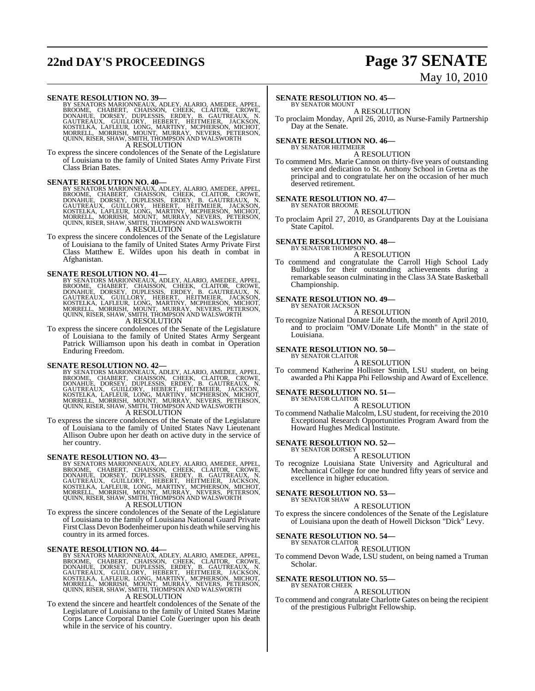# **22nd DAY'S PROCEEDINGS Page 37 SENATE**

# May 10, 2010

SENATE RESOLUTION NO. 39—<br>BY SENATORS MARIONNEAUX, ADLEY, ALARIO, AMEDEE, APPEL, BROOME, CHABERT, CHAISSON, CHEEK, CLAITOR, CROWE, DONAHUE, DORSEY, DUPLESSIS, ERDEY, B. GAUTREAUX, N.<br>GAUTREAUX, GUILLORY, HEBERT, HEITMEIER, A RESOLUTION

To express the sincere condolences of the Senate of the Legislature of Louisiana to the family of United States Army Private First Class Brian Bates.

### **SENATE RESOLUTION NO. 40—**

BY SENATORS MARIONNEAUX, ADLEY, ALARIO, AMEDEE, APPEL,<br>BROOME, CHABERT, CHAISSON, CHEEK, CLAITOR, CROWE,<br>DONAHUE, DORSEY, DUPLESSIS, ERDEY, B. GAUTREAUX, N.<br>GAUTREAUX, GUILLORY, HEBERT, HEITMEIER, JACKSON,<br>KOSTELKA, LAFLEU

A RESOLUTION

To express the sincere condolences of the Senate of the Legislature of Louisiana to the family of United States Army Private First Class Matthew E. Wildes upon his death in combat in Afghanistan.

### **SENATE RESOLUTION NO. 41—**

BY SENATORS MARIONNEAUX, ADLEY, ALARIO, AMEDEE, APPEL,<br>BROOME, CHABERT, CHAISSON, CHEEK, CLAITOR, CROWE,<br>DONAHUE, DORSEY, DUPLESSIS, ERDEY, B. GAUTREAUX, N.<br>GAUTREAUX, GUILLORY, HEBERT, HEITMEIER, JACKSON,<br>KOSTELKA, LAFLEU A RESOLUTION

To express the sincere condolences of the Senate of the Legislature of Louisiana to the family of United States Army Sergeant Patrick Williamson upon his death in combat in Operation Enduring Freedom.

SENATE RESOLUTION NO. 42—<br>BY SENATORS MARIONNEAUX, ADLEY, ALARIO, AMEDEE, APPEL,<br>BROOME, CHABERT, CHAISSON, CHEEK, CLAITOR, CROWE,<br>DONAHUE, DORSEY, DUPLESSIS, ERDEY, B. GAUTREAUX, N.<br>GAUTREAUX, GUILORY, HEBERT, HEITMEIER,

To express the sincere condolences of the Senate of the Legislature of Louisiana to the family of United States Navy Lieutenant Allison Oubre upon her death on active duty in the service of her country.

### **SENATE RESOLUTION NO. 43—**

BY SENATORS MARIONNEAUX, ADLEY, ALARIO, AMEDEE, APPEL, BROOME, CHABERT, CHARSON, CHEEK, CLAITOR, CROWE, DONAHUE, DORSEY, DUPLESSIS, ERDEY, B. GAUTREAUX, N.<br>GAUTREAUX, GUILLORY, HEBERT, HEITMEIER, JACKSON, KOSTELKA, LAFLEUR

To express the sincere condolences of the Senate of the Legislature of Louisiana to the family of Louisiana National Guard Private FirstClassDevonBodenheimer upon his death while serving his country in its armed forces.

SENATE RESOLUTION NO. 44<br>BY SENATORS MARIONNEAUX, ADLEY, ALARIO, AMEDEE, APPEL, BROOME, CHABERT, CHAISSON, CHEEK, CLAITOR, CROWE,<br>DONAHUE, DORSEY, DUPLESSIS, ERDEY, B. GAUTREAUX, N.<br>GAUTREAUX, GUILLORY, HEBERT, HEITMEIER,

To extend the sincere and heartfelt condolences of the Senate of the Legislature of Louisiana to the family of United States Marine Corps Lance Corporal Daniel Cole Gueringer upon his death while in the service of his country.

### **SENATE RESOLUTION NO. 45—**

BY SENATOR MOUNT A RESOLUTION

To proclaim Monday, April 26, 2010, as Nurse-Family Partnership Day at the Senate.

### **SENATE RESOLUTION NO. 46—** BY SENATOR HEITMEIER

A RESOLUTION

To commend Mrs. Marie Cannon on thirty-five years of outstanding service and dedication to St. Anthony School in Gretna as the principal and to congratulate her on the occasion of her much deserved retirement.

### **SENATE RESOLUTION NO. 47—**

BY SENATOR BROOME A RESOLUTION

To proclaim April 27, 2010, as Grandparents Day at the Louisiana State Capitol.

#### **SENATE RESOLUTION NO. 48—** BY SENATOR THOMPSON

A RESOLUTION

To commend and congratulate the Carroll High School Lady Bulldogs for their outstanding achievements during a remarkable season culminating in the Class 3A State Basketball Championship.

#### **SENATE RESOLUTION NO. 49—** BY SENATOR JACKSON

A RESOLUTION

To recognize National Donate Life Month, the month of April 2010, and to proclaim "OMV/Donate Life Month" in the state of Louisiana.

#### **SENATE RESOLUTION NO. 50—** BY SENATOR CLAITOR

A RESOLUTION

To commend Katherine Hollister Smith, LSU student, on being awarded a Phi Kappa Phi Fellowship and Award of Excellence.

### **SENATE RESOLUTION NO. 51—** BY SENATOR CLAITOR

A RESOLUTION

To commend Nathalie Malcolm, LSU student, for receiving the 2010 Exceptional Research Opportunities Program Award from the Howard Hughes Medical Institute.

#### **SENATE RESOLUTION NO. 52—** BY SENATOR DORSEY

A RESOLUTION

To recognize Louisiana State University and Agricultural and Mechanical College for one hundred fifty years of service and excellence in higher education.

#### **SENATE RESOLUTION NO. 53—** BY SENATOR SHAW

A RESOLUTION

To express the sincere condolences of the Senate of the Legislature of Louisiana upon the death of Howell Dickson "Dick" Levy.

### **SENATE RESOLUTION NO. 54—**

### BY SENATOR CLAITOR A RESOLUTION

To commend Devon Wade, LSU student, on being named a Truman Scholar.

### **SENATE RESOLUTION NO. 55—**<br>BY SENATOR CHEEK

A RESOLUTION

To commend and congratulate Charlotte Gates on being the recipient of the prestigious Fulbright Fellowship.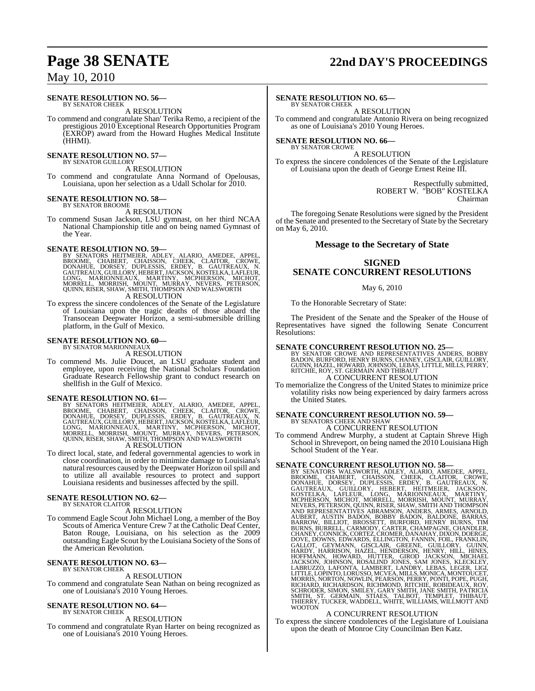#### **SENATE RESOLUTION NO. 56—** BY SENATOR CHEEK

A RESOLUTION

To commend and congratulate Shan' Terika Remo, a recipient of the prestigious 2010 Exceptional Research Opportunities Program (EXROP) award from the Howard Hughes Medical Institute (HHMI).

#### **SENATE RESOLUTION NO. 57—** BY SENATOR GUILLORY

A RESOLUTION

To commend and congratulate Anna Normand of Opelousas, Louisiana, upon her selection as a Udall Scholar for 2010.

### **SENATE RESOLUTION NO. 58—**

BY SENATOR BROOME A RESOLUTION

To commend Susan Jackson, LSU gymnast, on her third NCAA National Championship title and on being named Gymnast of the Year.

### **SENATE RESOLUTION NO. 59—**

- BY SENATORS HEITMEIER, ADLEY, ALARIO, AMEDEE, APPEL,<br>BROOME, CHABERT, CHAISSON, CHEEK, CLAITOR, CROWE,<br>DONAHUE, DORSEY, DUPLESSIS, ERDEY, B. GAUTREAUX, N.<br>GAUTREAUX,GUILLORY,HEBERT,JACKSON,KOSTELKA,LAFLEUR,<br>LONG, MARIONNEA A RESOLUTION
- To express the sincere condolences of the Senate of the Legislature of Louisiana upon the tragic deaths of those aboard the Transocean Deepwater Horizon, a semi-submersible drilling platform, in the Gulf of Mexico.

#### **SENATE RESOLUTION NO. 60—** BY SENATOR MARIONNEAUX

A RESOLUTION

To commend Ms. Julie Doucet, an LSU graduate student and employee, upon receiving the National Scholars Foundation Graduate Research Fellowship grant to conduct research on shellfish in the Gulf of Mexico.

### **SENATE RESOLUTION NO. 61—**

BY SENATORS HEITMEIER, ADLEY, ALARIO, AMEDEE, APPEL,<br>BROOME, CHABERT, CHAISSON, CHEEK, CLAITOR, CROWE,<br>DONAHUE, DORSEY, DUPLESSIS, ERDEY, B. GAUTREAUX, N.<br>GAUTREAUX,GUILLORY,HEBERT,JACKSON,KOSTELKA,LAFLEUR,<br>LONG, MARIONNEA

A RESOLUTION

To direct local, state, and federal governmental agencies to work in close coordination, in order to minimize damage to Louisiana's natural resources caused by the Deepwater Horizon oil spill and to utilize all available resources to protect and support Louisiana residents and businesses affected by the spill.

#### **SENATE RESOLUTION NO. 62—** BY SENATOR CLAITOR

A RESOLUTION

To commend Eagle Scout John Michael Long, a member of the Boy Scouts of America Venture Crew 7 at the Catholic Deaf Center, Baton Rouge, Louisiana, on his selection as the 2009 outstanding Eagle Scout by the Louisiana Society of the Sons of the American Revolution.

#### **SENATE RESOLUTION NO. 63—** BY SENATOR CHEEK

### A RESOLUTION

To commend and congratulate Sean Nathan on being recognized as one of Louisiana's 2010 Young Heroes.

### **SENATE RESOLUTION NO. 64—** BY SENATOR CHEEK

### A RESOLUTION

To commend and congratulate Ryan Harter on being recognized as one of Louisiana's 2010 Young Heroes.

# **Page 38 SENATE 22nd DAY'S PROCEEDINGS**

### **SENATE RESOLUTION NO. 65—**

BY SENATOR CHEEK A RESOLUTION

To commend and congratulate Antonio Rivera on being recognized as one of Louisiana's 2010 Young Heroes.

**SENATE RESOLUTION NO. 66—** BY SENATOR CROWE

A RESOLUTION

To express the sincere condolences of the Senate of the Legislature of Louisiana upon the death of George Ernest Reine III.

> Respectfully submitted, ROBERT W. "BOB" KOSTELKA Chairman

The foregoing Senate Resolutions were signed by the President of the Senate and presented to the Secretary of State by the Secretary on May 6, 2010.

### **Message to the Secretary of State**

### **SIGNED SENATE CONCURRENT RESOLUTIONS**

### May 6, 2010

To the Honorable Secretary of State:

The President of the Senate and the Speaker of the House of Representatives have signed the following Senate Concurrent Resolutions:

### **SENATE CONCURRENT RESOLUTION NO. 25—**

BY SENATOR CROWE AND REPRESENTATIVES ANDERS, BOBBY<br>BADON,BURFORD,HENRY BURNS,CHANEY,GISCLAIR,GUILLORY,<br>GUINN,HAZEL,HOWARD,JOHNSON,LEBAS,LITTLE,MILLS,PERRY,<br>RITCHIE,ROY,ST.GERMAIN AND THIBAUT<br>A CONCURRENT RESOLUTION

To memorialize the Congress of the United States to minimize price volatility risks now being experienced by dairy farmers across the United States.

### **SENATE CONCURRENT RESOLUTION NO. 59—** BY SENATORS CHEEK AND SHAW A CONCURRENT RESOLUTION

To commend Andrew Murphy, a student at Captain Shreve High School in Shreveport, on being named the 2010 Louisiana High School Student of the Year.

**SENATE CONCURRENT RESOLUTION NO. 58**<br>BY SENATORS WALSWORTH, ADLEY, ALARIO, AMEDEE, APPEL,<br>BROOME, CHABERT, CHAISSON, CHEEK, CLAITOR, CROWE,<br>DONAHUE, DORSEY, DUPLESSIS, ERDEY, B. GAUTREAUX, N.<br>GAUTREAUX, GUILLORY, HEBERT, SCHRODER, SIMON, SMILEY, GARY SMITH, JANE SMITH, PATRICIA<br>SMITH, ST. GERMAIN, STIAES, TALBOT, TEMPLET, THIBAUT,<br>THIERRY, TUCKER, WADDELL, WHITE, WILLIAMS, WILLMOTT AND<br>WOOTON

### A CONCURRENT RESOLUTION

To express the sincere condolences of the Legislature of Louisiana upon the death of Monroe City Councilman Ben Katz.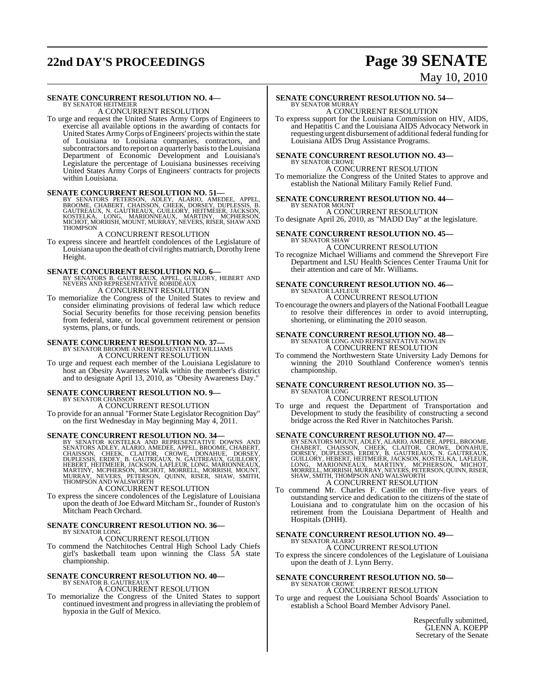# **22nd DAY'S PROCEEDINGS Page 39 SENATE**

# May 10, 2010

### **SENATE CONCURRENT RESOLUTION NO. 4—** BY SENATOR HEITMEIER

A CONCURRENT RESOLUTION

To urge and request the United States Army Corps of Engineers to exercise all available options in the awarding of contacts for United States ArmyCorps ofEngineers' projects within the state of Louisiana to Louisiana companies, contractors, and subcontractors and to report on a quarterly basisto the Louisiana Department of Economic Development and Louisiana's Legislature the percentage of Louisiana businesses receiving United States Army Corps of Engineers' contracts for projects within Louisiana.

### **SENATE CONCURRENT RESOLUTION NO. 51—**

BY SENATORS PETERSON, ADLEY, ALARIO, AMEDEE, APPEL,<br>BROOME, CHABERT, CHAISSON, CHEEK, DORSEY, DUPLESSIS, B.<br>GAUTREAUX, N. GAUTREAUX, GUILLORY, HEITMEIER, JACKSON,<br>KOSTELKA, LONG, MARIONNEAUX, MARTINY, MCPHERSON,<br>MICHOT, MO THOMPSON

### A CONCURRENT RESOLUTION

To express sincere and heartfelt condolences of the Legislature of Louisiana upon the death of civil rights matriarch, Dorothy Irene Height.

**SENATE CONCURRENT RESOLUTION NO. 6—**<br>BY SENATORS B. GAUTREAUX, APPEL, GUILLORY, HEBERT AND NEVERS AND REPRESENTATIVE ROBIDEAUX A CONCURRENT RESOLUTION

To memorialize the Congress of the United States to review and consider eliminating provisions of federal law which reduce Social Security benefits for those receiving pension benefits from federal, state, or local government retirement or pension systems, plans, or funds.

# **SENATE CONCURRENT RESOLUTION NO. 37—**<br>BY SENATOR BROOME AND REPRESENTATIVE WILLIAMS A CONCURRENT RESOLUTION

To urge and request each member of the Louisiana Legislature to host an Obesity Awareness Walk within the member's district and to designate April 13, 2010, as "Obesity Awareness Day."

### **SENATE CONCURRENT RESOLUTION NO. 9—** BY SENATOR CHAISSON

A CONCURRENT RESOLUTION To provide for an annual "Former State Legislator Recognition Day" on the first Wednesday in May beginning May 4, 2011.

**SENATE CONCURRENT RESOLUTION NO. 34** BY SENATOR KOSTELKA AND REPRESENTATIVE DOWNS AND REPRESENT CHAISSON, CHEEK, CLAITOR, CROWE, DONAHUE, DORSEY, DUPLESSIS, ERDEY, B. GAUTREAUX, N. GAUTREAUX, GUILLORY, LEBERT, HETMELR, JA

### A CONCURRENT RESOLUTION

To express the sincere condolences of the Legislature of Louisiana upon the death of Joe Edward Mitcham Sr., founder of Ruston's Mitcham Peach Orchard.

### **SENATE CONCURRENT RESOLUTION NO. 36—** BY SENATOR LONG

A CONCURRENT RESOLUTION

To commend the Natchitoches Central High School Lady Chiefs girl's basketball team upon winning the Class 5A state championship.

### **SENATE CONCURRENT RESOLUTION NO. 40—** BY SENATOR B. GAUTREAUX A CONCURRENT RESOLUTION

To memorialize the Congress of the United States to support continued investment and progressin alleviating the problem of hypoxia in the Gulf of Mexico.

### **SENATE CONCURRENT RESOLUTION NO. 54—** BY SENATOR MURRAY

A CONCURRENT RESOLUTION To express support for the Louisiana Commission on HIV, AIDS, and Hepatitis C and the Louisiana AIDS Advocacy Network in requesting urgent disbursement of additional federal funding for Louisiana AIDS Drug Assistance Programs.

#### **SENATE CONCURRENT RESOLUTION NO. 43—** BY SENATOR CROWE

A CONCURRENT RESOLUTION To memorialize the Congress of the United States to approve and establish the National Military Family Relief Fund.

### **SENATE CONCURRENT RESOLUTION NO. 44—** BY SENATOR MOUNT

A CONCURRENT RESOLUTION To designate April 26, 2010, as "MADD Day" at the legislature.

#### **SENATE CONCURRENT RESOLUTION NO. 45—** BY SENATOR SHAW

### A CONCURRENT RESOLUTION

To recognize Michael Williams and commend the Shreveport Fire Department and LSU Health Sciences Center Trauma Unit for their attention and care of Mr. Williams.

#### **SENATE CONCURRENT RESOLUTION NO. 46—** BY SENATOR LAFLEUR

A CONCURRENT RESOLUTION

To encourage the owners and players of the National Football League to resolve their differences in order to avoid interrupting, shortening, or eliminating the 2010 season.

### **SENATE CONCURRENT RESOLUTION NO. 48—** BY SENATOR LONG AND REPRESENTATIVE NOWLIN

A CONCURRENT RESOLUTION

To commend the Northwestern State University Lady Demons for winning the 2010 Southland Conference women's tennis championship.

### **SENATE CONCURRENT RESOLUTION NO. 35—** BY SENATOR LONG

A CONCURRENT RESOLUTION

To urge and request the Department of Transportation and Development to study the feasibility of constructing a second bridge across the Red River in Natchitoches Parish.

SENATE CONCURRENT RESOLUTION NO. 47—BY SENATORS MOUNT, ADLEY, ALARIO, AMEDEE, APPEL, BROOME, CHABERT, CHAISSON, CHEEK, CLAITOR, CROWE, DONAHUE, DORSEY, DUPLESSIS, ERDEY, B. GAUTREAUX, N. GAUTREAUX, GUILLORY, HEBERT, HEITME A CONCURRENT RESOLUTION

To commend Mr. Charles F. Castille on thirty-five years of outstanding service and dedication to the citizens of the state of Louisiana and to congratulate him on the occasion of his retirement from the Louisiana Department of Health and Hospitals (DHH).

#### **SENATE CONCURRENT RESOLUTION NO. 49—** BY SENATOR ALARIO

A CONCURRENT RESOLUTION

To express the sincere condolences of the Legislature of Louisiana upon the death of J. Lynn Berry.

#### **SENATE CONCURRENT RESOLUTION NO. 50—** BY SENATOR CROWE

### A CONCURRENT RESOLUTION

To urge and request the Louisiana School Boards' Association to establish a School Board Member Advisory Panel.

> Respectfully submitted, GLENN A. KOEPP Secretary of the Senate